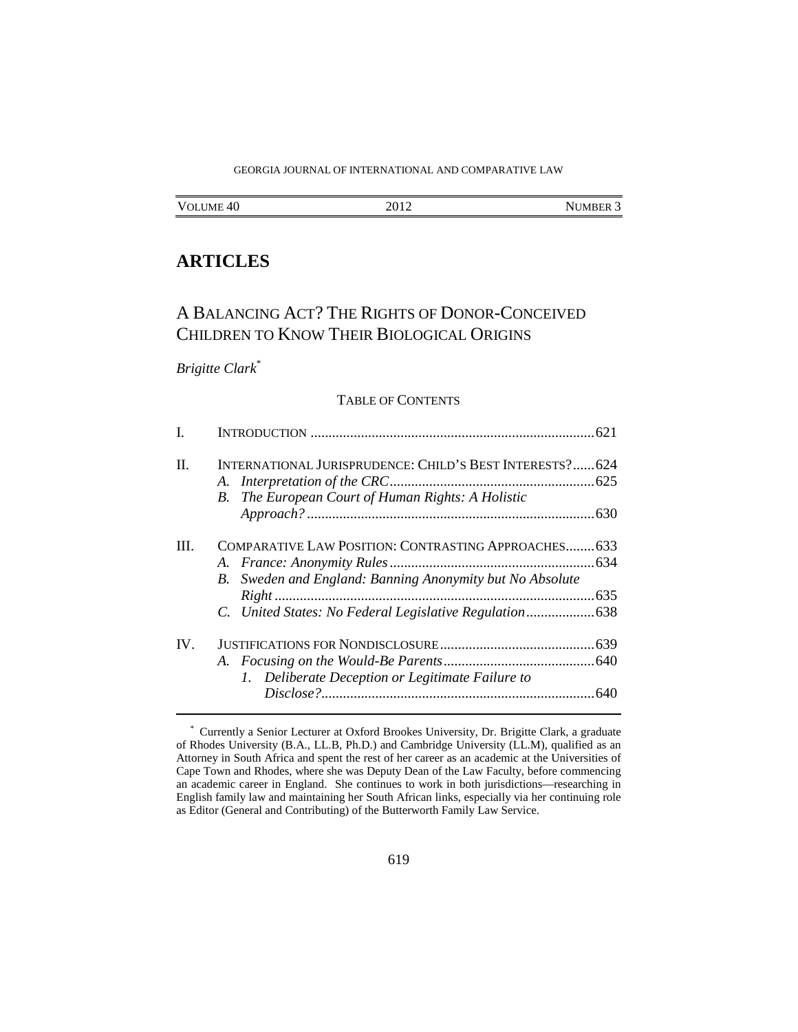# GEORGIA JOURNAL OF INTERNATIONAL AND COMPARATIVE LAW

| NUMBER 3 |
|----------|
|          |

# **ARTICLES**

# A BALANCING ACT? THE RIGHTS OF DONOR-CONCEIVED CHILDREN TO KNOW THEIR BIOLOGICAL ORIGINS

# *Brigitte Clark*\*

#### TABLE OF CONTENTS

| L        |                                                          |  |
|----------|----------------------------------------------------------|--|
| $\Pi$ .  | INTERNATIONAL JURISPRUDENCE: CHILD'S BEST INTERESTS? 624 |  |
|          |                                                          |  |
|          | B. The European Court of Human Rights: A Holistic        |  |
|          |                                                          |  |
| Ш        | COMPARATIVE LAW POSITION: CONTRASTING APPROACHES 633     |  |
|          |                                                          |  |
|          | B. Sweden and England: Banning Anonymity but No Absolute |  |
|          |                                                          |  |
|          |                                                          |  |
| $IV_{-}$ |                                                          |  |
|          |                                                          |  |
|          | 1. Deliberate Deception or Legitimate Failure to         |  |
|          |                                                          |  |
|          |                                                          |  |

 <sup>\*</sup> Currently a Senior Lecturer at Oxford Brookes University, Dr. Brigitte Clark, a graduate of Rhodes University (B.A., LL.B, Ph.D.) and Cambridge University (LL.M), qualified as an Attorney in South Africa and spent the rest of her career as an academic at the Universities of Cape Town and Rhodes, where she was Deputy Dean of the Law Faculty, before commencing an academic career in England. She continues to work in both jurisdictions—researching in English family law and maintaining her South African links, especially via her continuing role as Editor (General and Contributing) of the Butterworth Family Law Service.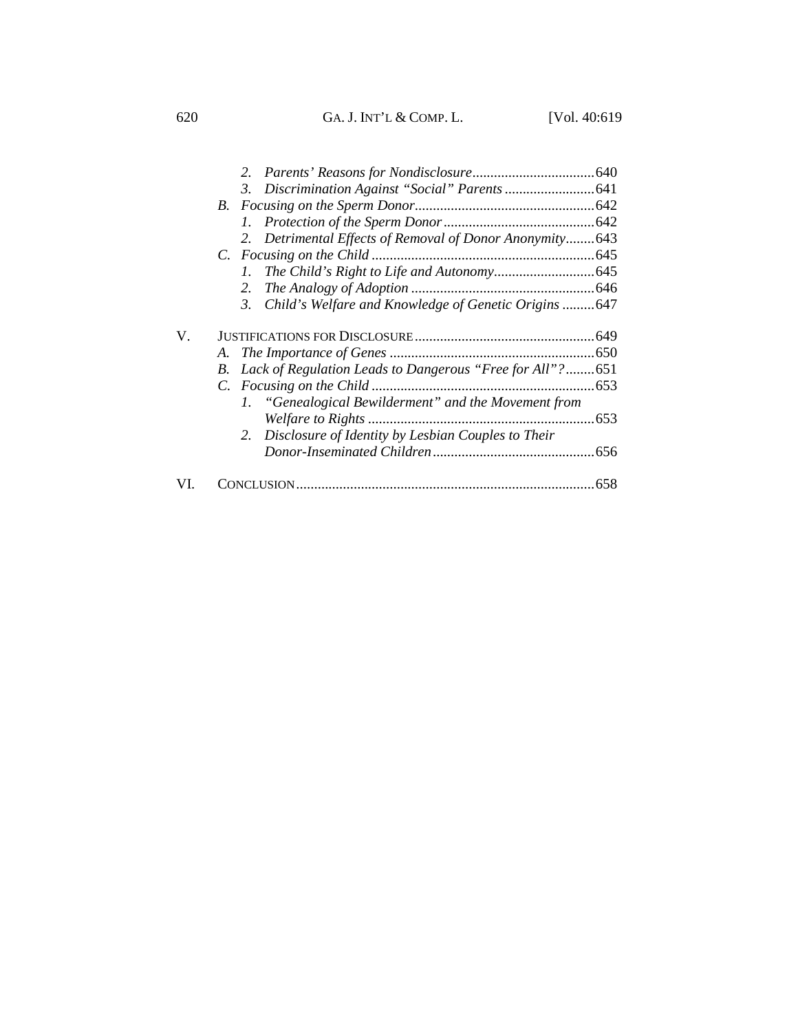620GA. J. INT'L & COMP. L. [Vol. 40:619

|     |    | Detrimental Effects of Removal of Donor Anonymity643<br>2. |     |
|-----|----|------------------------------------------------------------|-----|
|     |    |                                                            |     |
|     |    | $\mathcal{L}$                                              |     |
|     |    | 2.                                                         |     |
|     |    | Child's Welfare and Knowledge of Genetic Origins 647<br>3. |     |
| V.  |    |                                                            |     |
|     |    |                                                            |     |
|     | B. | Lack of Regulation Leads to Dangerous "Free for All"?651   |     |
|     |    |                                                            |     |
|     |    | 1. "Genealogical Bewilderment" and the Movement from       |     |
|     |    |                                                            |     |
|     |    | 2. Disclosure of Identity by Lesbian Couples to Their      |     |
|     |    |                                                            |     |
| VI. |    |                                                            | 658 |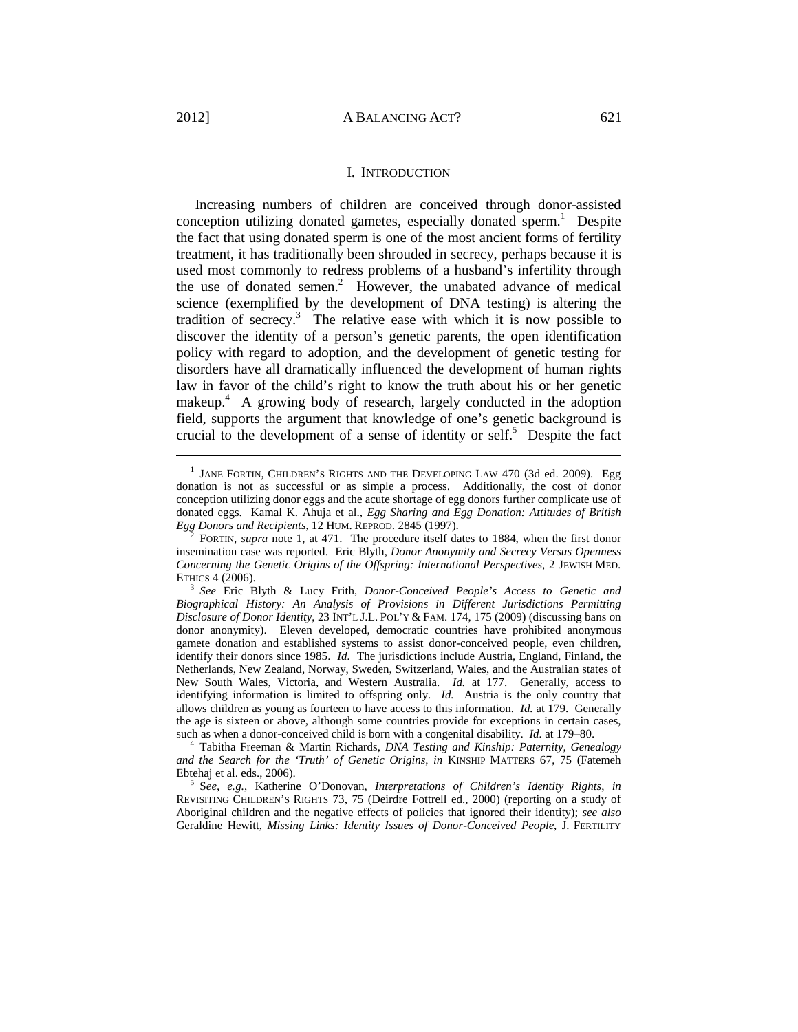Increasing numbers of children are conceived through donor-assisted conception utilizing donated gametes, especially donated sperm.<sup>1</sup> Despite the fact that using donated sperm is one of the most ancient forms of fertility treatment, it has traditionally been shrouded in secrecy, perhaps because it is used most commonly to redress problems of a husband's infertility through the use of donated semen.<sup>2</sup> However, the unabated advance of medical science (exemplified by the development of DNA testing) is altering the tradition of secrecy.3 The relative ease with which it is now possible to discover the identity of a person's genetic parents, the open identification policy with regard to adoption, and the development of genetic testing for disorders have all dramatically influenced the development of human rights law in favor of the child's right to know the truth about his or her genetic makeup.<sup>4</sup> A growing body of research, largely conducted in the adoption field, supports the argument that knowledge of one's genetic background is crucial to the development of a sense of identity or self.<sup>5</sup> Despite the fact

 $\frac{1}{1}$  $^1$  JANE FORTIN, CHILDREN'S RIGHTS AND THE DEVELOPING LAW 470 (3d ed. 2009). Egg donation is not as successful or as simple a process. Additionally, the cost of donor conception utilizing donor eggs and the acute shortage of egg donors further complicate use of donated eggs. Kamal K. Ahuja et al., *Egg Sharing and Egg Donation: Attitudes of British Egg Donors and Recipients*, 12 HUM. REPROD. 2845 (1997). 2

FORTIN, *supra* note 1, at 471. The procedure itself dates to 1884, when the first donor insemination case was reported. Eric Blyth, *Donor Anonymity and Secrecy Versus Openness Concerning the Genetic Origins of the Offspring: International Perspectives*, 2 JEWISH MED.

ETHICS 4 (2006). 3 *See* Eric Blyth & Lucy Frith, *Donor-Conceived People's Access to Genetic and Biographical History: An Analysis of Provisions in Different Jurisdictions Permitting Disclosure of Donor Identity*, 23 INT'L J.L. POL'Y & FAM. 174, 175 (2009) (discussing bans on donor anonymity). Eleven developed, democratic countries have prohibited anonymous gamete donation and established systems to assist donor-conceived people, even children, identify their donors since 1985. *Id.* The jurisdictions include Austria, England, Finland, the Netherlands, New Zealand, Norway, Sweden, Switzerland, Wales, and the Australian states of New South Wales, Victoria, and Western Australia. *Id.* at 177. Generally, access to identifying information is limited to offspring only. *Id.* Austria is the only country that allows children as young as fourteen to have access to this information. *Id.* at 179. Generally the age is sixteen or above, although some countries provide for exceptions in certain cases, such as when a donor-conceived child is born with a congenital disability. *Id.* at 179–80. 4

Tabitha Freeman & Martin Richards, *DNA Testing and Kinship: Paternity, Genealogy and the Search for the 'Truth' of Genetic Origins*, *in* KINSHIP MATTERS 67, 75 (Fatemeh Ebtehaj et al. eds., 2006).

S*ee, e.g.*, Katherine O'Donovan, *Interpretations of Children's Identity Rights*, *in* REVISITING CHILDREN'S RIGHTS 73, 75 (Deirdre Fottrell ed., 2000) (reporting on a study of Aboriginal children and the negative effects of policies that ignored their identity); *see also* Geraldine Hewitt, *Missing Links: Identity Issues of Donor-Conceived People*, J. FERTILITY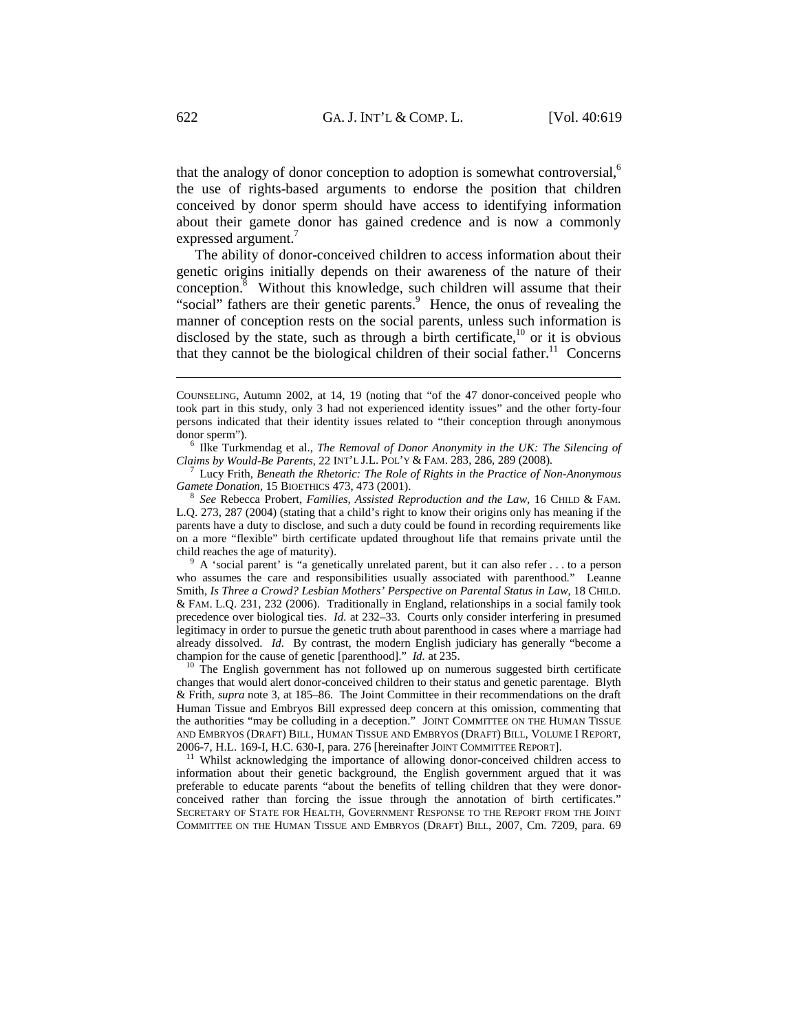that the analogy of donor conception to adoption is somewhat controversial, $6$ the use of rights-based arguments to endorse the position that children conceived by donor sperm should have access to identifying information about their gamete donor has gained credence and is now a commonly expressed argument.<sup>7</sup>

The ability of donor-conceived children to access information about their genetic origins initially depends on their awareness of the nature of their  $\overline{\text{conception.}}^8$  Without this knowledge, such children will assume that their "social" fathers are their genetic parents.<sup>9</sup> Hence, the onus of revealing the manner of conception rests on the social parents, unless such information is disclosed by the state, such as through a birth certificate, $10$  or it is obvious that they cannot be the biological children of their social father.<sup>11</sup> Concerns

 $^{\circ}$  A 'social parent' is "a genetically unrelated parent, but it can also refer ... to a person who assumes the care and responsibilities usually associated with parenthood." Leanne Smith, *Is Three a Crowd? Lesbian Mothers' Perspective on Parental Status in Law*, 18 CHILD. & FAM. L.Q. 231, 232 (2006). Traditionally in England, relationships in a social family took precedence over biological ties. *Id.* at 232–33. Courts only consider interfering in presumed legitimacy in order to pursue the genetic truth about parenthood in cases where a marriage had already dissolved. *Id.* By contrast, the modern English judiciary has generally "become a champion for the cause of genetic [parenthood]." *Id.* at 235.<br><sup>10</sup> The English government has not followed up on numerous suggested birth certificate

changes that would alert donor-conceived children to their status and genetic parentage. Blyth & Frith, *supra* note 3, at 185–86. The Joint Committee in their recommendations on the draft Human Tissue and Embryos Bill expressed deep concern at this omission, commenting that the authorities "may be colluding in a deception." JOINT COMMITTEE ON THE HUMAN TISSUE AND EMBRYOS (DRAFT) BILL, HUMAN TISSUE AND EMBRYOS (DRAFT) BILL, VOLUME I REPORT, 2006-7, H.L. 169-I, H.C. 630-I, para. 276 [hereinafter JOINT COMMITTEE REPORT]. 11 Whilst acknowledging the importance of allowing donor-conceived children access to

information about their genetic background, the English government argued that it was preferable to educate parents "about the benefits of telling children that they were donorconceived rather than forcing the issue through the annotation of birth certificates." SECRETARY OF STATE FOR HEALTH, GOVERNMENT RESPONSE TO THE REPORT FROM THE JOINT COMMITTEE ON THE HUMAN TISSUE AND EMBRYOS (DRAFT) BILL, 2007, Cm. 7209, para. 69

COUNSELING, Autumn 2002, at 14, 19 (noting that "of the 47 donor-conceived people who took part in this study, only 3 had not experienced identity issues" and the other forty-four persons indicated that their identity issues related to "their conception through anonymous donor sperm").

<sup>&</sup>lt;sup>6</sup> Ilke Turkmendag et al., *The Removal of Donor Anonymity in the UK: The Silencing of Claims by Would-Be Parents*, 22 INT'L J.L. POL'Y & FAM. 283, 286, 289 (2008). 7

Lucy Frith, *Beneath the Rhetoric: The Role of Rights in the Practice of Non-Anonymous Gamete Donation*, 15 BIOETHICS 473, 473 (2001). 8 *See* Rebecca Probert, *Families, Assisted Reproduction and the Law*, 16 CHILD & FAM.

L.Q. 273, 287 (2004) (stating that a child's right to know their origins only has meaning if the parents have a duty to disclose, and such a duty could be found in recording requirements like on a more "flexible" birth certificate updated throughout life that remains private until the child reaches the age of maturity).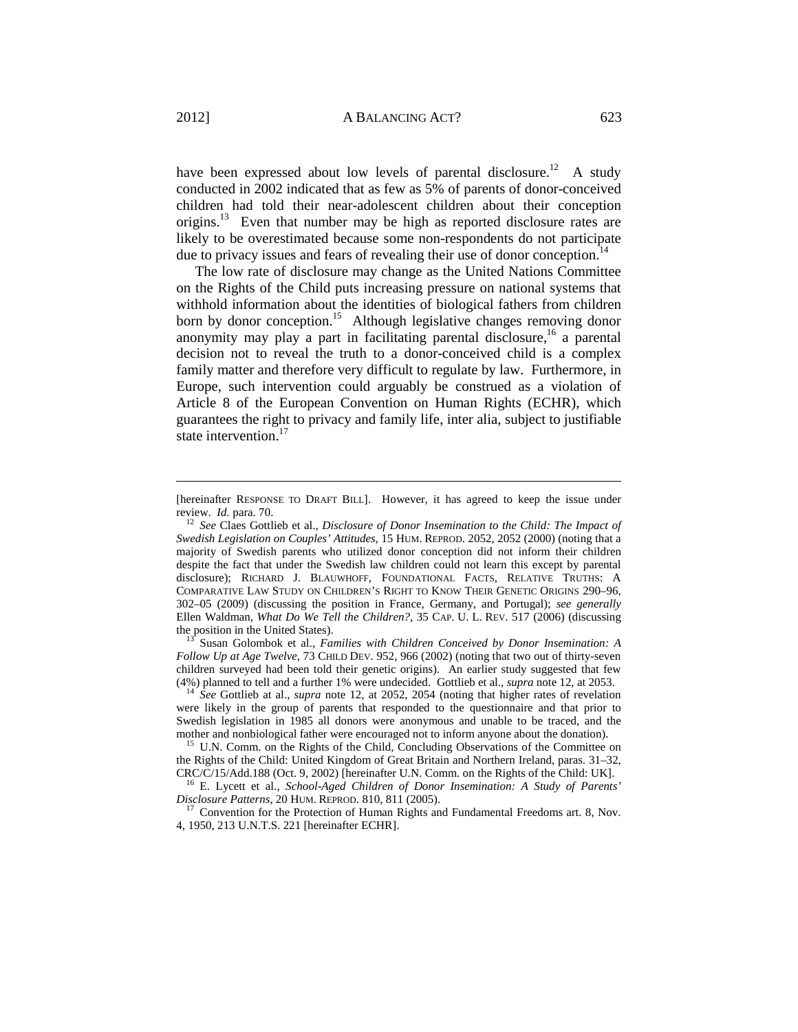have been expressed about low levels of parental disclosure.<sup>12</sup> A study conducted in 2002 indicated that as few as 5% of parents of donor-conceived children had told their near-adolescent children about their conception origins.<sup>13</sup> Even that number may be high as reported disclosure rates are likely to be overestimated because some non-respondents do not participate due to privacy issues and fears of revealing their use of donor conception.<sup>14</sup>

The low rate of disclosure may change as the United Nations Committee on the Rights of the Child puts increasing pressure on national systems that withhold information about the identities of biological fathers from children born by donor conception.<sup>15</sup> Although legislative changes removing donor anonymity may play a part in facilitating parental disclosure,<sup>16</sup> a parental decision not to reveal the truth to a donor-conceived child is a complex family matter and therefore very difficult to regulate by law. Furthermore, in Europe, such intervention could arguably be construed as a violation of Article 8 of the European Convention on Human Rights (ECHR), which guarantees the right to privacy and family life, inter alia, subject to justifiable state intervention.<sup>17</sup>

*Follow Up at Age Twelve*, 73 CHILD DEV. 952, 966 (2002) (noting that two out of thirty-seven children surveyed had been told their genetic origins). An earlier study suggested that few (4%) planned to tell and a further 1% were undecided. Gottlieb et al., *supra* note 12, at 2053. 14 *See* Gottlieb at al., *supra* note 12, at 2052, 2054 (noting that higher rates of revelation

<sup>[</sup>hereinafter RESPONSE TO DRAFT BILL]. However, it has agreed to keep the issue under review. *Id.* para. 70. 12 *See* Claes Gottlieb et al., *Disclosure of Donor Insemination to the Child: The Impact of* 

*Swedish Legislation on Couples' Attitudes*, 15 HUM. REPROD. 2052, 2052 (2000) (noting that a majority of Swedish parents who utilized donor conception did not inform their children despite the fact that under the Swedish law children could not learn this except by parental disclosure); RICHARD J. BLAUWHOFF, FOUNDATIONAL FACTS, RELATIVE TRUTHS: A COMPARATIVE LAW STUDY ON CHILDREN'S RIGHT TO KNOW THEIR GENETIC ORIGINS 290–96, 302–05 (2009) (discussing the position in France, Germany, and Portugal); *see generally* Ellen Waldman, *What Do We Tell the Children?*, 35 CAP. U. L. REV. 517 (2006) (discussing the position in the United States). <sup>13</sup> Susan Golombok et al., *Families with Children Conceived by Donor Insemination: A* 

were likely in the group of parents that responded to the questionnaire and that prior to Swedish legislation in 1985 all donors were anonymous and unable to be traced, and the mother and nonbiological father were encouraged not to inform anyone about the donation).<br><sup>15</sup> U.N. Comm. on the Rights of the Child, Concluding Observations of the Committee on

the Rights of the Child: United Kingdom of Great Britain and Northern Ireland, paras. 31–32, CRC/C/15/Add.188 (Oct. 9, 2002) [hereinafter U.N. Comm. on the Rights of the Child: UK].

<sup>&</sup>lt;sup>16</sup> E. Lycett et al., *School-Aged Children of Donor Insemination: A Study of Parents' Disclosure Patterns*, 20 HUM. REPROD. 810, 811 (2005).

<sup>&</sup>lt;sup>7</sup> Convention for the Protection of Human Rights and Fundamental Freedoms art. 8, Nov. 4, 1950, 213 U.N.T.S. 221 [hereinafter ECHR].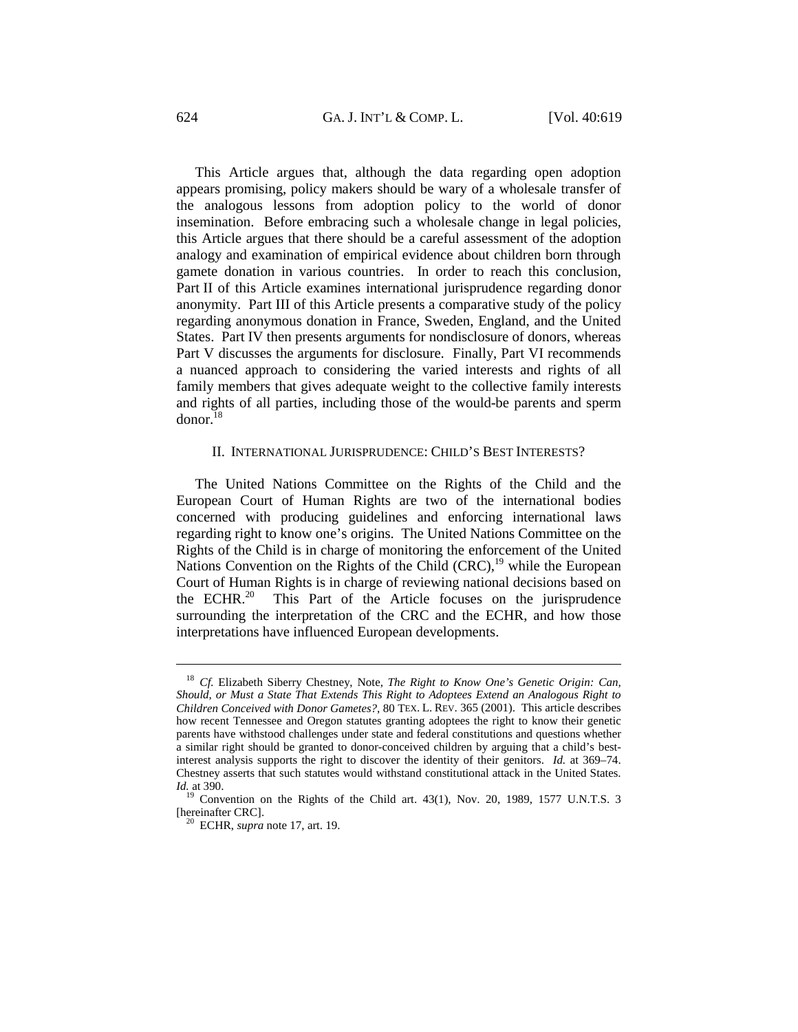This Article argues that, although the data regarding open adoption appears promising, policy makers should be wary of a wholesale transfer of the analogous lessons from adoption policy to the world of donor insemination. Before embracing such a wholesale change in legal policies, this Article argues that there should be a careful assessment of the adoption analogy and examination of empirical evidence about children born through gamete donation in various countries. In order to reach this conclusion, Part II of this Article examines international jurisprudence regarding donor anonymity. Part III of this Article presents a comparative study of the policy regarding anonymous donation in France, Sweden, England, and the United States. Part IV then presents arguments for nondisclosure of donors, whereas Part V discusses the arguments for disclosure. Finally, Part VI recommends a nuanced approach to considering the varied interests and rights of all family members that gives adequate weight to the collective family interests and rights of all parties, including those of the would-be parents and sperm  $donor.<sup>18</sup>$ 

#### II. INTERNATIONAL JURISPRUDENCE: CHILD'S BEST INTERESTS?

The United Nations Committee on the Rights of the Child and the European Court of Human Rights are two of the international bodies concerned with producing guidelines and enforcing international laws regarding right to know one's origins. The United Nations Committee on the Rights of the Child is in charge of monitoring the enforcement of the United Nations Convention on the Rights of the Child  $(CRC)$ ,<sup>19</sup> while the European Court of Human Rights is in charge of reviewing national decisions based on the ECHR.<sup>20</sup> This Part of the Article focuses on the jurisprudence surrounding the interpretation of the CRC and the ECHR, and how those interpretations have influenced European developments.

<sup>18</sup> *Cf.* Elizabeth Siberry Chestney, Note, *The Right to Know One's Genetic Origin: Can, Should, or Must a State That Extends This Right to Adoptees Extend an Analogous Right to Children Conceived with Donor Gametes?*, 80 TEX. L. REV. 365 (2001). This article describes how recent Tennessee and Oregon statutes granting adoptees the right to know their genetic parents have withstood challenges under state and federal constitutions and questions whether a similar right should be granted to donor-conceived children by arguing that a child's bestinterest analysis supports the right to discover the identity of their genitors. *Id.* at 369–74. Chestney asserts that such statutes would withstand constitutional attack in the United States. *Id.* at 390.

 $19$  Convention on the Rights of the Child art. 43(1), Nov. 20, 1989, 1577 U.N.T.S. 3 [hereinafter CRC]. 20 ECHR, *supra* note 17, art. 19.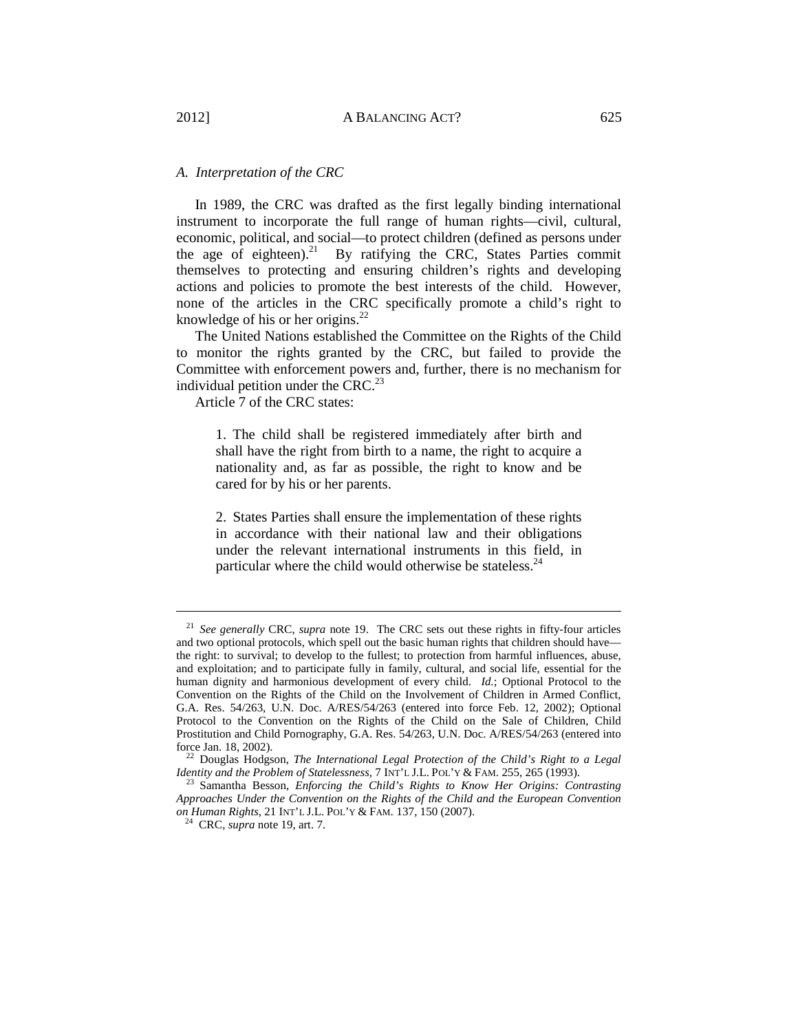# *A. Interpretation of the CRC*

In 1989, the CRC was drafted as the first legally binding international instrument to incorporate the full range of human rights—civil, cultural, economic, political, and social—to protect children (defined as persons under the age of eighteen).<sup>21</sup> By ratifying the CRC, States Parties commit themselves to protecting and ensuring children's rights and developing actions and policies to promote the best interests of the child. However, none of the articles in the CRC specifically promote a child's right to knowledge of his or her origins.22

The United Nations established the Committee on the Rights of the Child to monitor the rights granted by the CRC, but failed to provide the Committee with enforcement powers and, further, there is no mechanism for individual petition under the CRC. $^{23}$ 

Article 7 of the CRC states:

1. The child shall be registered immediately after birth and shall have the right from birth to a name, the right to acquire a nationality and, as far as possible, the right to know and be cared for by his or her parents.

2. States Parties shall ensure the implementation of these rights in accordance with their national law and their obligations under the relevant international instruments in this field, in particular where the child would otherwise be stateless. $^{24}$ 

<sup>21</sup> *See generally* CRC, *supra* note 19. The CRC sets out these rights in fifty-four articles and two optional protocols, which spell out the basic human rights that children should have the right: to survival; to develop to the fullest; to protection from harmful influences, abuse, and exploitation; and to participate fully in family, cultural, and social life, essential for the human dignity and harmonious development of every child. *Id.*; Optional Protocol to the Convention on the Rights of the Child on the Involvement of Children in Armed Conflict, G.A. Res. 54/263, U.N. Doc. A/RES/54/263 (entered into force Feb. 12, 2002); Optional Protocol to the Convention on the Rights of the Child on the Sale of Children, Child Prostitution and Child Pornography, G.A. Res. 54/263, U.N. Doc. A/RES/54/263 (entered into force Jan. 18, 2002). 22 Douglas Hodgson, *The International Legal Protection of the Child's Right to a Legal* 

*Identity and the Problem of Statelessness*, 7 INT'L J.L. POL'Y & FAM. 255, 265 (1993).<br><sup>23</sup> Samantha Besson, *Enforcing the Child's Rights to Know Her Origins: Contrasting* 

*Approaches Under the Convention on the Rights of the Child and the European Convention on Human Rights*, 21 INT'L J.L. POL'Y & FAM. 137, 150 (2007).

24 CRC, *supra* note 19, art. 7.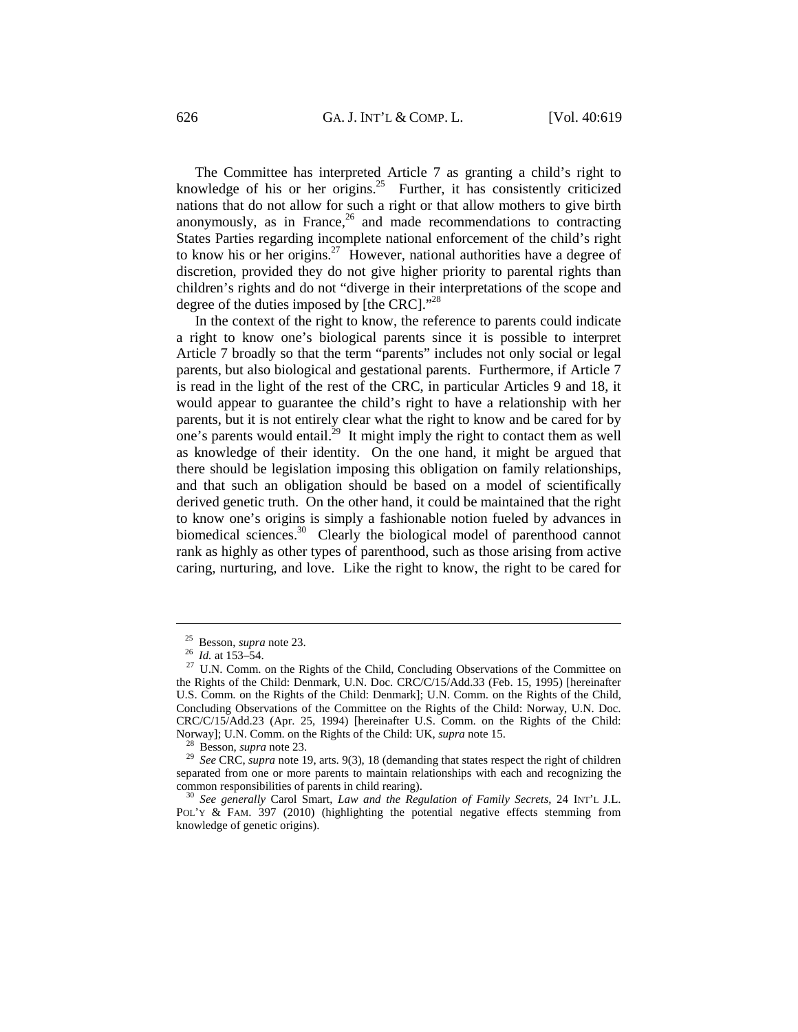The Committee has interpreted Article 7 as granting a child's right to knowledge of his or her origins.<sup>25</sup> Further, it has consistently criticized nations that do not allow for such a right or that allow mothers to give birth anonymously, as in France, $26$  and made recommendations to contracting States Parties regarding incomplete national enforcement of the child's right to know his or her origins.<sup>27</sup> However, national authorities have a degree of discretion, provided they do not give higher priority to parental rights than children's rights and do not "diverge in their interpretations of the scope and degree of the duties imposed by [the CRC]."<sup>28</sup>

In the context of the right to know, the reference to parents could indicate a right to know one's biological parents since it is possible to interpret Article 7 broadly so that the term "parents" includes not only social or legal parents, but also biological and gestational parents. Furthermore, if Article 7 is read in the light of the rest of the CRC, in particular Articles 9 and 18, it would appear to guarantee the child's right to have a relationship with her parents, but it is not entirely clear what the right to know and be cared for by one's parents would entail.<sup>29</sup> It might imply the right to contact them as well as knowledge of their identity. On the one hand, it might be argued that there should be legislation imposing this obligation on family relationships, and that such an obligation should be based on a model of scientifically derived genetic truth. On the other hand, it could be maintained that the right to know one's origins is simply a fashionable notion fueled by advances in biomedical sciences.<sup>30</sup> Clearly the biological model of parenthood cannot rank as highly as other types of parenthood, such as those arising from active caring, nurturing, and love. Like the right to know, the right to be cared for

 $\frac{25}{26}$  Besson, *supra* note 23.<br><sup>26</sup> *Id.* at 153–54.

<sup>&</sup>lt;sup>27</sup> U.N. Comm. on the Rights of the Child, Concluding Observations of the Committee on the Rights of the Child: Denmark, U.N. Doc. CRC/C/15/Add.33 (Feb. 15, 1995) [hereinafter U.S. Comm. on the Rights of the Child: Denmark]; U.N. Comm. on the Rights of the Child, Concluding Observations of the Committee on the Rights of the Child: Norway, U.N. Doc. CRC/C/15/Add.23 (Apr. 25, 1994) [hereinafter U.S. Comm. on the Rights of the Child: Norway]; U.N. Comm. on the Rights of the Child: UK, *supra* note 15.

<sup>&</sup>lt;sup>28</sup> Besson, *supra* note 23. *Pologyaya* Besson, *supra* note 19, arts. 9(3), 18 (demanding that states respect the right of children separated from one or more parents to maintain relationships with each and recognizing the common responsibilities of parents in child rearing). 30 *See generally* Carol Smart, *Law and the Regulation of Family Secrets*, 24 INT'L J.L.

POL'Y & FAM. 397 (2010) (highlighting the potential negative effects stemming from knowledge of genetic origins).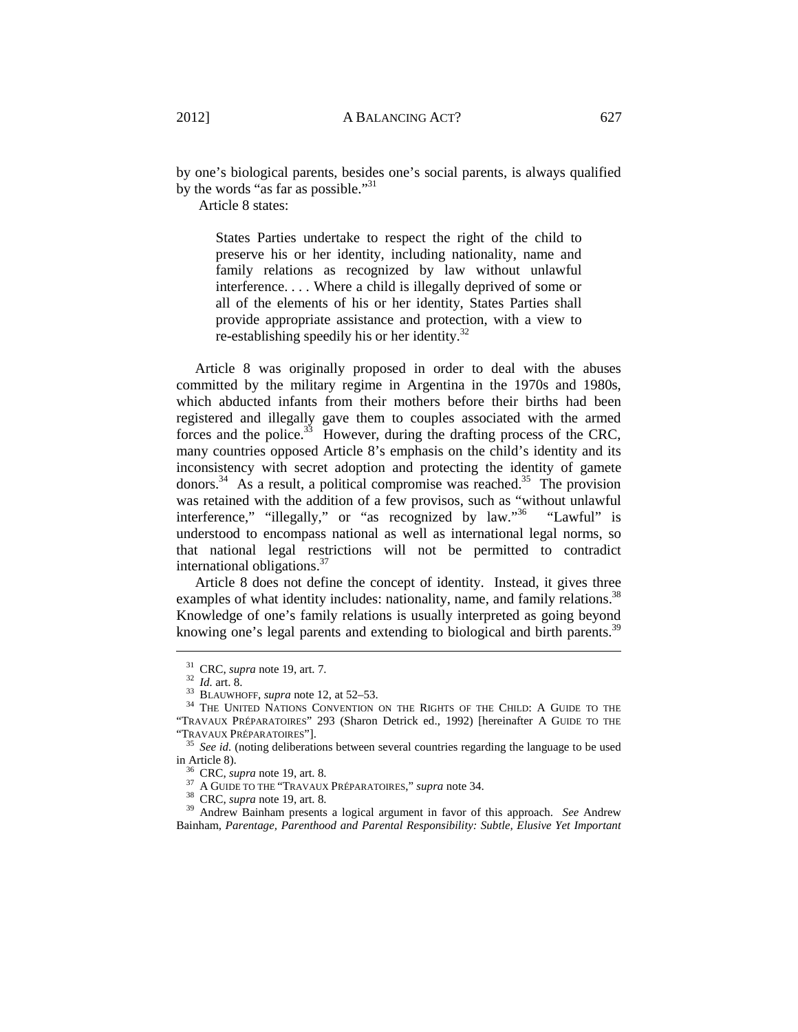by one's biological parents, besides one's social parents, is always qualified by the words "as far as possible."<sup>31</sup>

Article 8 states:

States Parties undertake to respect the right of the child to preserve his or her identity, including nationality, name and family relations as recognized by law without unlawful interference. . . . Where a child is illegally deprived of some or all of the elements of his or her identity, States Parties shall provide appropriate assistance and protection, with a view to re-establishing speedily his or her identity. $32$ 

Article 8 was originally proposed in order to deal with the abuses committed by the military regime in Argentina in the 1970s and 1980s, which abducted infants from their mothers before their births had been registered and illegally gave them to couples associated with the armed forces and the police.<sup>33</sup> However, during the drafting process of the CRC, many countries opposed Article 8's emphasis on the child's identity and its inconsistency with secret adoption and protecting the identity of gamete donors.<sup>34</sup> As a result, a political compromise was reached.<sup>35</sup> The provision was retained with the addition of a few provisos, such as "without unlawful interference," "illegally," or "as recognized by law."<sup>36</sup> "Lawful" is understood to encompass national as well as international legal norms, so that national legal restrictions will not be permitted to contradict international obligations.37

Article 8 does not define the concept of identity. Instead, it gives three examples of what identity includes: nationality, name, and family relations.<sup>38</sup> Knowledge of one's family relations is usually interpreted as going beyond knowing one's legal parents and extending to biological and birth parents.<sup>39</sup>

<sup>&</sup>lt;sup>31</sup> CRC, *supra* note 19, art. 7.<br><sup>32</sup> *Id.* art. 8.<br><sup>33</sup> BLAUWHOFF, *supra* note 12, at 52–53.<br><sup>34</sup> THE UNITED NATIONS CONVENTION ON THE RIGHTS OF THE CHILD: A GUIDE TO THE "TRAVAUX PRÉPARATOIRES" 293 (Sharon Detrick ed., 1992) [hereinafter A GUIDE TO THE

<sup>&</sup>lt;sup>35</sup> See id. (noting deliberations between several countries regarding the language to be used in Article 8).<br><sup>36</sup> CRC, *supra* note 19, art. 8.<br><sup>37</sup> A GUIDE TO THE "TRAVAUX PRÉPARATOIRES," *supra* note 34.<br><sup>38</sup> CRC, *supra* note 19, art. 8.<br><sup>39</sup> Andrew Bainham presents a logical argument in favor of this approach.

Bainham, *Parentage, Parenthood and Parental Responsibility: Subtle, Elusive Yet Important*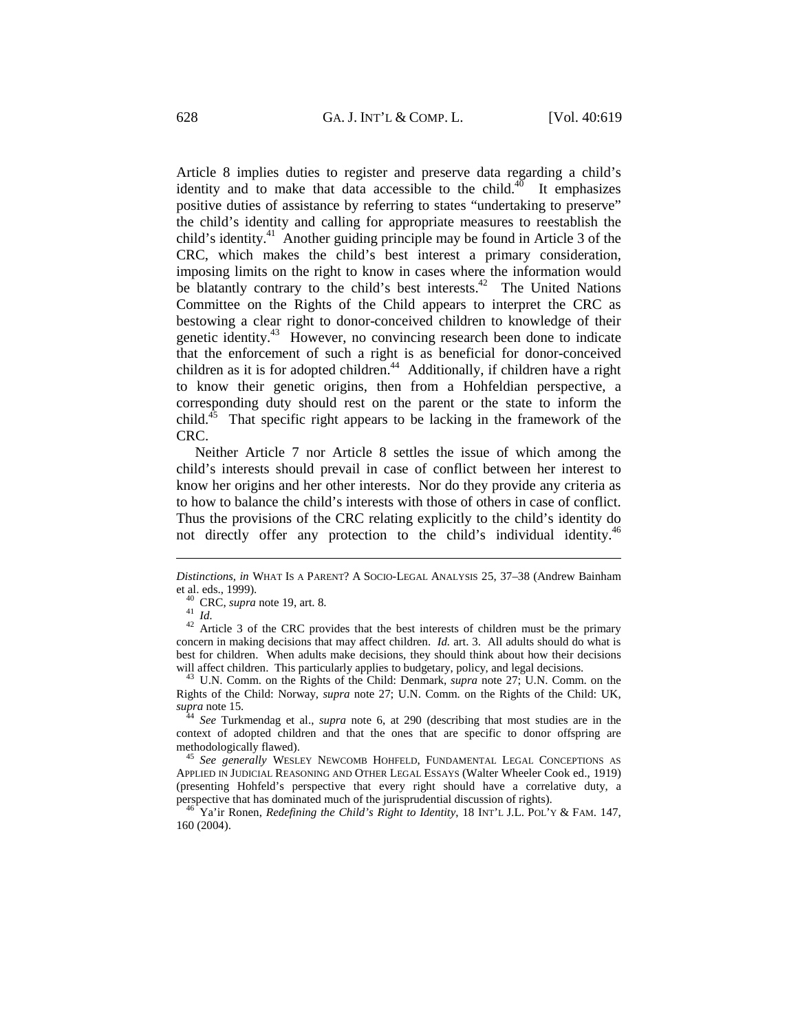Article 8 implies duties to register and preserve data regarding a child's identity and to make that data accessible to the child.<sup>40</sup> It emphasizes positive duties of assistance by referring to states "undertaking to preserve" the child's identity and calling for appropriate measures to reestablish the child's identity.<sup>41</sup> Another guiding principle may be found in Article 3 of the CRC, which makes the child's best interest a primary consideration, imposing limits on the right to know in cases where the information would be blatantly contrary to the child's best interests.<sup>42</sup> The United Nations Committee on the Rights of the Child appears to interpret the CRC as bestowing a clear right to donor-conceived children to knowledge of their genetic identity.43 However, no convincing research been done to indicate that the enforcement of such a right is as beneficial for donor-conceived children as it is for adopted children.<sup>44</sup> Additionally, if children have a right to know their genetic origins, then from a Hohfeldian perspective, a corresponding duty should rest on the parent or the state to inform the child.<sup>45</sup> That specific right appears to be lacking in the framework of the CRC.

Neither Article 7 nor Article 8 settles the issue of which among the child's interests should prevail in case of conflict between her interest to know her origins and her other interests. Nor do they provide any criteria as to how to balance the child's interests with those of others in case of conflict. Thus the provisions of the CRC relating explicitly to the child's identity do not directly offer any protection to the child's individual identity.<sup>46</sup>

 $\overline{a}$ 

concern in making decisions that may affect children. *Id.* art. 3. All adults should do what is best for children. When adults make decisions, they should think about how their decisions will affect children. This particularly applies to budgetary, policy, and legal decisions.

context of adopted children and that the ones that are specific to donor offspring are methodologically flawed). 45 *See generally* WESLEY NEWCOMB HOHFELD, FUNDAMENTAL LEGAL CONCEPTIONS AS

APPLIED IN JUDICIAL REASONING AND OTHER LEGAL ESSAYS (Walter Wheeler Cook ed., 1919) (presenting Hohfeld's perspective that every right should have a correlative duty, a

perspective that has dominated much of the jurisprudential discussion of rights). 46 Ya'ir Ronen, *Redefining the Child's Right to Identity*, 18 INT'L J.L. POL'Y & FAM. 147, 160 (2004).

*Distinctions*, *in* WHAT IS A PARENT? A SOCIO-LEGAL ANALYSIS 25, 37–38 (Andrew Bainham et al. eds., 1999).<br>
<sup>40</sup> CRC, *supra* note 19, art. 8.<br>
<sup>41</sup> *Id.*<br>
<sup>42</sup> Article 3 of the CRC provides that the best interests of children must be the primary

<sup>&</sup>lt;sup>43</sup> U.N. Comm. on the Rights of the Child: Denmark, *supra* note 27; U.N. Comm. on the Rights of the Child: Norway, *supra* note 27; U.N. Comm. on the Rights of the Child: UK, *supra* note 15. 44 *See* Turkmendag et al., *supra* note 6, at 290 (describing that most studies are in the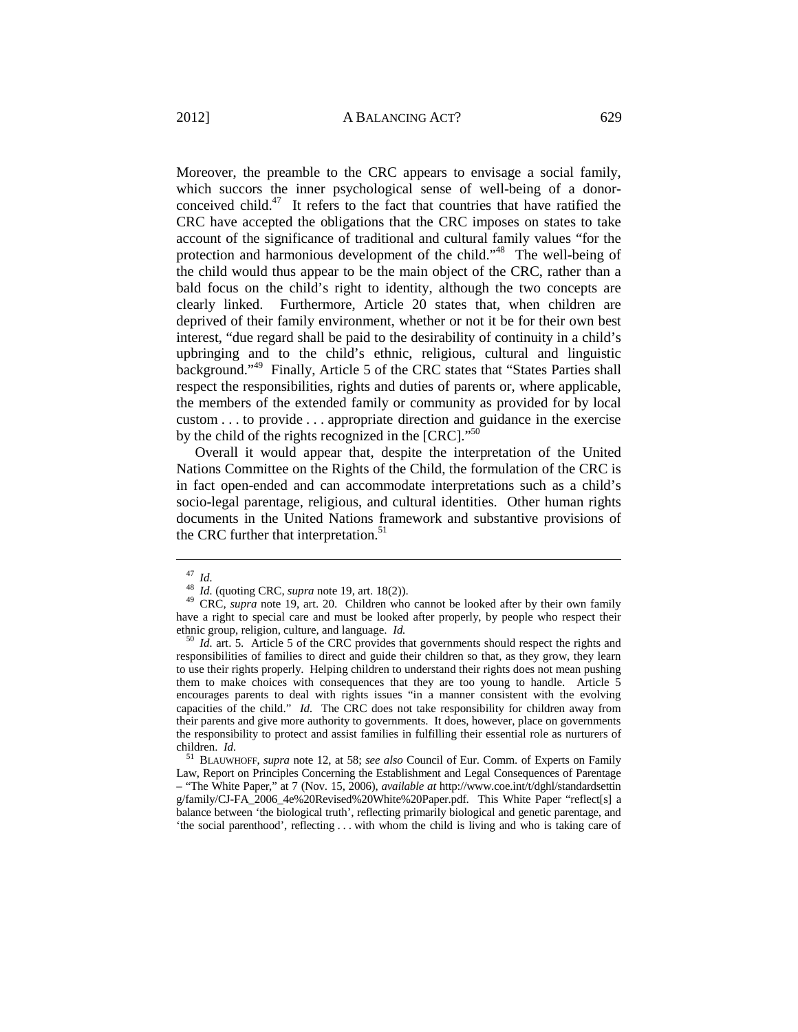Moreover, the preamble to the CRC appears to envisage a social family, which succors the inner psychological sense of well-being of a donorconceived child.<sup>47</sup> It refers to the fact that countries that have ratified the CRC have accepted the obligations that the CRC imposes on states to take account of the significance of traditional and cultural family values "for the protection and harmonious development of the child."48 The well-being of the child would thus appear to be the main object of the CRC, rather than a bald focus on the child's right to identity, although the two concepts are clearly linked. Furthermore, Article 20 states that, when children are deprived of their family environment, whether or not it be for their own best interest, "due regard shall be paid to the desirability of continuity in a child's upbringing and to the child's ethnic, religious, cultural and linguistic background."49 Finally, Article 5 of the CRC states that "States Parties shall respect the responsibilities, rights and duties of parents or, where applicable, the members of the extended family or community as provided for by local custom . . . to provide . . . appropriate direction and guidance in the exercise by the child of the rights recognized in the [CRC]."<sup>50</sup>

Overall it would appear that, despite the interpretation of the United Nations Committee on the Rights of the Child, the formulation of the CRC is in fact open-ended and can accommodate interpretations such as a child's socio-legal parentage, religious, and cultural identities. Other human rights documents in the United Nations framework and substantive provisions of the CRC further that interpretation.<sup>51</sup>

<sup>47</sup> *Id.*<sup>48</sup> *Id.* (quoting CRC, *supra* note 19, art. 18(2)). 49 CRC, *supra* note 19, art. 20. Children who cannot be looked after by their own family have a right to special care and must be looked after properly, by people who respect their ethnic group, religion, culture, and language. *Id.* <sup>50</sup> *Id.* art. 5. Article 5 of the CRC provides that governments should respect the rights and

responsibilities of families to direct and guide their children so that, as they grow, they learn to use their rights properly. Helping children to understand their rights does not mean pushing them to make choices with consequences that they are too young to handle. Article 5 encourages parents to deal with rights issues "in a manner consistent with the evolving capacities of the child." *Id.* The CRC does not take responsibility for children away from their parents and give more authority to governments. It does, however, place on governments the responsibility to protect and assist families in fulfilling their essential role as nurturers of children. *Id.* 

<sup>&</sup>lt;sup>51</sup> BLAUWHOFF, *supra* note 12, at 58; *see also* Council of Eur. Comm. of Experts on Family Law, Report on Principles Concerning the Establishment and Legal Consequences of Parentage – "The White Paper," at 7 (Nov. 15, 2006), *available at* http://www.coe.int/t/dghl/standardsettin g/family/CJ-FA\_2006\_4e%20Revised%20White%20Paper.pdf. This White Paper "reflect[s] a balance between 'the biological truth', reflecting primarily biological and genetic parentage, and 'the social parenthood', reflecting . . . with whom the child is living and who is taking care of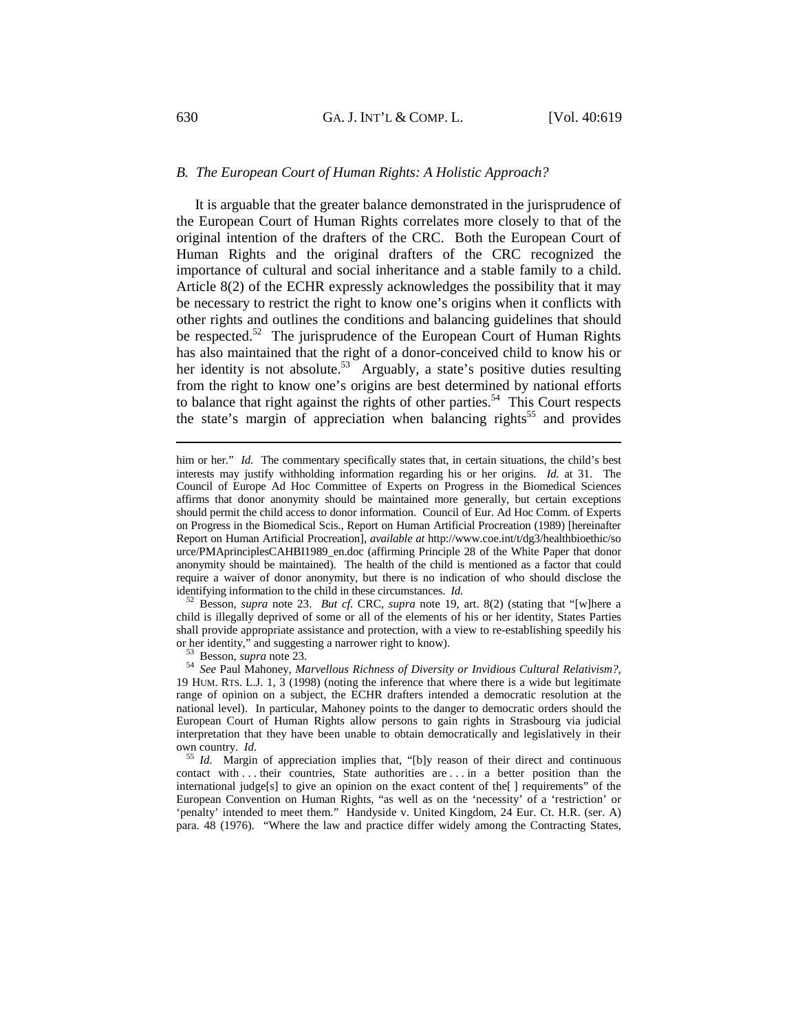## *B. The European Court of Human Rights: A Holistic Approach?*

It is arguable that the greater balance demonstrated in the jurisprudence of the European Court of Human Rights correlates more closely to that of the original intention of the drafters of the CRC. Both the European Court of Human Rights and the original drafters of the CRC recognized the importance of cultural and social inheritance and a stable family to a child. Article 8(2) of the ECHR expressly acknowledges the possibility that it may be necessary to restrict the right to know one's origins when it conflicts with other rights and outlines the conditions and balancing guidelines that should be respected.<sup>52</sup> The jurisprudence of the European Court of Human Rights has also maintained that the right of a donor-conceived child to know his or her identity is not absolute.<sup>53</sup> Arguably, a state's positive duties resulting from the right to know one's origins are best determined by national efforts to balance that right against the rights of other parties.<sup>54</sup> This Court respects the state's margin of appreciation when balancing rights<sup>55</sup> and provides

identifying information to the child in these circumstances. *Id.* 52 Besson, *supra* note 23. *But cf.* CRC, *supra* note 19, art. 8(2) (stating that "[w]here a child is illegally deprived of some or all of the elements of his or her identity, States Parties shall provide appropriate assistance and protection, with a view to re-establishing speedily his

or her identity," and suggesting a narrower right to know).<br><sup>53</sup> Besson, *supra* note 23.<br><sup>54</sup> *See* Paul Mahoney, *Marvellous Richness of Diversity or Invidious Cultural Relativism?*, 19 HUM. RTS. L.J. 1, 3 (1998) (noting the inference that where there is a wide but legitimate range of opinion on a subject, the ECHR drafters intended a democratic resolution at the national level). In particular, Mahoney points to the danger to democratic orders should the European Court of Human Rights allow persons to gain rights in Strasbourg via judicial interpretation that they have been unable to obtain democratically and legislatively in their own country. *Id.* 55 *Id.* Margin of appreciation implies that, "[b]y reason of their direct and continuous

contact with . . . their countries, State authorities are . . . in a better position than the international judge[s] to give an opinion on the exact content of the[ ] requirements" of the European Convention on Human Rights, "as well as on the 'necessity' of a 'restriction' or 'penalty' intended to meet them." Handyside v. United Kingdom, 24 Eur. Ct. H.R. (ser. A) para. 48 (1976). "Where the law and practice differ widely among the Contracting States,

him or her." *Id.* The commentary specifically states that, in certain situations, the child's best interests may justify withholding information regarding his or her origins. *Id.* at 31. The Council of Europe Ad Hoc Committee of Experts on Progress in the Biomedical Sciences affirms that donor anonymity should be maintained more generally, but certain exceptions should permit the child access to donor information. Council of Eur. Ad Hoc Comm. of Experts on Progress in the Biomedical Scis., Report on Human Artificial Procreation (1989) [hereinafter Report on Human Artificial Procreation], *available at* http://www.coe.int/t/dg3/healthbioethic/so urce/PMAprinciplesCAHBI1989\_en.doc (affirming Principle 28 of the White Paper that donor anonymity should be maintained). The health of the child is mentioned as a factor that could require a waiver of donor anonymity, but there is no indication of who should disclose the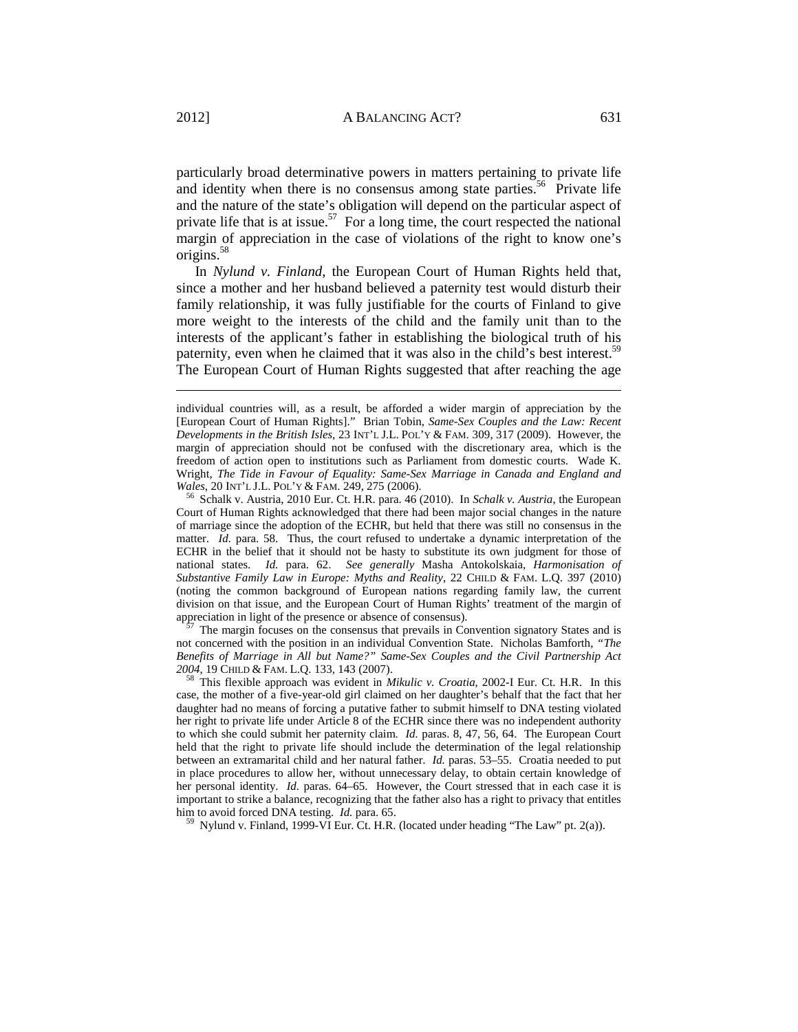particularly broad determinative powers in matters pertaining to private life and identity when there is no consensus among state parties.<sup>56</sup> Private life and the nature of the state's obligation will depend on the particular aspect of private life that is at issue.<sup>57</sup> For a long time, the court respected the national margin of appreciation in the case of violations of the right to know one's origins.58

In *Nylund v. Finland*, the European Court of Human Rights held that, since a mother and her husband believed a paternity test would disturb their family relationship, it was fully justifiable for the courts of Finland to give more weight to the interests of the child and the family unit than to the interests of the applicant's father in establishing the biological truth of his paternity, even when he claimed that it was also in the child's best interest.<sup>59</sup> The European Court of Human Rights suggested that after reaching the age

Court of Human Rights acknowledged that there had been major social changes in the nature of marriage since the adoption of the ECHR, but held that there was still no consensus in the matter. *Id.* para. 58. Thus, the court refused to undertake a dynamic interpretation of the ECHR in the belief that it should not be hasty to substitute its own judgment for those of national states. *Id.* para. 62. *See generally* Masha Antokolskaia, *Harmonisation of Substantive Family Law in Europe: Myths and Reality*, 22 CHILD & FAM. L.Q. 397 (2010) (noting the common background of European nations regarding family law, the current division on that issue, and the European Court of Human Rights' treatment of the margin of appreciation in light of the presence or absence of consensus).

The margin focuses on the consensus that prevails in Convention signatory States and is not concerned with the position in an individual Convention State. Nicholas Bamforth, *"The Benefits of Marriage in All but Name?" Same-Sex Couples and the Civil Partnership Act <sup>2004</sup>*, 19 CHILD & FAM. L.Q. 133, 143 (2007). 58 This flexible approach was evident in *Mikulic v. Croatia*, 2002-I Eur. Ct. H.R. In this

case, the mother of a five-year-old girl claimed on her daughter's behalf that the fact that her daughter had no means of forcing a putative father to submit himself to DNA testing violated her right to private life under Article 8 of the ECHR since there was no independent authority to which she could submit her paternity claim. *Id.* paras. 8, 47, 56, 64. The European Court held that the right to private life should include the determination of the legal relationship between an extramarital child and her natural father. *Id.* paras. 53–55. Croatia needed to put in place procedures to allow her, without unnecessary delay, to obtain certain knowledge of her personal identity. *Id.* paras. 64–65. However, the Court stressed that in each case it is important to strike a balance, recognizing that the father also has a right to privacy that entitles him to avoid forced DNA testing. *Id.* para. 65. **59 Nylund v. Finland, 1999-VI Eur. Ct. H.R. (located under heading "The Law" pt. 2(a)).** 

individual countries will, as a result, be afforded a wider margin of appreciation by the [European Court of Human Rights]." Brian Tobin, *Same-Sex Couples and the Law: Recent Developments in the British Isles*, 23 INT'L J.L. POL'Y & FAM. 309, 317 (2009). However, the margin of appreciation should not be confused with the discretionary area, which is the freedom of action open to institutions such as Parliament from domestic courts. Wade K. Wright, *The Tide in Favour of Equality: Same-Sex Marriage in Canada and England and Wales*, 20 INT'L J.L. POL'Y & FAM. 249, 275 (2006).<br><sup>56</sup> Schalk v. Austria, 2010 Eur. Ct. H.R. para. 46 (2010). In *Schalk v. Austria*, the European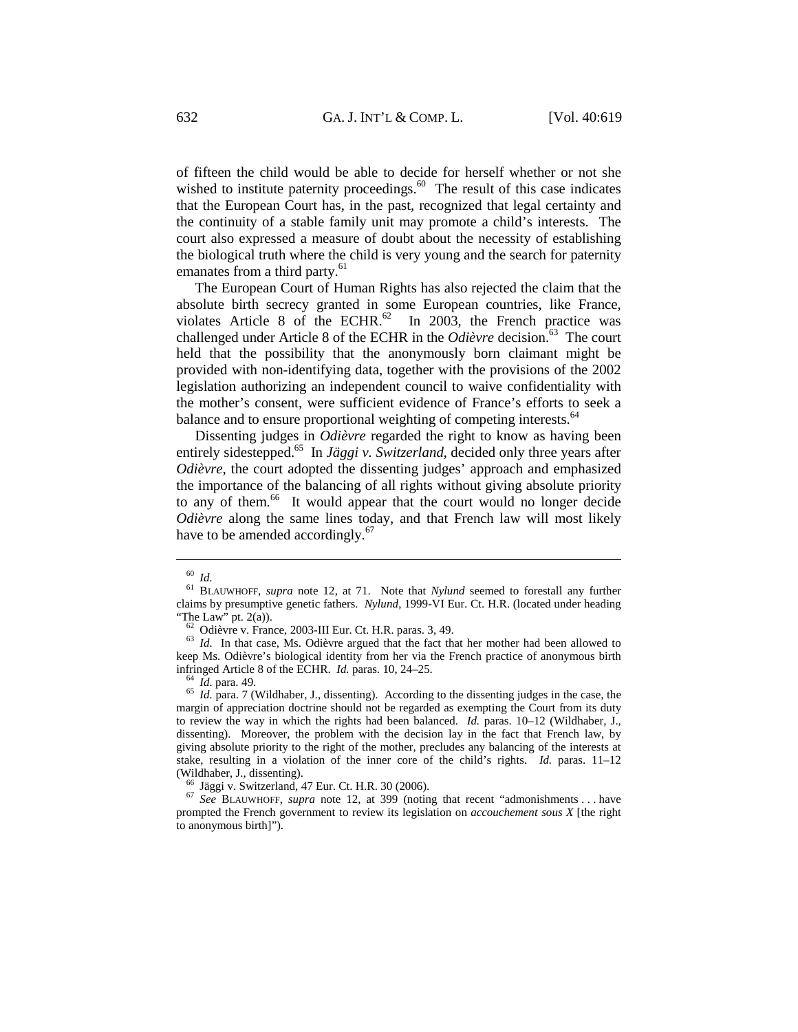of fifteen the child would be able to decide for herself whether or not she wished to institute paternity proceedings. $60$  The result of this case indicates that the European Court has, in the past, recognized that legal certainty and the continuity of a stable family unit may promote a child's interests. The court also expressed a measure of doubt about the necessity of establishing the biological truth where the child is very young and the search for paternity emanates from a third party.<sup>61</sup>

The European Court of Human Rights has also rejected the claim that the absolute birth secrecy granted in some European countries, like France, violates Article 8 of the ECHR. $^{62}$  In 2003, the French practice was challenged under Article 8 of the ECHR in the *Odièvre* decision.<sup>63</sup> The court held that the possibility that the anonymously born claimant might be provided with non-identifying data, together with the provisions of the 2002 legislation authorizing an independent council to waive confidentiality with the mother's consent, were sufficient evidence of France's efforts to seek a balance and to ensure proportional weighting of competing interests.<sup>64</sup>

Dissenting judges in *Odièvre* regarded the right to know as having been entirely sidestepped.<sup>65</sup> In *Jäggi v. Switzerland*, decided only three years after *Odièvre*, the court adopted the dissenting judges' approach and emphasized the importance of the balancing of all rights without giving absolute priority to any of them.<sup>66</sup> It would appear that the court would no longer decide *Odièvre* along the same lines today, and that French law will most likely have to be amended accordingly. $67$ 

<sup>60</sup> *Id.* 61 BLAUWHOFF, *supra* note 12, at 71. Note that *Nylund* seemed to forestall any further claims by presumptive genetic fathers. *Nylund*, 1999-VI Eur. Ct. H.R. (located under heading "The Law" pt. 2(a)).

<sup>&</sup>lt;sup>62</sup> Odièvre v. France, 2003-III Eur. Ct. H.R. paras. 3, 49.  $Id$ . In that case, Ms. Odièvre argued that the fact that her mother had been allowed to keep Ms. Odièvre's biological identity from her via the French practice of anonymous birth infringed Article 8 of the ECHR. *Id.* paras. 10, 24–25.<br><sup>64</sup> *Id.* para. 49.<br><sup>65</sup> *Id.* para. 7 (Wildhaber, J., dissenting). According to the dissenting judges in the case, the

margin of appreciation doctrine should not be regarded as exempting the Court from its duty to review the way in which the rights had been balanced. *Id.* paras. 10–12 (Wildhaber, J., dissenting). Moreover, the problem with the decision lay in the fact that French law, by giving absolute priority to the right of the mother, precludes any balancing of the interests at stake, resulting in a violation of the inner core of the child's rights. *Id.* paras. 11–12 (Wildhaber, J., dissenting).

<sup>&</sup>lt;sup>66</sup> Jäggi v. Switzerland, 47 Eur. Ct. H.R. 30 (2006).<br><sup>67</sup> *See* BLAUWHOFF, *supra* note 12, at 399 (noting that recent "admonishments . . . have prompted the French government to review its legislation on *accouchement sous X* [the right to anonymous birth]").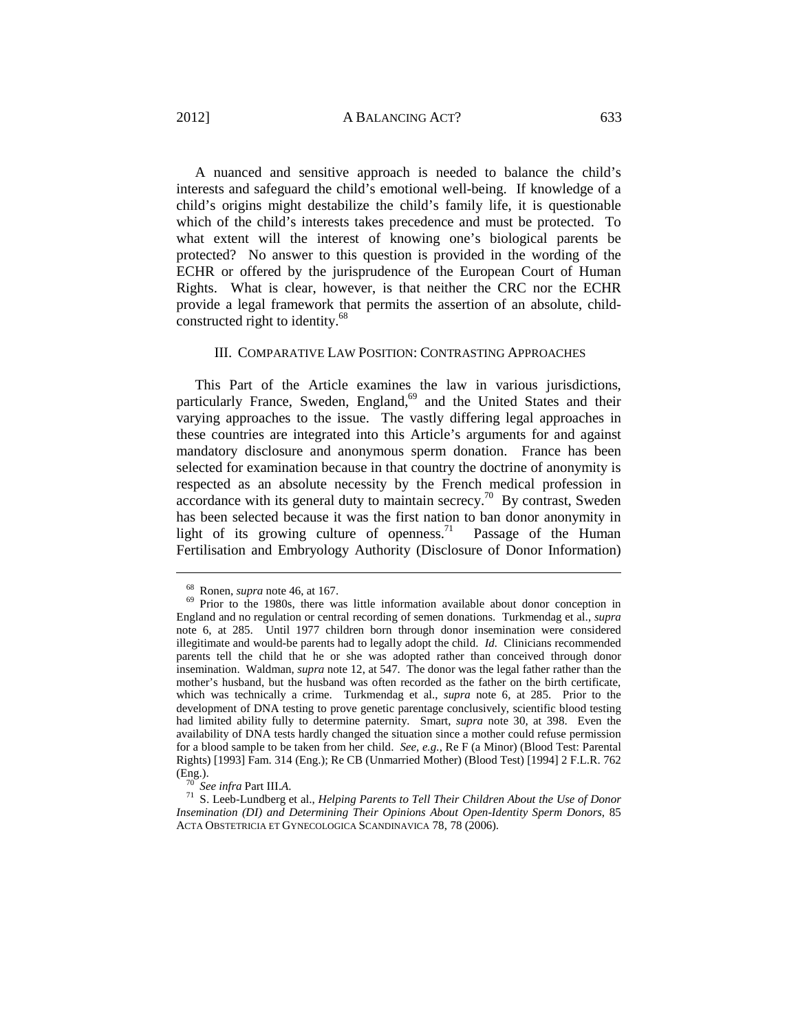A nuanced and sensitive approach is needed to balance the child's interests and safeguard the child's emotional well-being. If knowledge of a child's origins might destabilize the child's family life, it is questionable which of the child's interests takes precedence and must be protected. To what extent will the interest of knowing one's biological parents be protected? No answer to this question is provided in the wording of the ECHR or offered by the jurisprudence of the European Court of Human Rights. What is clear, however, is that neither the CRC nor the ECHR provide a legal framework that permits the assertion of an absolute, childconstructed right to identity.<sup>68</sup>

#### III. COMPARATIVE LAW POSITION: CONTRASTING APPROACHES

This Part of the Article examines the law in various jurisdictions, particularly France, Sweden, England,<sup>69</sup> and the United States and their varying approaches to the issue. The vastly differing legal approaches in these countries are integrated into this Article's arguments for and against mandatory disclosure and anonymous sperm donation. France has been selected for examination because in that country the doctrine of anonymity is respected as an absolute necessity by the French medical profession in accordance with its general duty to maintain secrecy.<sup>70</sup> By contrast, Sweden has been selected because it was the first nation to ban donor anonymity in light of its growing culture of openness.<sup>71</sup> Passage of the Human Fertilisation and Embryology Authority (Disclosure of Donor Information)

<sup>&</sup>lt;sup>68</sup> Ronen, *supra* note 46, at 167.<br><sup>69</sup> Prior to the 1980s, there was little information available about donor conception in England and no regulation or central recording of semen donations. Turkmendag et al., *supra* note 6, at 285. Until 1977 children born through donor insemination were considered illegitimate and would-be parents had to legally adopt the child. *Id.* Clinicians recommended parents tell the child that he or she was adopted rather than conceived through donor insemination. Waldman, *supra* note 12, at 547. The donor was the legal father rather than the mother's husband, but the husband was often recorded as the father on the birth certificate, which was technically a crime. Turkmendag et al., *supra* note 6, at 285. Prior to the development of DNA testing to prove genetic parentage conclusively, scientific blood testing had limited ability fully to determine paternity. Smart, *supra* note 30, at 398. Even the availability of DNA tests hardly changed the situation since a mother could refuse permission for a blood sample to be taken from her child. *See, e.g.*, Re F (a Minor) (Blood Test: Parental Rights) [1993] Fam. 314 (Eng.); Re CB (Unmarried Mother) (Blood Test) [1994] 2 F.L.R. 762

<sup>(</sup>Eng.). 70 *See infra* Part III.*A*. 71 S. Leeb-Lundberg et al., *Helping Parents to Tell Their Children About the Use of Donor Insemination (DI) and Determining Their Opinions About Open-Identity Sperm Donors*, 85 ACTA OBSTETRICIA ET GYNECOLOGICA SCANDINAVICA 78, 78 (2006).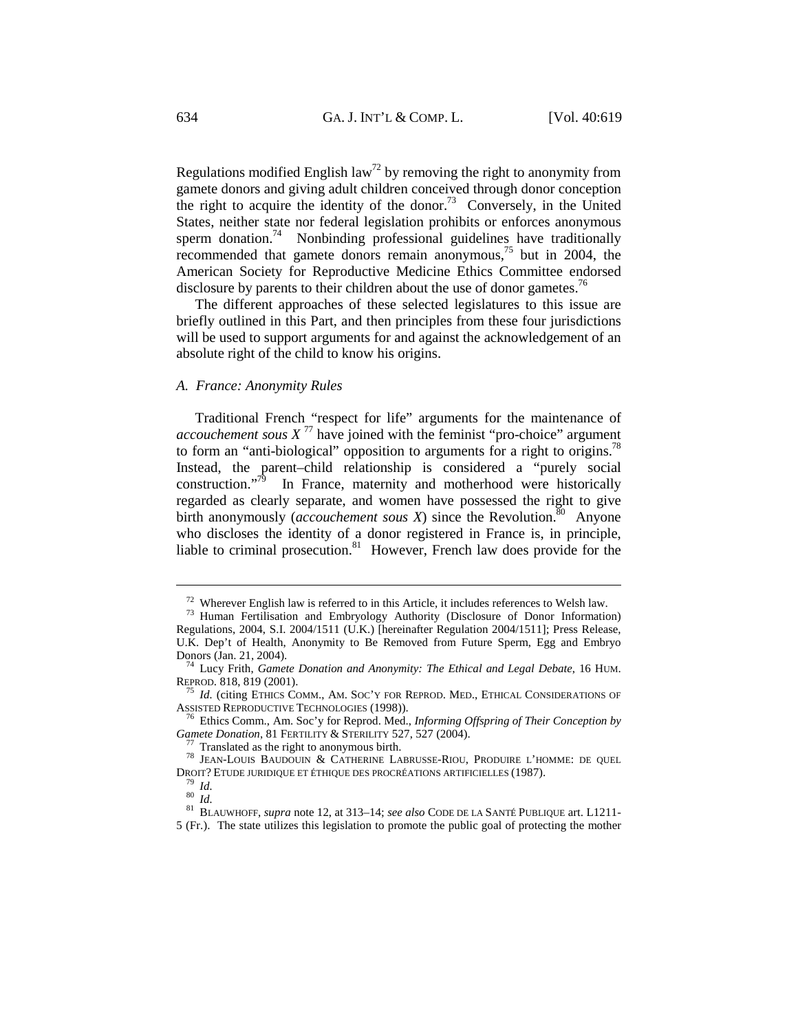Regulations modified English law<sup>72</sup> by removing the right to anonymity from gamete donors and giving adult children conceived through donor conception the right to acquire the identity of the donor.<sup>73</sup> Conversely, in the United States, neither state nor federal legislation prohibits or enforces anonymous sperm donation.<sup>74</sup> Nonbinding professional guidelines have traditionally recommended that gamete donors remain anonymous, $7<sup>5</sup>$  but in 2004, the American Society for Reproductive Medicine Ethics Committee endorsed disclosure by parents to their children about the use of donor gametes.<sup>76</sup>

The different approaches of these selected legislatures to this issue are briefly outlined in this Part, and then principles from these four jurisdictions will be used to support arguments for and against the acknowledgement of an absolute right of the child to know his origins.

# *A. France: Anonymity Rules*

Traditional French "respect for life" arguments for the maintenance of *accouchement sous*  $X^{77}$  have joined with the feminist "pro-choice" argument to form an "anti-biological" opposition to arguments for a right to origins.<sup>78</sup> Instead, the parent–child relationship is considered a "purely social construction." $\overline{19}$  In France, maternity and motherhood were historically regarded as clearly separate, and women have possessed the right to give birth anonymously (*accouchement sous X*) since the Revolution.<sup>80</sup> Anyone who discloses the identity of a donor registered in France is, in principle, liable to criminal prosecution.<sup>81</sup> However, French law does provide for the

<sup>&</sup>lt;sup>72</sup> Wherever English law is referred to in this Article, it includes references to Welsh law.<br><sup>73</sup> Human Fertilisation and Embryology Authority (Disclosure of Donor Information)

Regulations, 2004, S.I. 2004/1511 (U.K.) [hereinafter Regulation 2004/1511]; Press Release, U.K. Dep't of Health, Anonymity to Be Removed from Future Sperm, Egg and Embryo Donors (Jan. 21, 2004). 74 Lucy Frith, *Gamete Donation and Anonymity: The Ethical and Legal Debate*, 16 HUM.

REPROD. 818, 819 (2001). *<sup>75</sup> Id.* (citing ETHICS COMM., AM. SOC'Y FOR REPROD. MED., ETHICAL CONSIDERATIONS OF ASSISTED REPRODUCTIVE TECHNOLOGIES (1998)).

<sup>&</sup>lt;sup>76</sup> Ethics Comm., Am. Soc'y for Reprod. Med., *Informing Offspring of Their Conception by Gamete Donation*, 81 FERTILITY & STERILITY 527, 527 (2004).<br><sup>77</sup> Translated as the right to anonymous birth.<br><sup>78</sup> JEAN-LOUIS BAUDOUIN & CATHERINE LABRUSSE-RIOU, PRODUIRE L'HOMME: DE QUEL

DROIT? ETUDE JURIDIQUE ET ÉTHIQUE DES PROCRÉATIONS ARTIFICIELLES (1987). 79 *Id.* <sup>80</sup> *Id.* 81 BLAUWHOFF, *supra* note 12, at 313–14; *see also* CODE DE LA SANTÉ PUBLIQUE art. L1211-

<sup>5 (</sup>Fr.). The state utilizes this legislation to promote the public goal of protecting the mother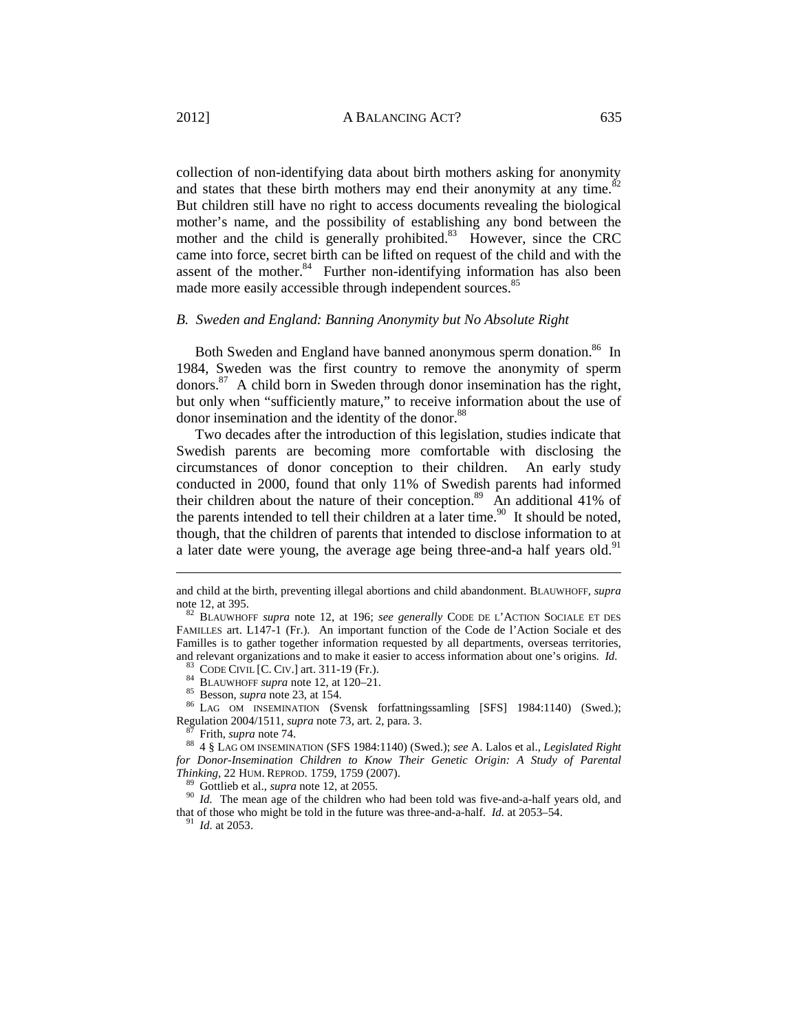collection of non-identifying data about birth mothers asking for anonymity and states that these birth mothers may end their anonymity at any time. $82$ But children still have no right to access documents revealing the biological mother's name, and the possibility of establishing any bond between the mother and the child is generally prohibited.<sup>83</sup> However, since the CRC came into force, secret birth can be lifted on request of the child and with the assent of the mother.<sup>84</sup> Further non-identifying information has also been made more easily accessible through independent sources.<sup>85</sup>

#### *B. Sweden and England: Banning Anonymity but No Absolute Right*

Both Sweden and England have banned anonymous sperm donation.<sup>86</sup> In 1984, Sweden was the first country to remove the anonymity of sperm donors.87 A child born in Sweden through donor insemination has the right, but only when "sufficiently mature," to receive information about the use of donor insemination and the identity of the donor.<sup>88</sup>

Two decades after the introduction of this legislation, studies indicate that Swedish parents are becoming more comfortable with disclosing the circumstances of donor conception to their children. An early study conducted in 2000, found that only 11% of Swedish parents had informed their children about the nature of their conception.<sup>89</sup> An additional 41% of the parents intended to tell their children at a later time.<sup>90</sup> It should be noted, though, that the children of parents that intended to disclose information to at a later date were young, the average age being three-and-a half years old.<sup>91</sup>

and child at the birth, preventing illegal abortions and child abandonment. BLAUWHOFF, *supra* note 12, at 395.<br><sup>82</sup> BLAUWHOFF *supra* note 12, at 196; *see generally* CODE DE L'ACTION SOCIALE ET DES

FAMILLES art. L147-1 (Fr.). An important function of the Code de l'Action Sociale et des Familles is to gather together information requested by all departments, overseas territories, and relevant organizations and to make it easier to access information about one's origins. Id.

<sup>&</sup>lt;sup>83</sup> CODE CIVIL [C. CIV.] art. 311-19 (Fr.).<br>
<sup>84</sup> BLAUWHOFF *supra* note 12, at 120–21.<br>
<sup>85</sup> Besson, *supra* note 23, at 154.<br>
<sup>86</sup> LAG OM INSEMINATION (Svensk forfattningssamling [SFS] 1984:1140) (Swed.); Regulation 2004/1511, *supra* note 73, art. 2, para. 3.<br><sup>87</sup> Frith, *supra* note 74.<br><sup>88</sup> 4 § LAG OM INSEMINATION (SFS 1984:1140) (Swed.); *see* A. Lalos et al., *Legislated Right* 

*for Donor-Insemination Children to Know Their Genetic Origin: A Study of Parental Thinking*, 22 HUM. REPROD. 1759, 1759 (2007).<br><sup>89</sup> Gottlieb et al., *supra* note 12, at 2055.<br><sup>90</sup> *Id.* The mean age of the children who had been told was five-and-a-half years old, and

that of those who might be told in the future was three-and-a-half. *Id.* at 2053–54. 91 *Id.* at 2053.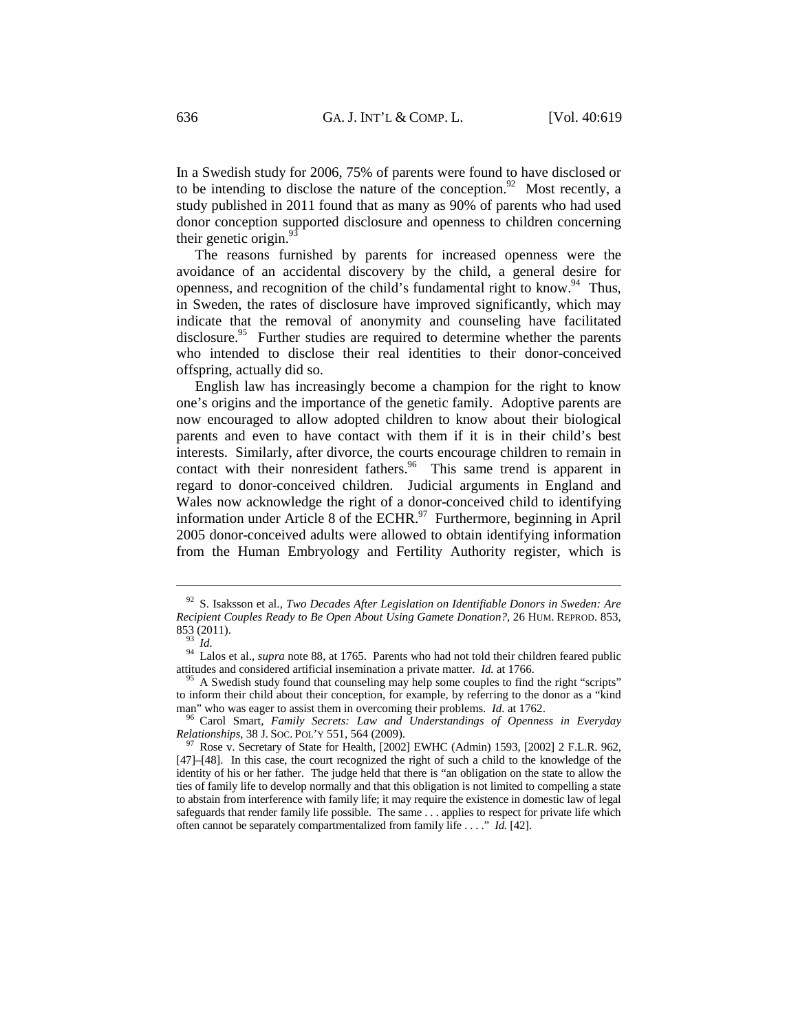In a Swedish study for 2006, 75% of parents were found to have disclosed or to be intending to disclose the nature of the conception.<sup>92</sup> Most recently, a study published in 2011 found that as many as 90% of parents who had used donor conception supported disclosure and openness to children concerning their genetic origin. $\frac{5}{3}$ 

The reasons furnished by parents for increased openness were the avoidance of an accidental discovery by the child, a general desire for openness, and recognition of the child's fundamental right to know. <sup>94</sup> Thus, in Sweden, the rates of disclosure have improved significantly, which may indicate that the removal of anonymity and counseling have facilitated disclosure.<sup>95</sup> Further studies are required to determine whether the parents who intended to disclose their real identities to their donor-conceived offspring, actually did so.

English law has increasingly become a champion for the right to know one's origins and the importance of the genetic family. Adoptive parents are now encouraged to allow adopted children to know about their biological parents and even to have contact with them if it is in their child's best interests. Similarly, after divorce, the courts encourage children to remain in contact with their nonresident fathers.<sup>96</sup> This same trend is apparent in regard to donor-conceived children. Judicial arguments in England and Wales now acknowledge the right of a donor-conceived child to identifying information under Article 8 of the ECHR. $^{97}$  Furthermore, beginning in April 2005 donor-conceived adults were allowed to obtain identifying information from the Human Embryology and Fertility Authority register, which is

<sup>92</sup> S. Isaksson et al., *Two Decades After Legislation on Identifiable Donors in Sweden: Are Recipient Couples Ready to Be Open About Using Gamete Donation?*, 26 HUM. REPROD. 853,

<sup>853 (2011).&</sup>lt;br><sup>93</sup> *Id.* 94 Lalos et al., *supra* note 88, at 1765. Parents who had not told their children feared public attitudes and considered artificial insemination a private matter. *Id.* at 1766.<br><sup>95</sup> A Swedish study found that counseling may help some couples to find the right "scripts"

to inform their child about their conception, for example, by referring to the donor as a "kind

man" who was eager to assist them in overcoming their problems. *Id.* at 1762.<br><sup>96</sup> Carol Smart, *Family Secrets: Law and Understandings of Openness in Everyday Relationships*, 38 J. Soc. Pot.' Y 551, 564 (2009).

<sup>&</sup>lt;sup>97</sup> Rose v. Secretary of State for Health, [2002] EWHC (Admin) 1593, [2002] 2 F.L.R. 962, [47]–[48]. In this case, the court recognized the right of such a child to the knowledge of the identity of his or her father. The judge held that there is "an obligation on the state to allow the ties of family life to develop normally and that this obligation is not limited to compelling a state to abstain from interference with family life; it may require the existence in domestic law of legal safeguards that render family life possible. The same . . . applies to respect for private life which often cannot be separately compartmentalized from family life . . . ." *Id.* [42].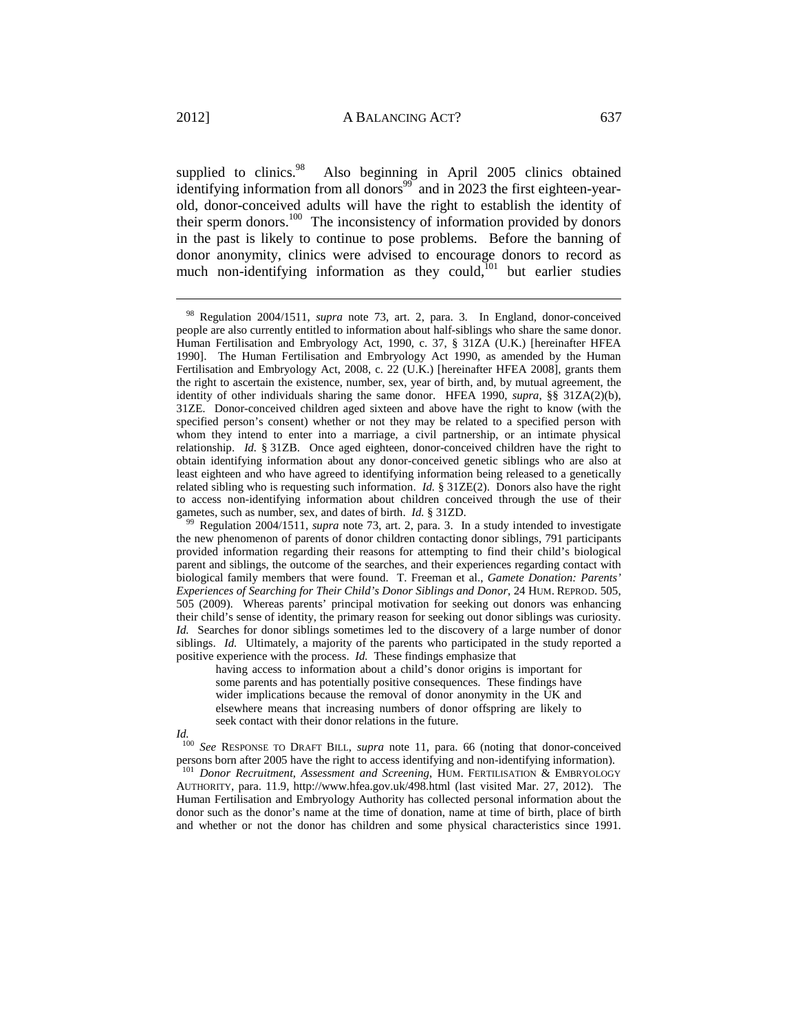supplied to clinics. $98$  Also beginning in April 2005 clinics obtained identifying information from all donors<sup>99</sup> and in 2023 the first eighteen-yearold, donor-conceived adults will have the right to establish the identity of their sperm donors.<sup>100</sup> The inconsistency of information provided by donors in the past is likely to continue to pose problems. Before the banning of donor anonymity, clinics were advised to encourage donors to record as much non-identifying information as they could, $101$  but earlier studies

having access to information about a child's donor origins is important for some parents and has potentially positive consequences. These findings have wider implications because the removal of donor anonymity in the UK and elsewhere means that increasing numbers of donor offspring are likely to seek contact with their donor relations in the future.

*Id.*

<sup>100</sup> *See* RESPONSE TO DRAFT BILL, *supra* note 11, para. 66 (noting that donor-conceived persons born after 2005 have the right to access identifying and non-identifying information).

<sup>101</sup> Donor Recruitment, Assessment and Screening, HUM. FERTILISATION & EMBRYOLOGY AUTHORITY, para. 11.9, http://www.hfea.gov.uk/498.html (last visited Mar. 27, 2012). The Human Fertilisation and Embryology Authority has collected personal information about the donor such as the donor's name at the time of donation, name at time of birth, place of birth and whether or not the donor has children and some physical characteristics since 1991.

<sup>98</sup> Regulation 2004/1511, *supra* note 73, art. 2, para. 3. In England, donor-conceived people are also currently entitled to information about half-siblings who share the same donor. Human Fertilisation and Embryology Act, 1990, c. 37, § 31ZA (U.K.) [hereinafter HFEA 1990]. The Human Fertilisation and Embryology Act 1990, as amended by the Human Fertilisation and Embryology Act, 2008, c. 22 (U.K.) [hereinafter HFEA 2008], grants them the right to ascertain the existence, number, sex, year of birth, and, by mutual agreement, the identity of other individuals sharing the same donor. HFEA 1990, *supra*, §§ 31ZA(2)(b), 31ZE. Donor-conceived children aged sixteen and above have the right to know (with the specified person's consent) whether or not they may be related to a specified person with whom they intend to enter into a marriage, a civil partnership, or an intimate physical relationship. *Id.* § 31ZB. Once aged eighteen, donor-conceived children have the right to obtain identifying information about any donor-conceived genetic siblings who are also at least eighteen and who have agreed to identifying information being released to a genetically related sibling who is requesting such information. *Id.* § 31ZE(2). Donors also have the right to access non-identifying information about children conceived through the use of their gametes, such as number, sex, and dates of birth.  $Id.$  § 31ZD.

Regulation 2004/1511, *supra* note 73, art. 2, para. 3. In a study intended to investigate the new phenomenon of parents of donor children contacting donor siblings, 791 participants provided information regarding their reasons for attempting to find their child's biological parent and siblings, the outcome of the searches, and their experiences regarding contact with biological family members that were found. T. Freeman et al., *Gamete Donation: Parents' Experiences of Searching for Their Child's Donor Siblings and Donor*, 24 HUM. REPROD. 505, 505 (2009). Whereas parents' principal motivation for seeking out donors was enhancing their child's sense of identity, the primary reason for seeking out donor siblings was curiosity. *Id.* Searches for donor siblings sometimes led to the discovery of a large number of donor siblings. *Id.* Ultimately, a majority of the parents who participated in the study reported a positive experience with the process. *Id.* These findings emphasize that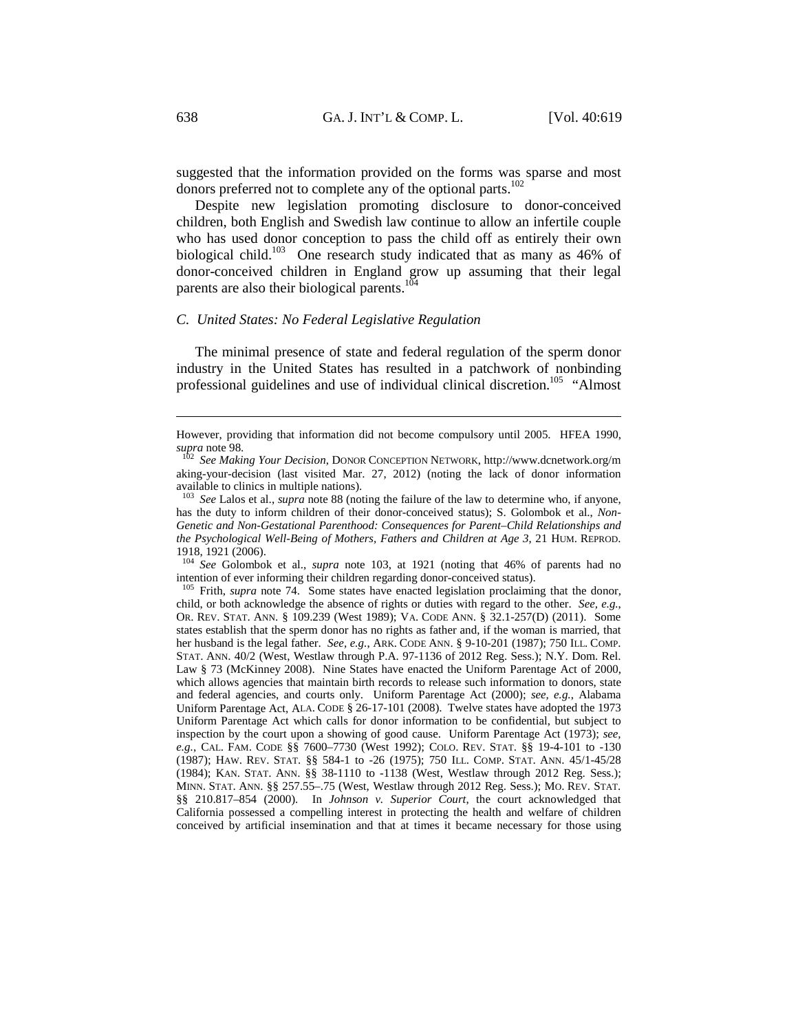suggested that the information provided on the forms was sparse and most donors preferred not to complete any of the optional parts.<sup>102</sup>

Despite new legislation promoting disclosure to donor-conceived children, both English and Swedish law continue to allow an infertile couple who has used donor conception to pass the child off as entirely their own biological child.<sup>103</sup> One research study indicated that as many as 46% of donor-conceived children in England grow up assuming that their legal parents are also their biological parents.<sup>104</sup>

#### *C. United States: No Federal Legislative Regulation*

The minimal presence of state and federal regulation of the sperm donor industry in the United States has resulted in a patchwork of nonbinding professional guidelines and use of individual clinical discretion.<sup>105</sup> "Almost

<sup>104</sup> *See* Golombok et al., *supra* note 103, at 1921 (noting that 46% of parents had no intention of ever informing their children regarding donor-conceived status). 105 Frith, *supra* note 74. Some states have enacted legislation proclaiming that the donor,

child, or both acknowledge the absence of rights or duties with regard to the other. *See, e.g.*, OR. REV. STAT. ANN. § 109.239 (West 1989); VA. CODE ANN. § 32.1-257(D) (2011). Some states establish that the sperm donor has no rights as father and, if the woman is married, that her husband is the legal father. *See, e.g.*, ARK. CODE ANN. § 9-10-201 (1987); 750 ILL. COMP. STAT. ANN. 40/2 (West, Westlaw through P.A. 97-1136 of 2012 Reg. Sess.); N.Y. Dom. Rel. Law § 73 (McKinney 2008). Nine States have enacted the Uniform Parentage Act of 2000, which allows agencies that maintain birth records to release such information to donors, state and federal agencies, and courts only. Uniform Parentage Act (2000); *see, e.g.*, Alabama Uniform Parentage Act, ALA. CODE § 26-17-101 (2008). Twelve states have adopted the 1973 Uniform Parentage Act which calls for donor information to be confidential, but subject to inspection by the court upon a showing of good cause. Uniform Parentage Act (1973); *see, e.g.*, CAL. FAM. CODE §§ 7600–7730 (West 1992); COLO. REV. STAT. §§ 19-4-101 to -130 (1987); HAW. REV. STAT. §§ 584-1 to -26 (1975); 750 ILL. COMP. STAT. ANN. 45/1-45/28 (1984); KAN. STAT. ANN. §§ 38-1110 to -1138 (West, Westlaw through 2012 Reg. Sess.); MINN. STAT. ANN. §§ 257.55–.75 (West, Westlaw through 2012 Reg. Sess.); MO. REV. STAT. §§ 210.817–854 (2000). In *Johnson v. Superior Court*, the court acknowledged that California possessed a compelling interest in protecting the health and welfare of children conceived by artificial insemination and that at times it became necessary for those using

However, providing that information did not become compulsory until 2005. HFEA 1990, *supra* note 98. 102 *See Making Your Decision*, DONOR CONCEPTION NETWORK, http://www.dcnetwork.org/m

aking-your-decision (last visited Mar. 27, 2012) (noting the lack of donor information available to clinics in multiple nations).

<sup>103</sup> *See* Lalos et al., *supra* note 88 (noting the failure of the law to determine who, if anyone, has the duty to inform children of their donor-conceived status); S. Golombok et al., *Non-Genetic and Non-Gestational Parenthood: Consequences for Parent–Child Relationships and the Psychological Well-Being of Mothers, Fathers and Children at Age 3*, 21 HUM. REPROD. 1918, 1921 (2006).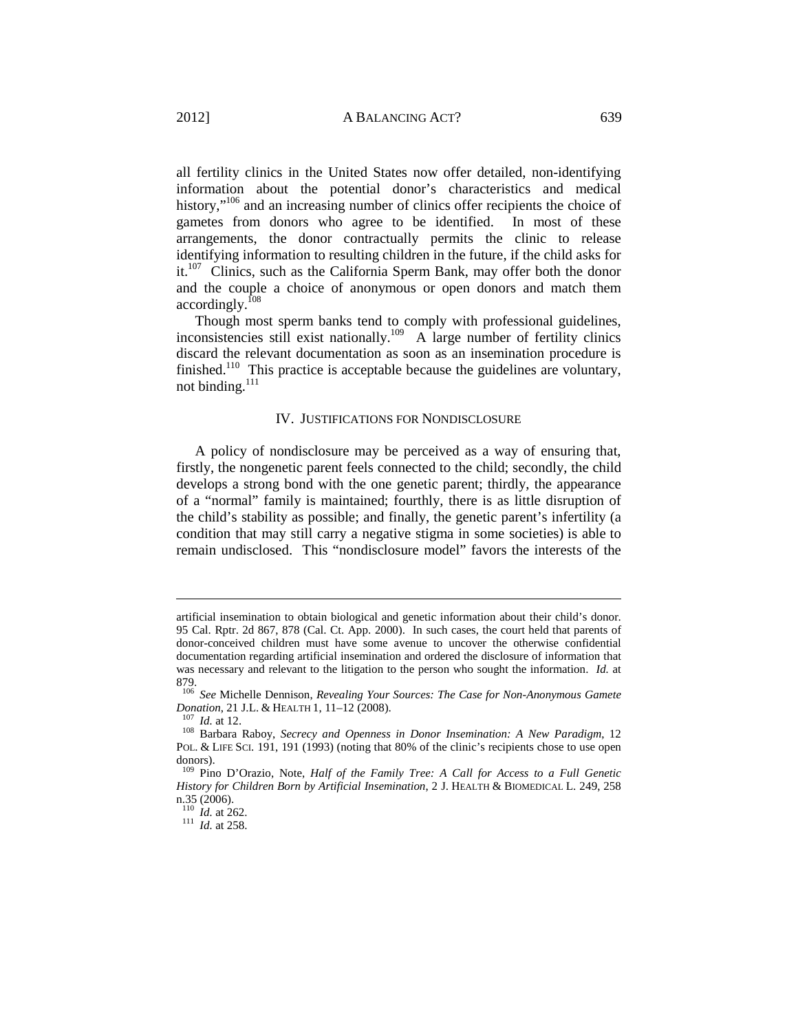all fertility clinics in the United States now offer detailed, non-identifying information about the potential donor's characteristics and medical history,"<sup>106</sup> and an increasing number of clinics offer recipients the choice of gametes from donors who agree to be identified. In most of these arrangements, the donor contractually permits the clinic to release identifying information to resulting children in the future, if the child asks for it.<sup>107</sup> Clinics, such as the California Sperm Bank, may offer both the donor and the couple a choice of anonymous or open donors and match them accordingly.108

Though most sperm banks tend to comply with professional guidelines, inconsistencies still exist nationally.109 A large number of fertility clinics discard the relevant documentation as soon as an insemination procedure is finished.<sup>110</sup> This practice is acceptable because the guidelines are voluntary, not binding.<sup>111</sup>

#### IV. JUSTIFICATIONS FOR NONDISCLOSURE

A policy of nondisclosure may be perceived as a way of ensuring that, firstly, the nongenetic parent feels connected to the child; secondly, the child develops a strong bond with the one genetic parent; thirdly, the appearance of a "normal" family is maintained; fourthly, there is as little disruption of the child's stability as possible; and finally, the genetic parent's infertility (a condition that may still carry a negative stigma in some societies) is able to remain undisclosed. This "nondisclosure model" favors the interests of the

artificial insemination to obtain biological and genetic information about their child's donor. 95 Cal. Rptr. 2d 867, 878 (Cal. Ct. App. 2000). In such cases, the court held that parents of donor-conceived children must have some avenue to uncover the otherwise confidential documentation regarding artificial insemination and ordered the disclosure of information that was necessary and relevant to the litigation to the person who sought the information. *Id.* at 879.

<sup>106</sup> *See* Michelle Dennison, *Revealing Your Sources: The Case for Non-Anonymous Gamete Donation*, 21 J.L. & HEALTH 1, 11–12 (2008).<br><sup>107</sup> *Id.* at 12.<br><sup>108</sup> Barbara Raboy, *Secrecy and Openness in Donor Insemination: A New Paradigm*, 12

POL. & LIFE SCI. 191, 191 (1993) (noting that 80% of the clinic's recipients chose to use open donors).

<sup>109</sup> Pino D'Orazio, Note, *Half of the Family Tree: A Call for Access to a Full Genetic History for Children Born by Artificial Insemination*, 2 J. HEALTH & BIOMEDICAL L. 249, 258 n.35 (2006).<br> $\frac{110}{110}$  *Id.* at 262.

 $111$  *Id.* at 258.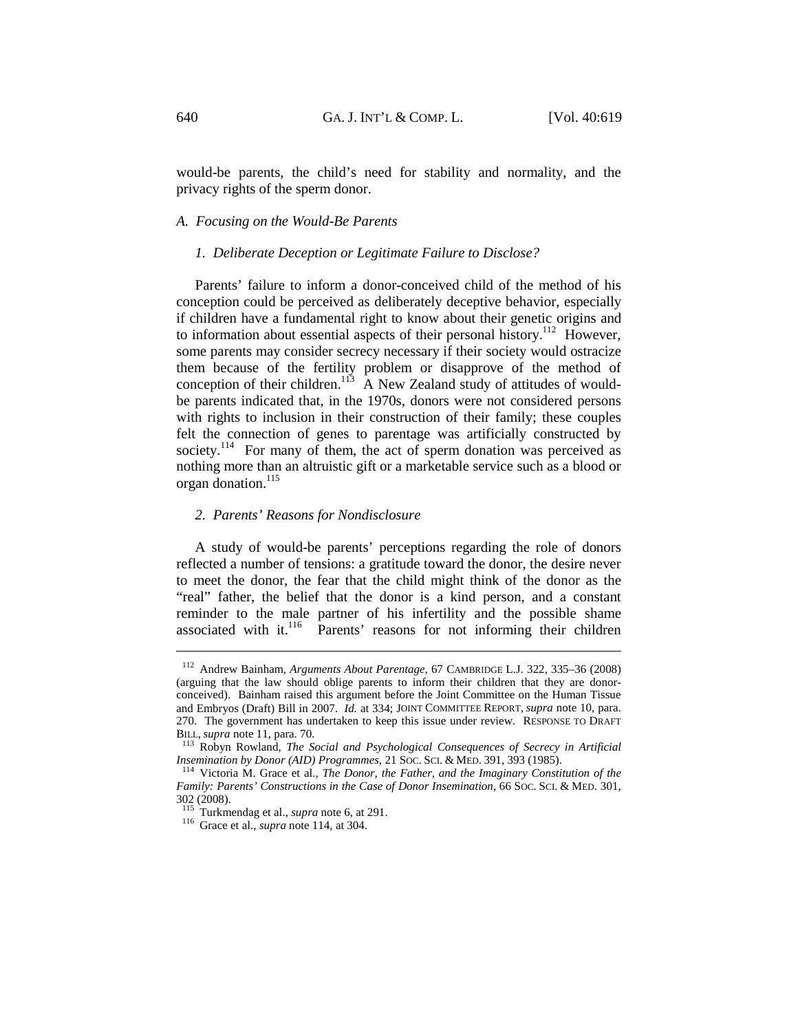would-be parents, the child's need for stability and normality, and the privacy rights of the sperm donor.

# *A. Focusing on the Would-Be Parents*

#### *1. Deliberate Deception or Legitimate Failure to Disclose?*

Parents' failure to inform a donor-conceived child of the method of his conception could be perceived as deliberately deceptive behavior, especially if children have a fundamental right to know about their genetic origins and to information about essential aspects of their personal history.<sup>112</sup> However, some parents may consider secrecy necessary if their society would ostracize them because of the fertility problem or disapprove of the method of conception of their children.<sup>113</sup> A New Zealand study of attitudes of wouldbe parents indicated that, in the 1970s, donors were not considered persons with rights to inclusion in their construction of their family; these couples felt the connection of genes to parentage was artificially constructed by society.<sup>114</sup> For many of them, the act of sperm donation was perceived as nothing more than an altruistic gift or a marketable service such as a blood or organ donation.<sup>115</sup>

#### *2. Parents' Reasons for Nondisclosure*

A study of would-be parents' perceptions regarding the role of donors reflected a number of tensions: a gratitude toward the donor, the desire never to meet the donor, the fear that the child might think of the donor as the "real" father, the belief that the donor is a kind person, and a constant reminder to the male partner of his infertility and the possible shame<br>associated with it.<sup>116</sup> Parents' reasons for not informing their children Parents' reasons for not informing their children

<sup>112</sup> Andrew Bainham, *Arguments About Parentage*, 67 CAMBRIDGE L.J. 322, 335–36 (2008) (arguing that the law should oblige parents to inform their children that they are donorconceived). Bainham raised this argument before the Joint Committee on the Human Tissue and Embryos (Draft) Bill in 2007. *Id.* at 334; JOINT COMMITTEE REPORT, *supra* note 10, para. 270. The government has undertaken to keep this issue under review. RESPONSE TO DRAFT

BILL, *supra* note 11, para. 70.<br><sup>113</sup> Robyn Rowland, *The Social and Psychological Consequences of Secrecy in Artificial <i>Insemination by Donor (AID) Programmes*, 21 Soc. ScI. & MED. 391, 393 (1985).

<sup>&</sup>lt;sup>114</sup> Victoria M. Grace et al., *The Donor, the Father, and the Imaginary Constitution of the Family: Parents' Constructions in the Case of Donor Insemination*, 66 SOC. SCI. & MED. 301, 302 (2008).<br><sup>115</sup> Turkmendag et al., *supra* note 6, at 291.

 $116$  Grace et al., *supra* note 114, at 304.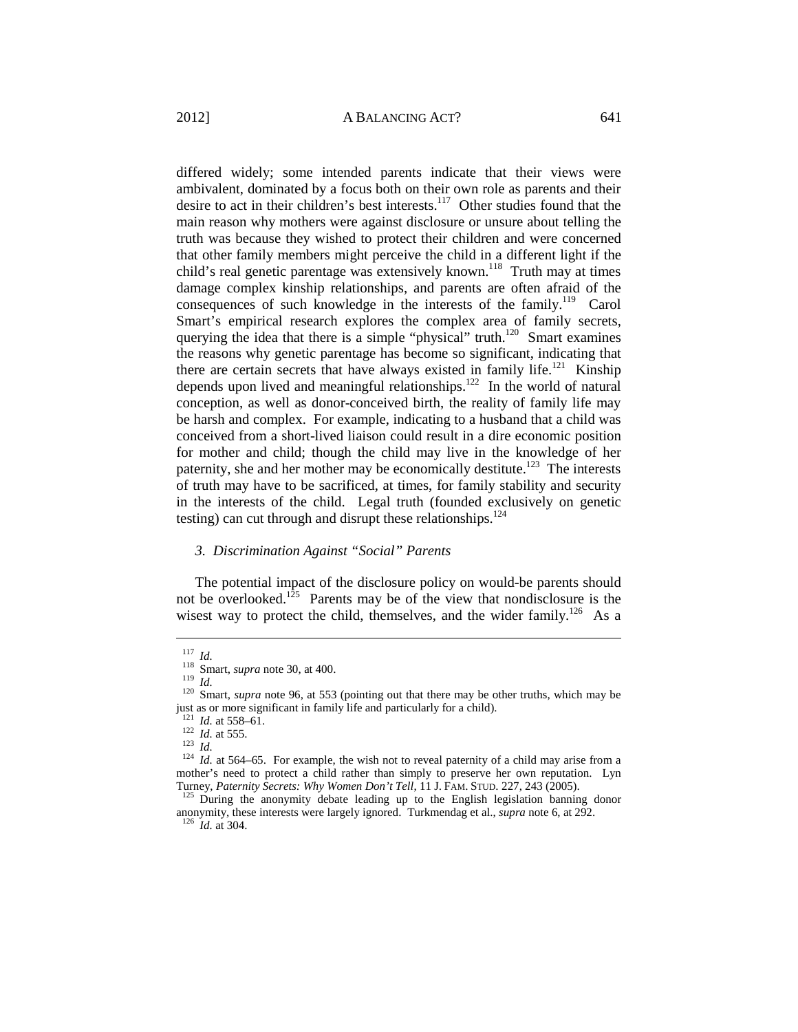differed widely; some intended parents indicate that their views were ambivalent, dominated by a focus both on their own role as parents and their desire to act in their children's best interests.<sup>117</sup> Other studies found that the main reason why mothers were against disclosure or unsure about telling the truth was because they wished to protect their children and were concerned that other family members might perceive the child in a different light if the child's real genetic parentage was extensively known.<sup>118</sup> Truth may at times damage complex kinship relationships, and parents are often afraid of the consequences of such knowledge in the interests of the family.<sup>119</sup> Carol Smart's empirical research explores the complex area of family secrets, querying the idea that there is a simple "physical" truth.<sup>120</sup> Smart examines the reasons why genetic parentage has become so significant, indicating that there are certain secrets that have always existed in family life.<sup>121</sup> Kinship depends upon lived and meaningful relationships. $122$  In the world of natural conception, as well as donor-conceived birth, the reality of family life may be harsh and complex. For example, indicating to a husband that a child was conceived from a short-lived liaison could result in a dire economic position for mother and child; though the child may live in the knowledge of her paternity, she and her mother may be economically destitute.<sup>123</sup> The interests of truth may have to be sacrificed, at times, for family stability and security in the interests of the child. Legal truth (founded exclusively on genetic testing) can cut through and disrupt these relationships.<sup>124</sup>

#### *3. Discrimination Against "Social" Parents*

The potential impact of the disclosure policy on would-be parents should not be overlooked.<sup>125</sup> Parents may be of the view that nondisclosure is the wisest way to protect the child, themselves, and the wider family.<sup>126</sup> As a

<sup>117</sup> *Id.* 118 Smart, *supra* note 30, at 400.<br><sup>119</sup> *Id.* 120 Smart, *supra* note 96, at 553 (pointing out that there may be other truths, which may be just as or more significant in family life and particularly for a child).<br><sup>121</sup> *Id.* at 558–61.

<sup>122</sup> *Id.* at 555.<br><sup>122</sup> *Id.* at 565. 123 *Id.*<br><sup>124</sup> *Id.* at 564–65. For example, the wish not to reveal paternity of a child may arise from a mother's need to protect a child rather than simply to preserve her own reputation. Lyn Turney, *Paternity Secrets: Why Women Don't Tell*, 11 J. FAM. STUD. 227, 243 (2005).<br><sup>125</sup> During the anonymity debate leading up to the English legislation banning donor

anonymity, these interests were largely ignored. Turkmendag et al., *supra* note 6, at 292. 126 *Id.* at 304.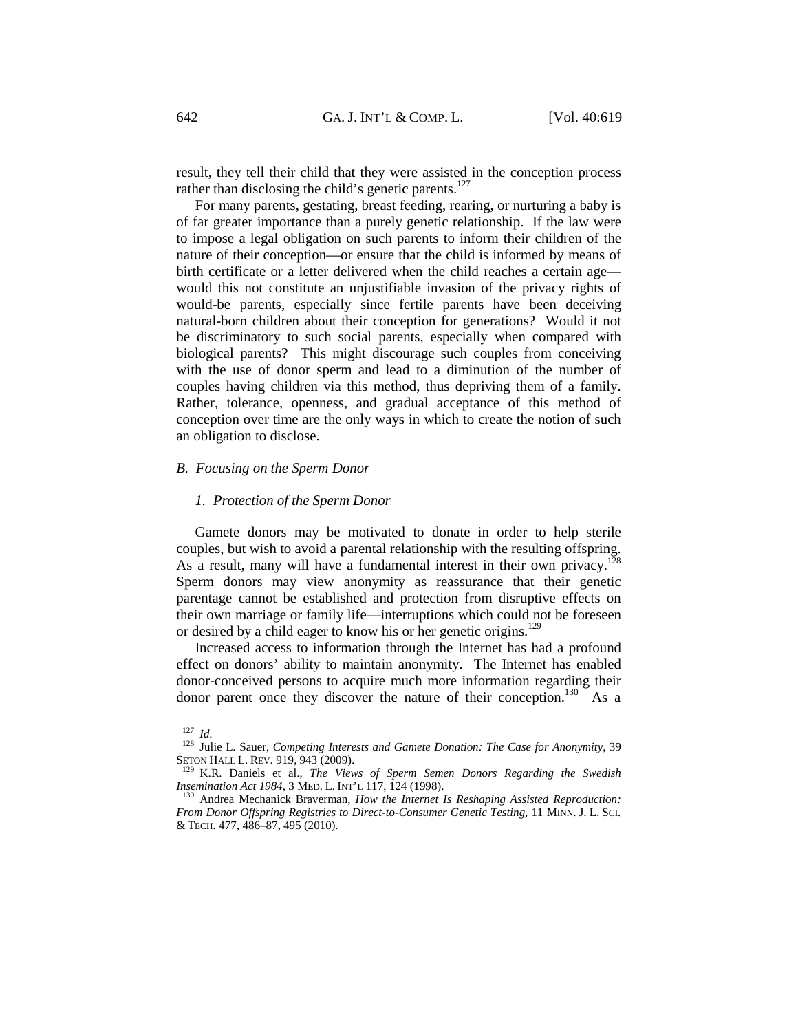result, they tell their child that they were assisted in the conception process rather than disclosing the child's genetic parents.<sup>127</sup>

For many parents, gestating, breast feeding, rearing, or nurturing a baby is of far greater importance than a purely genetic relationship. If the law were to impose a legal obligation on such parents to inform their children of the nature of their conception—or ensure that the child is informed by means of birth certificate or a letter delivered when the child reaches a certain age would this not constitute an unjustifiable invasion of the privacy rights of would-be parents, especially since fertile parents have been deceiving natural-born children about their conception for generations? Would it not be discriminatory to such social parents, especially when compared with biological parents? This might discourage such couples from conceiving with the use of donor sperm and lead to a diminution of the number of couples having children via this method, thus depriving them of a family. Rather, tolerance, openness, and gradual acceptance of this method of conception over time are the only ways in which to create the notion of such an obligation to disclose.

# *B. Focusing on the Sperm Donor*

#### *1. Protection of the Sperm Donor*

Gamete donors may be motivated to donate in order to help sterile couples, but wish to avoid a parental relationship with the resulting offspring. As a result, many will have a fundamental interest in their own privacy.<sup>128</sup> Sperm donors may view anonymity as reassurance that their genetic parentage cannot be established and protection from disruptive effects on their own marriage or family life—interruptions which could not be foreseen or desired by a child eager to know his or her genetic origins.<sup>129</sup>

Increased access to information through the Internet has had a profound effect on donors' ability to maintain anonymity. The Internet has enabled donor-conceived persons to acquire much more information regarding their donor parent once they discover the nature of their conception.<sup>130</sup> As a

<sup>127</sup> *Id.* 128 Julie L. Sauer, *Competing Interests and Gamete Donation: The Case for Anonymity*, 39 SETON HALL L. REV. 919, 943 (2009).<br><sup>129</sup> K.R. Daniels et al., *The Views of Sperm Semen Donors Regarding the Swedish* 

*Insemination Act 1984, 3 MED. L. INT'L 117, 124 (1998).* <sup>130</sup> Andrea Mechanick Braverman, *How the Internet Is Reshaping Assisted Reproduction:* 

*From Donor Offspring Registries to Direct-to-Consumer Genetic Testing*, 11 MINN. J. L. SCI. & TECH. 477, 486–87, 495 (2010).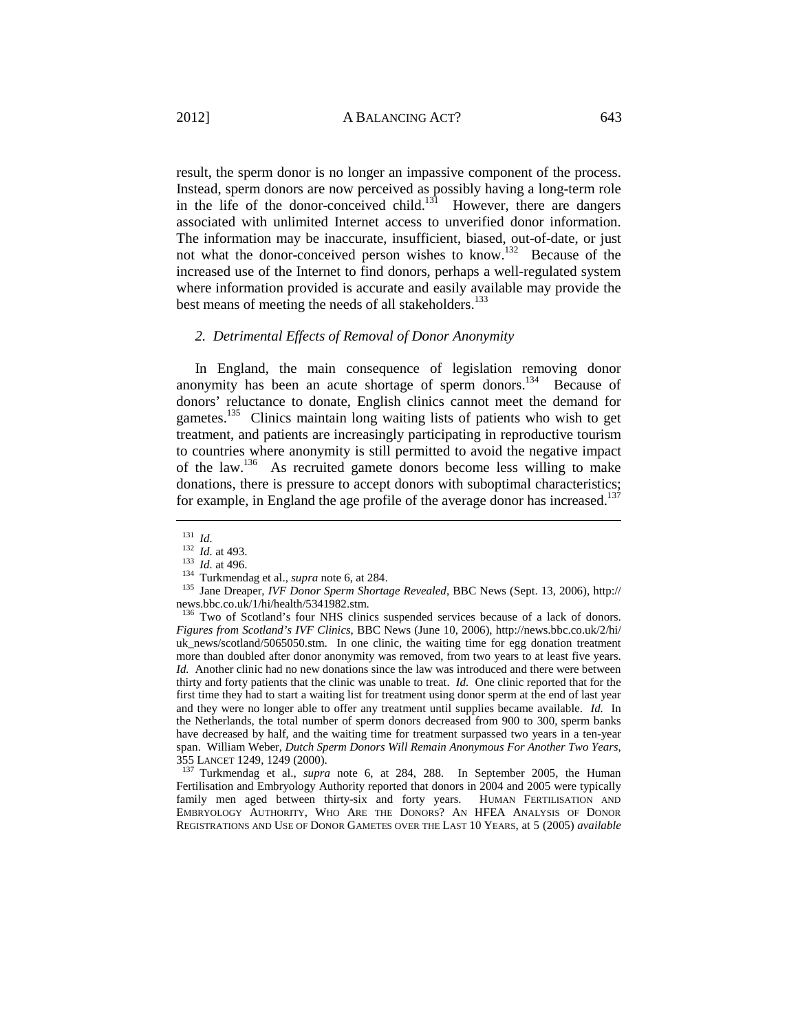result, the sperm donor is no longer an impassive component of the process. Instead, sperm donors are now perceived as possibly having a long-term role in the life of the donor-conceived child.<sup>131</sup> However, there are dangers associated with unlimited Internet access to unverified donor information. The information may be inaccurate, insufficient, biased, out-of-date, or just not what the donor-conceived person wishes to know.132 Because of the increased use of the Internet to find donors, perhaps a well-regulated system where information provided is accurate and easily available may provide the best means of meeting the needs of all stakeholders.<sup>133</sup>

#### *2. Detrimental Effects of Removal of Donor Anonymity*

In England, the main consequence of legislation removing donor anonymity has been an acute shortage of sperm donors.<sup>134</sup> Because of donors' reluctance to donate, English clinics cannot meet the demand for gametes.<sup>135</sup> Clinics maintain long waiting lists of patients who wish to get treatment, and patients are increasingly participating in reproductive tourism to countries where anonymity is still permitted to avoid the negative impact of the law.136 As recruited gamete donors become less willing to make donations, there is pressure to accept donors with suboptimal characteristics; for example, in England the age profile of the average donor has increased.<sup>137</sup>

 $\overline{a}$ 

355 LANCET 1249, 1249 (2000). 137 Turkmendag et al., *supra* note 6, at 284, 288. In September 2005, the Human Fertilisation and Embryology Authority reported that donors in 2004 and 2005 were typically family men aged between thirty-six and forty years. HUMAN FERTILISATION AND EMBRYOLOGY AUTHORITY, WHO ARE THE DONORS? AN HFEA ANALYSIS OF DONOR REGISTRATIONS AND USE OF DONOR GAMETES OVER THE LAST 10 YEARS, at 5 (2005) *available* 

<sup>131</sup> *Id.* <sup>132</sup> *Id.* at 493. 133 *Id.* at 496. 134 Turkmendag et al., *supra* note 6, at 284. 135 Jane Dreaper, *IVF Donor Sperm Shortage Revealed*, BBC News (Sept. 13, 2006), http:// news.bbc.co.uk/1/hi/health/5341982.stm.

<sup>&</sup>lt;sup>136</sup> Two of Scotland's four NHS clinics suspended services because of a lack of donors. *Figures from Scotland's IVF Clinics*, BBC News (June 10, 2006), http://news.bbc.co.uk/2/hi/ uk\_news/scotland/5065050.stm. In one clinic, the waiting time for egg donation treatment more than doubled after donor anonymity was removed, from two years to at least five years. *Id.* Another clinic had no new donations since the law was introduced and there were between thirty and forty patients that the clinic was unable to treat. *Id.* One clinic reported that for the first time they had to start a waiting list for treatment using donor sperm at the end of last year and they were no longer able to offer any treatment until supplies became available. *Id.* In the Netherlands, the total number of sperm donors decreased from 900 to 300, sperm banks have decreased by half, and the waiting time for treatment surpassed two years in a ten-year span. William Weber, *Dutch Sperm Donors Will Remain Anonymous For Another Two Years*,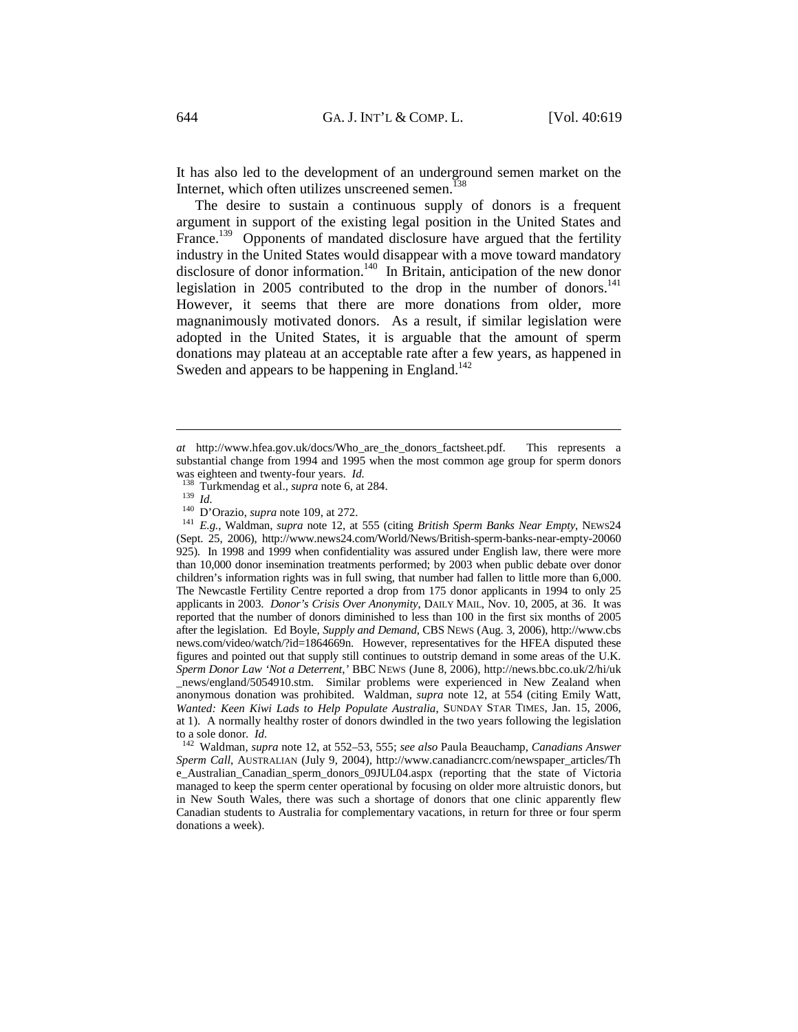It has also led to the development of an underground semen market on the Internet, which often utilizes unscreened semen. $138$ 

The desire to sustain a continuous supply of donors is a frequent argument in support of the existing legal position in the United States and France.<sup>139</sup> Opponents of mandated disclosure have argued that the fertility industry in the United States would disappear with a move toward mandatory disclosure of donor information.<sup>140</sup> In Britain, anticipation of the new donor legislation in 2005 contributed to the drop in the number of donors.<sup>141</sup> However, it seems that there are more donations from older, more magnanimously motivated donors. As a result, if similar legislation were adopted in the United States, it is arguable that the amount of sperm donations may plateau at an acceptable rate after a few years, as happened in Sweden and appears to be happening in England.<sup>142</sup>

*at* http://www.hfea.gov.uk/docs/Who\_are\_the\_donors\_factsheet.pdf. This represents a substantial change from 1994 and 1995 when the most common age group for sperm donors

was eighteen and twenty-four years. *Id.*<br><sup>138</sup> Turkmendag et al., *supra* note 6, at 284.<br><sup>139</sup> *Id.*<br><sup>140</sup> D'Orazio, *supra* note 109, at 272.<br><sup>141</sup> *E.g.*, Waldman, *supra* note 12, at 555 (citing *British Sperm Banks N* (Sept. 25, 2006), http://www.news24.com/World/News/British-sperm-banks-near-empty-20060 925). In 1998 and 1999 when confidentiality was assured under English law, there were more than 10,000 donor insemination treatments performed; by 2003 when public debate over donor children's information rights was in full swing, that number had fallen to little more than 6,000. The Newcastle Fertility Centre reported a drop from 175 donor applicants in 1994 to only 25 applicants in 2003. *Donor's Crisis Over Anonymity*, DAILY MAIL, Nov. 10, 2005, at 36. It was reported that the number of donors diminished to less than 100 in the first six months of 2005 after the legislation. Ed Boyle, *Supply and Demand*, CBS NEWS (Aug. 3, 2006), http://www.cbs news.com/video/watch/?id=1864669n. However, representatives for the HFEA disputed these figures and pointed out that supply still continues to outstrip demand in some areas of the U.K. *Sperm Donor Law 'Not a Deterrent*,*'* BBC NEWS (June 8, 2006), http://news.bbc.co.uk/2/hi/uk \_news/england/5054910.stm. Similar problems were experienced in New Zealand when anonymous donation was prohibited. Waldman, *supra* note 12, at 554 (citing Emily Watt, *Wanted: Keen Kiwi Lads to Help Populate Australia*, SUNDAY STAR TIMES, Jan. 15, 2006, at 1). A normally healthy roster of donors dwindled in the two years following the legislation

to a sole donor. *Id.* 142 Waldman, *supra* note 12, at 552–53, 555; *see also* Paula Beauchamp, *Canadians Answer Sperm Call*, AUSTRALIAN (July 9, 2004), http://www.canadiancrc.com/newspaper\_articles/Th e\_Australian\_Canadian\_sperm\_donors\_09JUL04.aspx (reporting that the state of Victoria managed to keep the sperm center operational by focusing on older more altruistic donors, but in New South Wales, there was such a shortage of donors that one clinic apparently flew Canadian students to Australia for complementary vacations, in return for three or four sperm donations a week).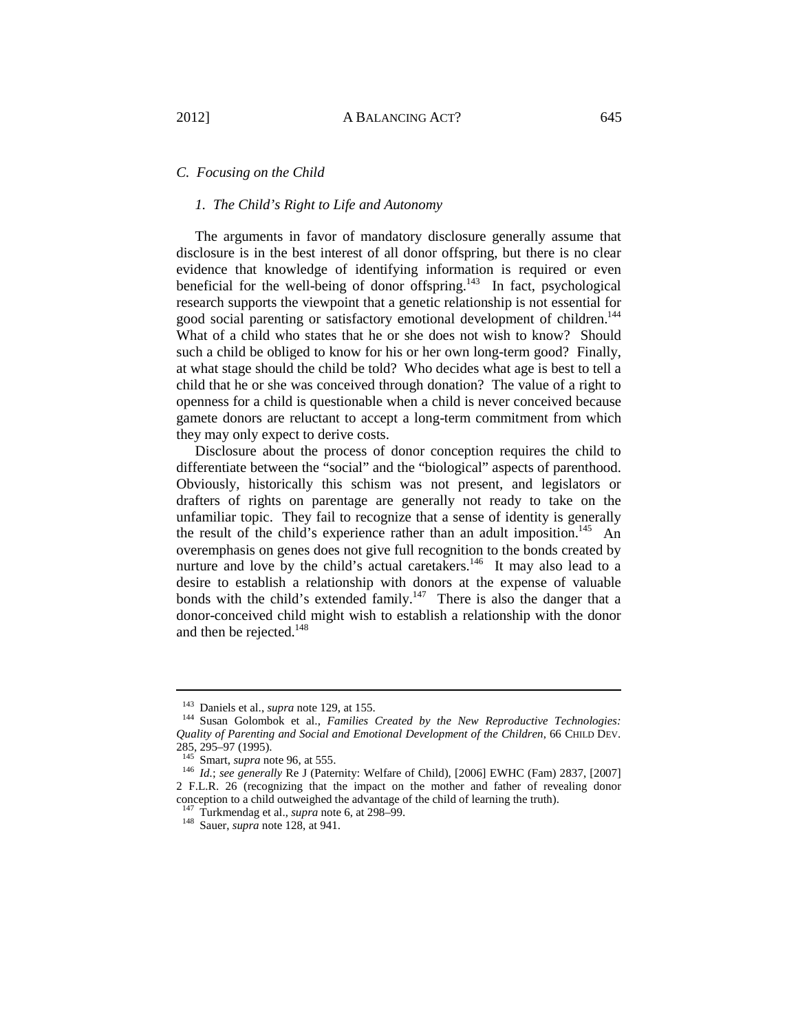# *C. Focusing on the Child*

# *1. The Child's Right to Life and Autonomy*

The arguments in favor of mandatory disclosure generally assume that disclosure is in the best interest of all donor offspring, but there is no clear evidence that knowledge of identifying information is required or even beneficial for the well-being of donor offspring.<sup>143</sup> In fact, psychological research supports the viewpoint that a genetic relationship is not essential for good social parenting or satisfactory emotional development of children.<sup>144</sup> What of a child who states that he or she does not wish to know? Should such a child be obliged to know for his or her own long-term good? Finally, at what stage should the child be told? Who decides what age is best to tell a child that he or she was conceived through donation? The value of a right to openness for a child is questionable when a child is never conceived because gamete donors are reluctant to accept a long-term commitment from which they may only expect to derive costs.

Disclosure about the process of donor conception requires the child to differentiate between the "social" and the "biological" aspects of parenthood. Obviously, historically this schism was not present, and legislators or drafters of rights on parentage are generally not ready to take on the unfamiliar topic. They fail to recognize that a sense of identity is generally the result of the child's experience rather than an adult imposition.<sup>145</sup> An overemphasis on genes does not give full recognition to the bonds created by nurture and love by the child's actual caretakers.<sup>146</sup> It may also lead to a desire to establish a relationship with donors at the expense of valuable bonds with the child's extended family.<sup>147</sup> There is also the danger that a donor-conceived child might wish to establish a relationship with the donor and then be rejected. $148$ 

<sup>&</sup>lt;sup>143</sup> Daniels et al., *supra* note 129, at 155.<br><sup>144</sup> Susan Golombok et al., *Families Created by the New Reproductive Technologies: Quality of Parenting and Social and Emotional Development of the Children*, 66 CHILD DEV. 285, 295–97 (1995).<br><sup>145</sup> Smart, *supra* note 96, at 555.

<sup>&</sup>lt;sup>146</sup> Id.; see generally Re J (Paternity: Welfare of Child), [2006] EWHC (Fam) 2837, [2007] 2 F.L.R. 26 (recognizing that the impact on the mother and father of revealing donor conception to a child outweighed the advantage of the child of learning the truth).<br><sup>147</sup> Turkmendag et al., *supra* note 6, at 298–99.

<sup>&</sup>lt;sup>148</sup> Sauer, *supra* note 128, at 941.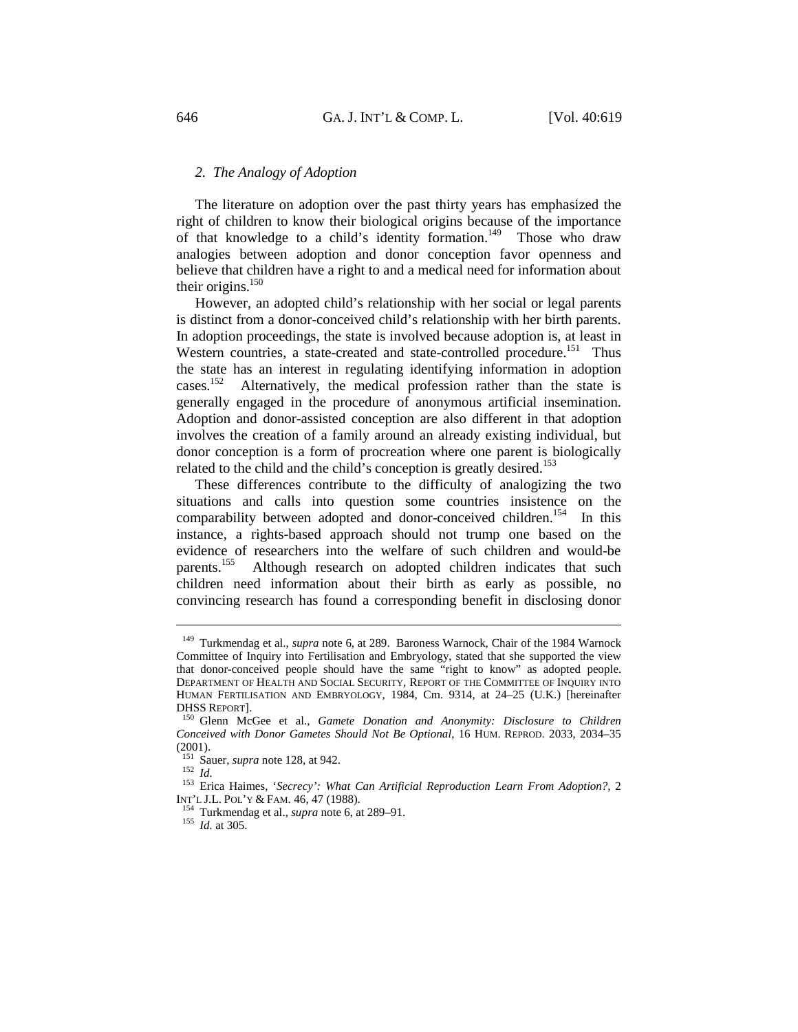# *2. The Analogy of Adoption*

The literature on adoption over the past thirty years has emphasized the right of children to know their biological origins because of the importance of that knowledge to a child's identity formation.<sup>149</sup> Those who draw analogies between adoption and donor conception favor openness and believe that children have a right to and a medical need for information about their origins. $150$ 

However, an adopted child's relationship with her social or legal parents is distinct from a donor-conceived child's relationship with her birth parents. In adoption proceedings, the state is involved because adoption is, at least in Western countries, a state-created and state-controlled procedure.<sup>151</sup> Thus the state has an interest in regulating identifying information in adoption cases.<sup>152</sup> Alternatively, the medical profession rather than the state is Alternatively, the medical profession rather than the state is generally engaged in the procedure of anonymous artificial insemination. Adoption and donor-assisted conception are also different in that adoption involves the creation of a family around an already existing individual, but donor conception is a form of procreation where one parent is biologically related to the child and the child's conception is greatly desired.<sup>153</sup>

These differences contribute to the difficulty of analogizing the two situations and calls into question some countries insistence on the comparability between adopted and donor-conceived children.<sup>154</sup> In this instance, a rights-based approach should not trump one based on the evidence of researchers into the welfare of such children and would-be parents.<sup>155</sup> Although research on adopted children indicates that such children need information about their birth as early as possible, no convincing research has found a corresponding benefit in disclosing donor

<sup>149</sup> Turkmendag et al., *supra* note 6, at 289. Baroness Warnock, Chair of the 1984 Warnock Committee of Inquiry into Fertilisation and Embryology, stated that she supported the view that donor-conceived people should have the same "right to know" as adopted people. DEPARTMENT OF HEALTH AND SOCIAL SECURITY, REPORT OF THE COMMITTEE OF INQUIRY INTO HUMAN FERTILISATION AND EMBRYOLOGY, 1984, Cm. 9314, at 24–25 (U.K.) [hereinafter DHSS REPORT]. 150 Glenn McGee et al., *Gamete Donation and Anonymity: Disclosure to Children* 

*Conceived with Donor Gametes Should Not Be Optional*, 16 HUM. REPROD. 2033, 2034–35  $(2001)$ .<br><sup>151</sup> Sauer, *supra* note 128, at 942.

<sup>151</sup> Sauer, *supra* note 128, at 942. 152 *Id.* 153 Erica Haimes, '*Secrecy': What Can Artificial Reproduction Learn From Adoption?*, 2

INT'L J.L. POL'Y & FAM. 46, 47 (1988). 154 Turkmendag et al., *supra* note 6, at 289–91. 155 *Id.* at 305.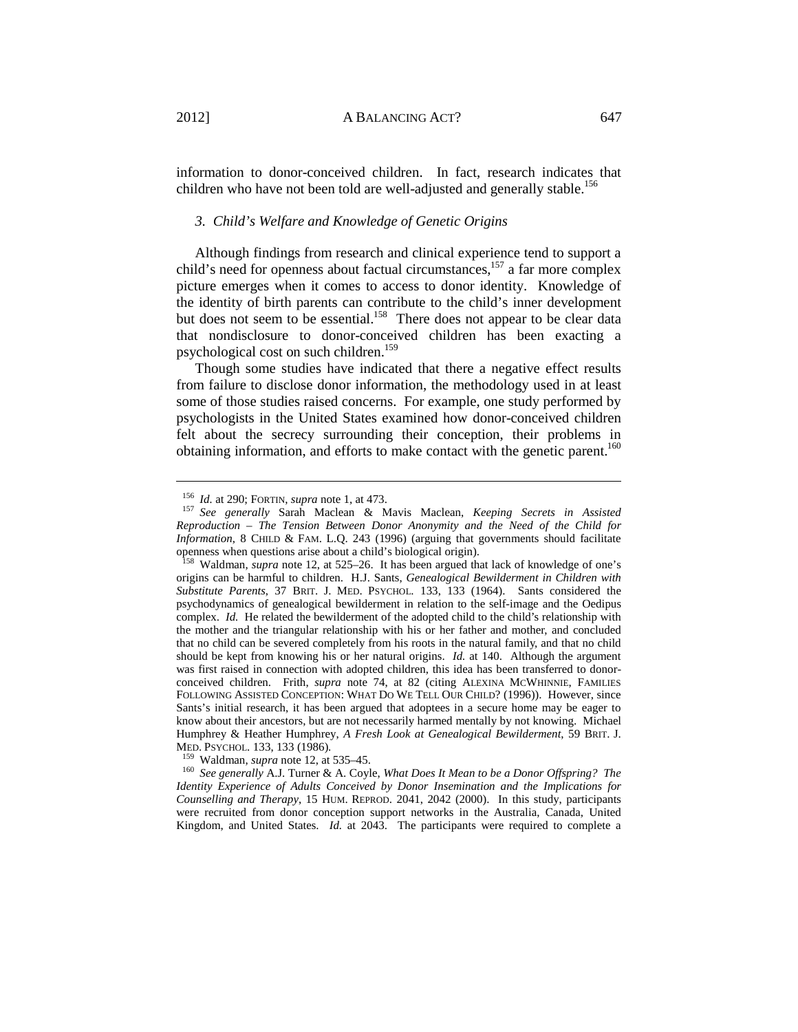information to donor-conceived children. In fact, research indicates that children who have not been told are well-adjusted and generally stable.<sup>156</sup>

# *3. Child's Welfare and Knowledge of Genetic Origins*

Although findings from research and clinical experience tend to support a child's need for openness about factual circumstances, $157$  a far more complex picture emerges when it comes to access to donor identity. Knowledge of the identity of birth parents can contribute to the child's inner development but does not seem to be essential.<sup>158</sup> There does not appear to be clear data that nondisclosure to donor-conceived children has been exacting a psychological cost on such children.<sup>159</sup>

Though some studies have indicated that there a negative effect results from failure to disclose donor information, the methodology used in at least some of those studies raised concerns. For example, one study performed by psychologists in the United States examined how donor-conceived children felt about the secrecy surrounding their conception, their problems in obtaining information, and efforts to make contact with the genetic parent.<sup>160</sup>

<sup>159</sup> Waldman, *supra* note 12, at 535–45.<br><sup>160</sup> *See generally* A.J. Turner & A. Coyle, *What Does It Mean to be a Donor Offspring? The Identity Experience of Adults Conceived by Donor Insemination and the Implications for Counselling and Therapy*, 15 HUM. REPROD. 2041, 2042 (2000). In this study, participants were recruited from donor conception support networks in the Australia, Canada, United Kingdom, and United States. *Id.* at 2043. The participants were required to complete a

<sup>156</sup> *Id.* at 290; FORTIN, *supra* note 1, at 473. 157 *See generally* Sarah Maclean & Mavis Maclean, *Keeping Secrets in Assisted Reproduction – The Tension Between Donor Anonymity and the Need of the Child for Information*, 8 CHILD & FAM. L.Q. 243 (1996) (arguing that governments should facilitate openness when questions arise about a child's biological origin).

<sup>158</sup> Waldman, *supra* note 12, at 525–26. It has been argued that lack of knowledge of one's origins can be harmful to children. H.J. Sants, *Genealogical Bewilderment in Children with Substitute Parents*, 37 BRIT. J. MED. PSYCHOL. 133, 133 (1964). Sants considered the psychodynamics of genealogical bewilderment in relation to the self-image and the Oedipus complex. *Id.* He related the bewilderment of the adopted child to the child's relationship with the mother and the triangular relationship with his or her father and mother, and concluded that no child can be severed completely from his roots in the natural family, and that no child should be kept from knowing his or her natural origins. *Id.* at 140. Although the argument was first raised in connection with adopted children, this idea has been transferred to donorconceived children. Frith, *supra* note 74, at 82 (citing ALEXINA MCWHINNIE, FAMILIES FOLLOWING ASSISTED CONCEPTION: WHAT DO WE TELL OUR CHILD? (1996)). However, since Sants's initial research, it has been argued that adoptees in a secure home may be eager to know about their ancestors, but are not necessarily harmed mentally by not knowing. Michael Humphrey & Heather Humphrey, *A Fresh Look at Genealogical Bewilderment*, 59 BRIT. J.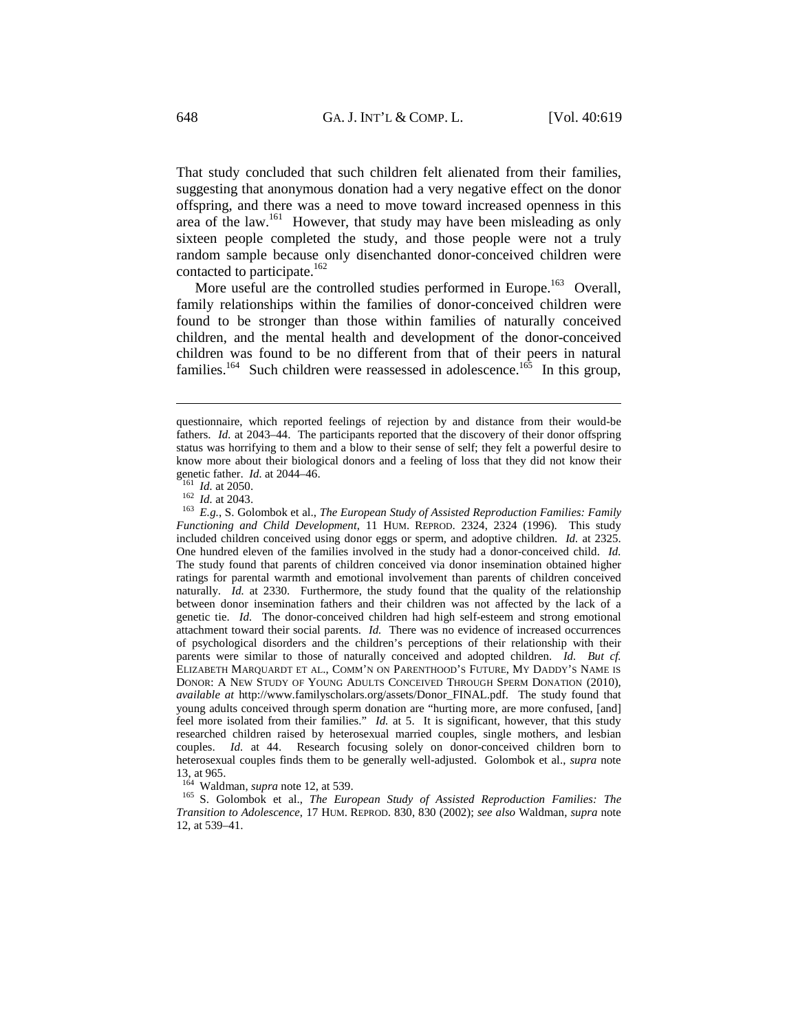That study concluded that such children felt alienated from their families, suggesting that anonymous donation had a very negative effect on the donor offspring, and there was a need to move toward increased openness in this area of the law.161 However, that study may have been misleading as only sixteen people completed the study, and those people were not a truly random sample because only disenchanted donor-conceived children were contacted to participate.<sup>162</sup>

More useful are the controlled studies performed in Europe.<sup>163</sup> Overall. family relationships within the families of donor-conceived children were found to be stronger than those within families of naturally conceived children, and the mental health and development of the donor-conceived children was found to be no different from that of their peers in natural families.<sup>164</sup> Such children were reassessed in adolescence.<sup>165</sup> In this group,

 $\overline{a}$ 

genetic father. *Id.* at 2044–46. 161 *Id.* at 2050. 162 *Id.* at 2043. 163 *E.g.*, S. Golombok et al., *The European Study of Assisted Reproduction Families: Family Functioning and Child Development*, 11 HUM. REPROD. 2324, 2324 (1996). This study included children conceived using donor eggs or sperm, and adoptive children. *Id.* at 2325. One hundred eleven of the families involved in the study had a donor-conceived child. *Id.* The study found that parents of children conceived via donor insemination obtained higher ratings for parental warmth and emotional involvement than parents of children conceived naturally. *Id.* at 2330. Furthermore, the study found that the quality of the relationship between donor insemination fathers and their children was not affected by the lack of a genetic tie. *Id.* The donor-conceived children had high self-esteem and strong emotional attachment toward their social parents. *Id.* There was no evidence of increased occurrences of psychological disorders and the children's perceptions of their relationship with their parents were similar to those of naturally conceived and adopted children. *Id. But cf.* ELIZABETH MARQUARDT ET AL., COMM'N ON PARENTHOOD'S FUTURE, MY DADDY'S NAME IS DONOR: A NEW STUDY OF YOUNG ADULTS CONCEIVED THROUGH SPERM DONATION (2010), *available at* http://www.familyscholars.org/assets/Donor\_FINAL.pdf. The study found that young adults conceived through sperm donation are "hurting more, are more confused, [and] feel more isolated from their families." *Id.* at 5. It is significant, however, that this study researched children raised by heterosexual married couples, single mothers, and lesbian couples. *Id.* at 44. Research focusing solely on donor-conceived children born to heterosexual couples finds them to be generally well-adjusted. Golombok et al., *supra* note 13, at 965.<br><sup>164</sup> Waldman, *supra* note 12, at 539.

<sup>165</sup> S. Golombok et al., *The European Study of Assisted Reproduction Families: The Transition to Adolescence*, 17 HUM. REPROD. 830, 830 (2002); *see also* Waldman, *supra* note 12, at 539–41.

questionnaire, which reported feelings of rejection by and distance from their would-be fathers. *Id.* at 2043–44. The participants reported that the discovery of their donor offspring status was horrifying to them and a blow to their sense of self; they felt a powerful desire to know more about their biological donors and a feeling of loss that they did not know their genetic father. *Id.* at 2044–46.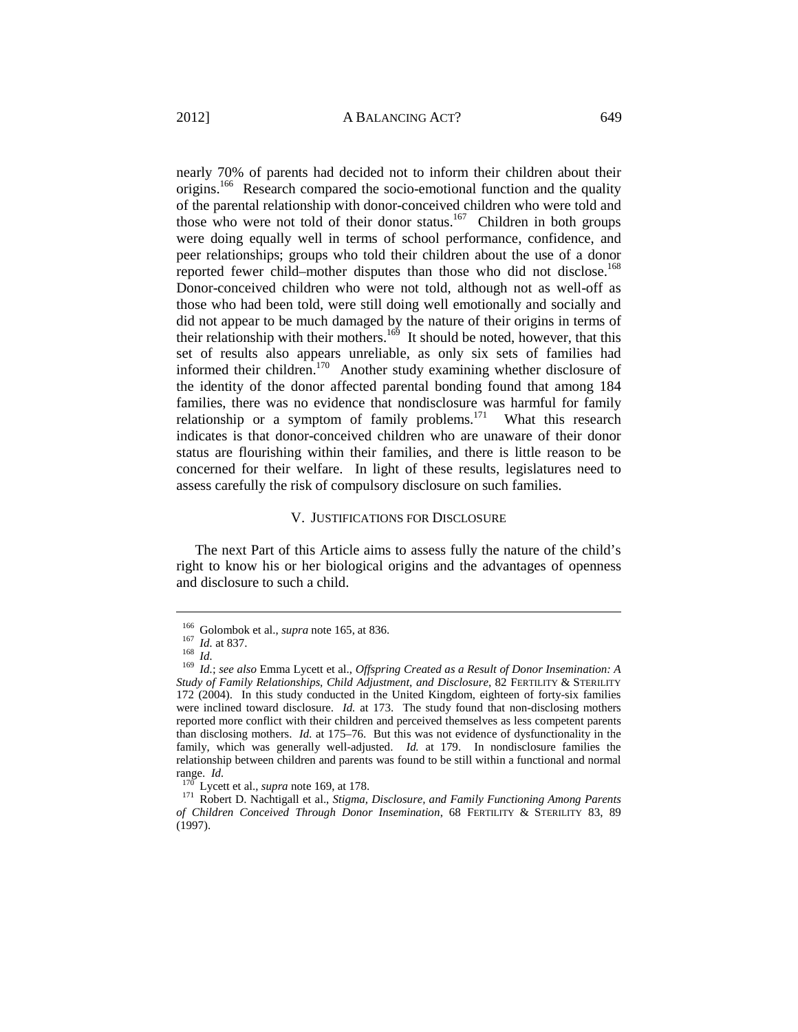nearly 70% of parents had decided not to inform their children about their

origins.166 Research compared the socio-emotional function and the quality of the parental relationship with donor-conceived children who were told and those who were not told of their donor status.<sup>167</sup> Children in both groups were doing equally well in terms of school performance, confidence, and peer relationships; groups who told their children about the use of a donor reported fewer child–mother disputes than those who did not disclose.<sup>168</sup> Donor-conceived children who were not told, although not as well-off as those who had been told, were still doing well emotionally and socially and did not appear to be much damaged by the nature of their origins in terms of their relationship with their mothers.<sup>169</sup> It should be noted, however, that this set of results also appears unreliable, as only six sets of families had informed their children.<sup>170</sup> Another study examining whether disclosure of the identity of the donor affected parental bonding found that among 184 families, there was no evidence that nondisclosure was harmful for family relationship or a symptom of family problems. $171$  What this research indicates is that donor-conceived children who are unaware of their donor status are flourishing within their families, and there is little reason to be concerned for their welfare. In light of these results, legislatures need to assess carefully the risk of compulsory disclosure on such families.

#### V. JUSTIFICATIONS FOR DISCLOSURE

The next Part of this Article aims to assess fully the nature of the child's right to know his or her biological origins and the advantages of openness and disclosure to such a child.

<sup>&</sup>lt;sup>166</sup> Golombok et al., *supra* note 165, at 836.<br><sup>167</sup> *Id.* at 837.<br><sup>168</sup> *Id.*; *see also* Emma Lycett et al., *Offspring Created as a Result of Donor Insemination: A Study of Family Relationships, Child Adjustment, and Disclosure*, 82 FERTILITY & STERILITY 172 (2004). In this study conducted in the United Kingdom, eighteen of forty-six families were inclined toward disclosure. *Id.* at 173. The study found that non-disclosing mothers reported more conflict with their children and perceived themselves as less competent parents than disclosing mothers. *Id.* at 175–76. But this was not evidence of dysfunctionality in the family, which was generally well-adjusted. *Id.* at 179. In nondisclosure families the relationship between children and parents was found to be still within a functional and normal range. *Id.* 170 Lycett et al., *supra* note 169, at 178. 171 Robert D. Nachtigall et al., *Stigma, Disclosure, and Family Functioning Among Parents* 

*of Children Conceived Through Donor Insemination*, 68 FERTILITY & STERILITY 83, 89 (1997).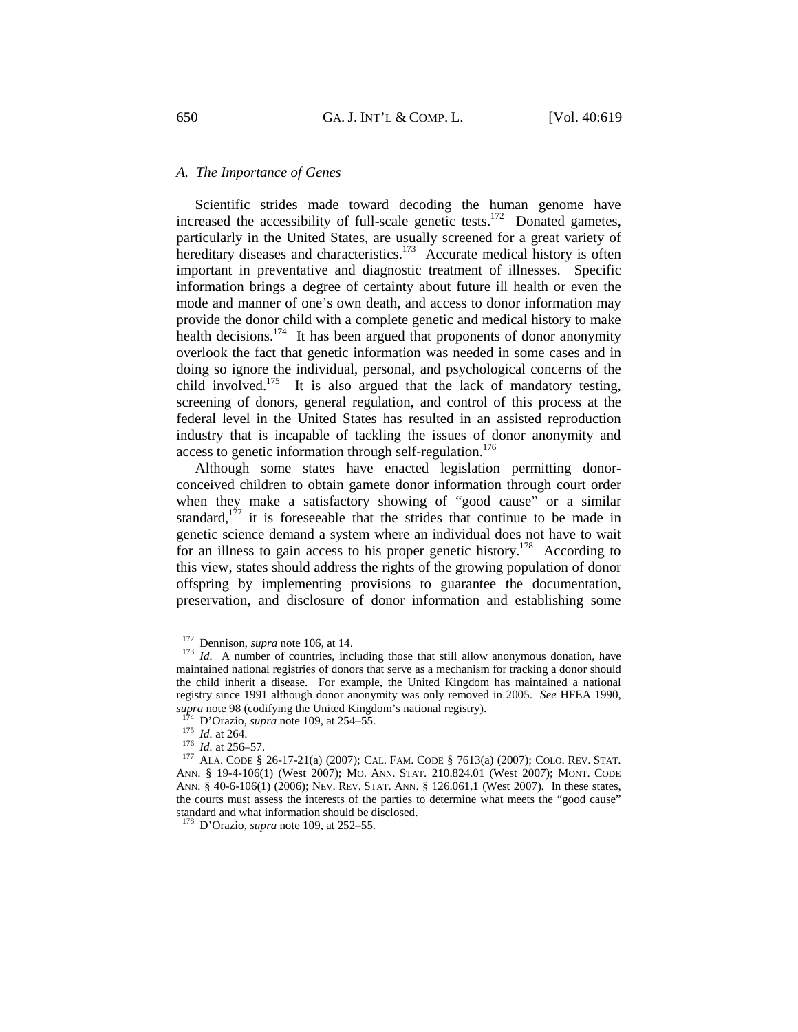# *A. The Importance of Genes*

Scientific strides made toward decoding the human genome have increased the accessibility of full-scale genetic tests.<sup>172</sup> Donated gametes, particularly in the United States, are usually screened for a great variety of hereditary diseases and characteristics.<sup>173</sup> Accurate medical history is often important in preventative and diagnostic treatment of illnesses. Specific information brings a degree of certainty about future ill health or even the mode and manner of one's own death, and access to donor information may provide the donor child with a complete genetic and medical history to make health decisions.<sup>174</sup> It has been argued that proponents of donor anonymity overlook the fact that genetic information was needed in some cases and in doing so ignore the individual, personal, and psychological concerns of the child involved.<sup>175</sup> It is also argued that the lack of mandatory testing, screening of donors, general regulation, and control of this process at the federal level in the United States has resulted in an assisted reproduction industry that is incapable of tackling the issues of donor anonymity and access to genetic information through self-regulation.<sup>176</sup>

Although some states have enacted legislation permitting donorconceived children to obtain gamete donor information through court order when they make a satisfactory showing of "good cause" or a similar standard, $1^{77}$  it is foreseeable that the strides that continue to be made in genetic science demand a system where an individual does not have to wait for an illness to gain access to his proper genetic history.<sup>178</sup> According to this view, states should address the rights of the growing population of donor offspring by implementing provisions to guarantee the documentation, preservation, and disclosure of donor information and establishing some

<sup>&</sup>lt;sup>172</sup> Dennison, *supra* note 106, at 14.<br><sup>173</sup> *Id.* A number of countries, including those that still allow anonymous donation, have maintained national registries of donors that serve as a mechanism for tracking a donor should the child inherit a disease. For example, the United Kingdom has maintained a national registry since 1991 although donor anonymity was only removed in 2005. *See* HFEA 1990, supra note 98 (codifying the United Kingdom's national registry).<br>
<sup>174</sup> D'Orazio, *supra* note 109, at 254–55.<br>
<sup>175</sup> *Id.* at 264.<br>
<sup>176</sup> *Id.* at 256–57.<br>
<sup>177</sup> ALA. CODE § 26-17-21(a) (2007); CAL. FAM. CODE § 7613(a)

ANN. § 19-4-106(1) (West 2007); MO. ANN. STAT. 210.824.01 (West 2007); MONT. CODE ANN. § 40-6-106(1) (2006); NEV. REV. STAT. ANN. § 126.061.1 (West 2007). In these states, the courts must assess the interests of the parties to determine what meets the "good cause" standard and what information should be disclosed.

<sup>178</sup> D'Orazio, *supra* note 109, at 252–55.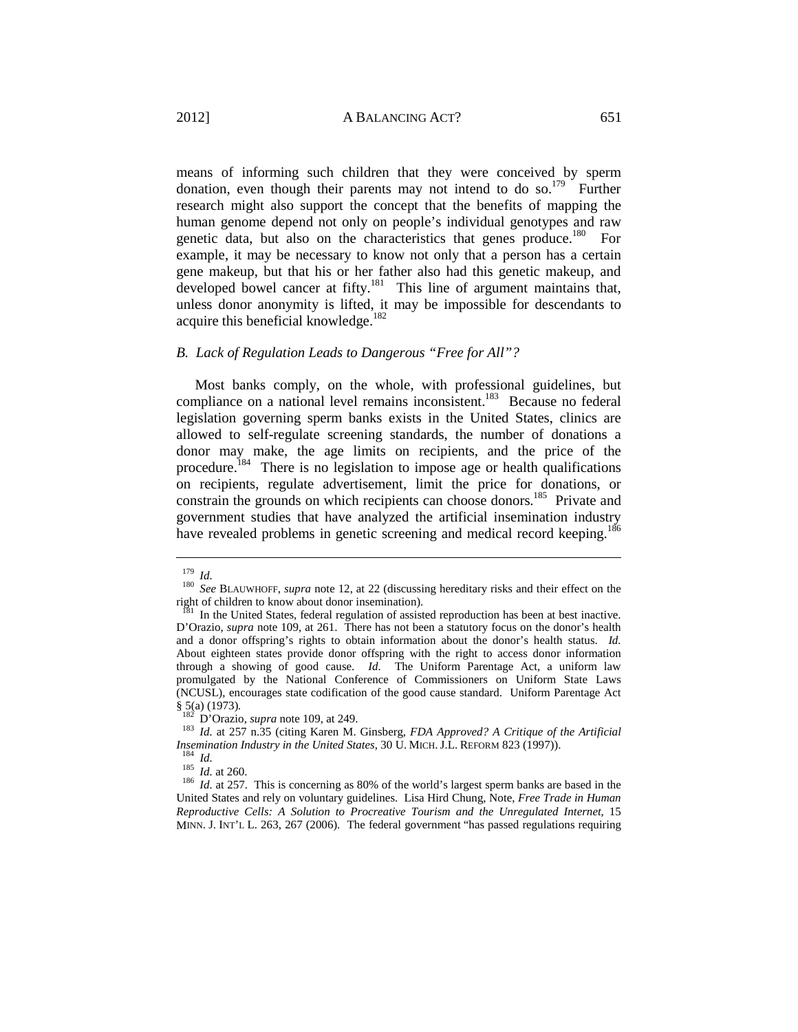means of informing such children that they were conceived by sperm donation, even though their parents may not intend to do so.<sup>179</sup> Further research might also support the concept that the benefits of mapping the human genome depend not only on people's individual genotypes and raw genetic data, but also on the characteristics that genes produce.<sup>180</sup> For example, it may be necessary to know not only that a person has a certain gene makeup, but that his or her father also had this genetic makeup, and developed bowel cancer at fifty. $^{181}$  This line of argument maintains that, unless donor anonymity is lifted, it may be impossible for descendants to acquire this beneficial knowledge.<sup>182</sup>

# *B. Lack of Regulation Leads to Dangerous "Free for All"?*

Most banks comply, on the whole, with professional guidelines, but compliance on a national level remains inconsistent.<sup>183</sup> Because no federal legislation governing sperm banks exists in the United States, clinics are allowed to self-regulate screening standards, the number of donations a donor may make, the age limits on recipients, and the price of the procedure.<sup>184</sup> There is no legislation to impose age or health qualifications on recipients, regulate advertisement, limit the price for donations, or constrain the grounds on which recipients can choose donors.<sup>185</sup> Private and government studies that have analyzed the artificial insemination industry have revealed problems in genetic screening and medical record keeping.<sup>186</sup>

<sup>&</sup>lt;sup>179</sup> *Id. See* BLAUWHOFF, *supra* note 12, at 22 (discussing hereditary risks and their effect on the right of children to know about donor insemination).

<sup>&</sup>lt;sup>181</sup> In the United States, federal regulation of assisted reproduction has been at best inactive. D'Orazio, *supra* note 109, at 261. There has not been a statutory focus on the donor's health and a donor offspring's rights to obtain information about the donor's health status. *Id.* About eighteen states provide donor offspring with the right to access donor information through a showing of good cause. *Id.* The Uniform Parentage Act, a uniform law promulgated by the National Conference of Commissioners on Uniform State Laws (NCUSL), encourages state codification of the good cause standard. Uniform Parentage Act

<sup>&</sup>lt;sup>182</sup> D'Orazio, *supra* note 109, at 249.<br><sup>183</sup> *Id.* at 257 n.35 (citing Karen M. Ginsberg, *FDA Approved? A Critique of the Artificial Insemination Industry in the United States*, 30 U. MICH. J.L. REFORM 823 (1997)).

<sup>&</sup>lt;sup>184</sup> *Id.* at 260.<br><sup>185</sup> *Id.* at 257. This is concerning as 80% of the world's largest sperm banks are based in the <sup>186</sup> *Id.* at 257. This is concerning as 80% of the world's largest sperm banks are based in the United States and rely on voluntary guidelines. Lisa Hird Chung, Note, *Free Trade in Human Reproductive Cells: A Solution to Procreative Tourism and the Unregulated Internet*, 15 MINN. J. INT'L L. 263, 267 (2006). The federal government "has passed regulations requiring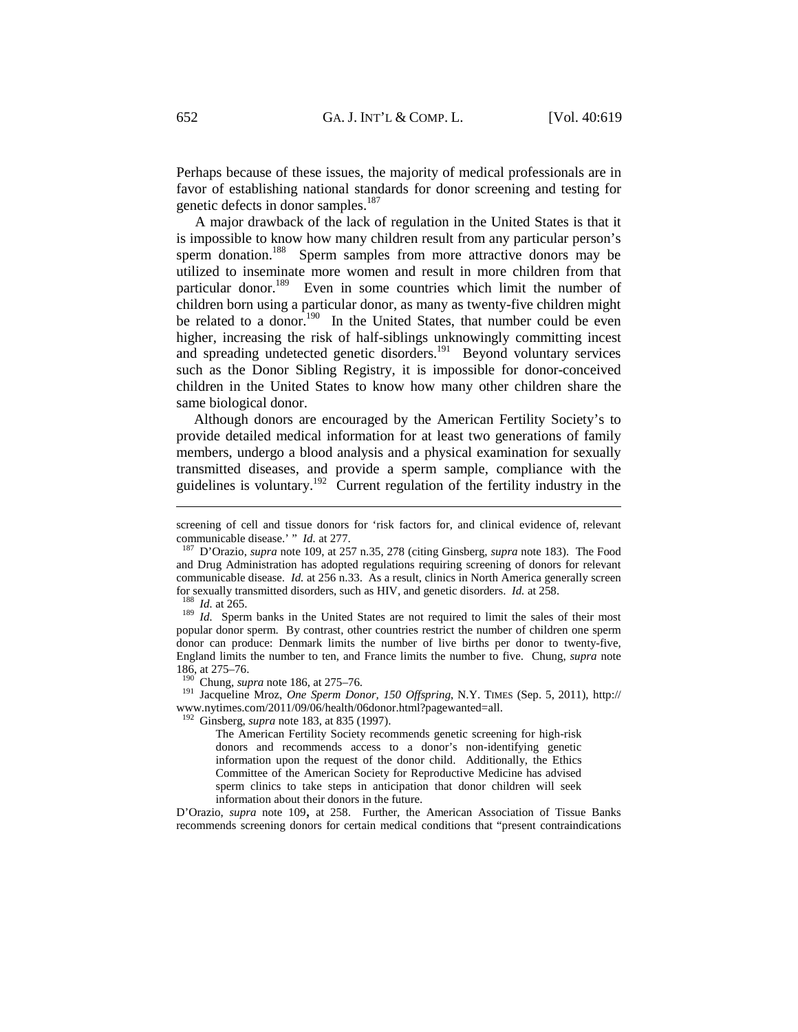Perhaps because of these issues, the majority of medical professionals are in favor of establishing national standards for donor screening and testing for genetic defects in donor samples.<sup>187</sup>

A major drawback of the lack of regulation in the United States is that it is impossible to know how many children result from any particular person's sperm donation.<sup>188</sup> Sperm samples from more attractive donors may be utilized to inseminate more women and result in more children from that particular donor.<sup>189</sup> Even in some countries which limit the number of children born using a particular donor, as many as twenty-five children might be related to a donor.<sup>190</sup> In the United States, that number could be even higher, increasing the risk of half-siblings unknowingly committing incest and spreading undetected genetic disorders.<sup>191</sup> Beyond voluntary services such as the Donor Sibling Registry, it is impossible for donor-conceived children in the United States to know how many other children share the same biological donor.

Although donors are encouraged by the American Fertility Society's to provide detailed medical information for at least two generations of family members, undergo a blood analysis and a physical examination for sexually transmitted diseases, and provide a sperm sample, compliance with the guidelines is voluntary.<sup>192</sup> Current regulation of the fertility industry in the

 $\overline{a}$ 

popular donor sperm. By contrast, other countries restrict the number of children one sperm donor can produce: Denmark limits the number of live births per donor to twenty-five, England limits the number to ten, and France limits the number to five. Chung, *supra* note 186, at 275–76.<br><sup>190</sup> Chung, *supra* note 186, at 275–76.

<sup>191</sup> Jacqueline Mroz, *One Sperm Donor, 150 Offspring*, N.Y. TIMES (Sep. 5, 2011), http:// www.nytimes.com/2011/09/06/health/06donor.html?pagewanted=all.

192 Ginsberg, *supra* note 183, at 835 (1997).

The American Fertility Society recommends genetic screening for high-risk donors and recommends access to a donor's non-identifying genetic information upon the request of the donor child. Additionally, the Ethics Committee of the American Society for Reproductive Medicine has advised sperm clinics to take steps in anticipation that donor children will seek information about their donors in the future.

D'Orazio, *supra* note 109, at 258. Further, the American Association of Tissue Banks recommends screening donors for certain medical conditions that "present contraindications

screening of cell and tissue donors for 'risk factors for, and clinical evidence of, relevant communicable disease.' " *Id.* at 277.<br><sup>187</sup> D'Orazio, *supra* note 109, at 257 n.35, 278 (citing Ginsberg, *supra* note 183). The Food

and Drug Administration has adopted regulations requiring screening of donors for relevant communicable disease. *Id.* at 256 n.33. As a result, clinics in North America generally screen for sexually transmitted disorders, such as HIV, and genetic disorders. *Id.* at 258.<br><sup>189</sup> *Id.* Sperm banks in the United States are not required to limit the sales of their most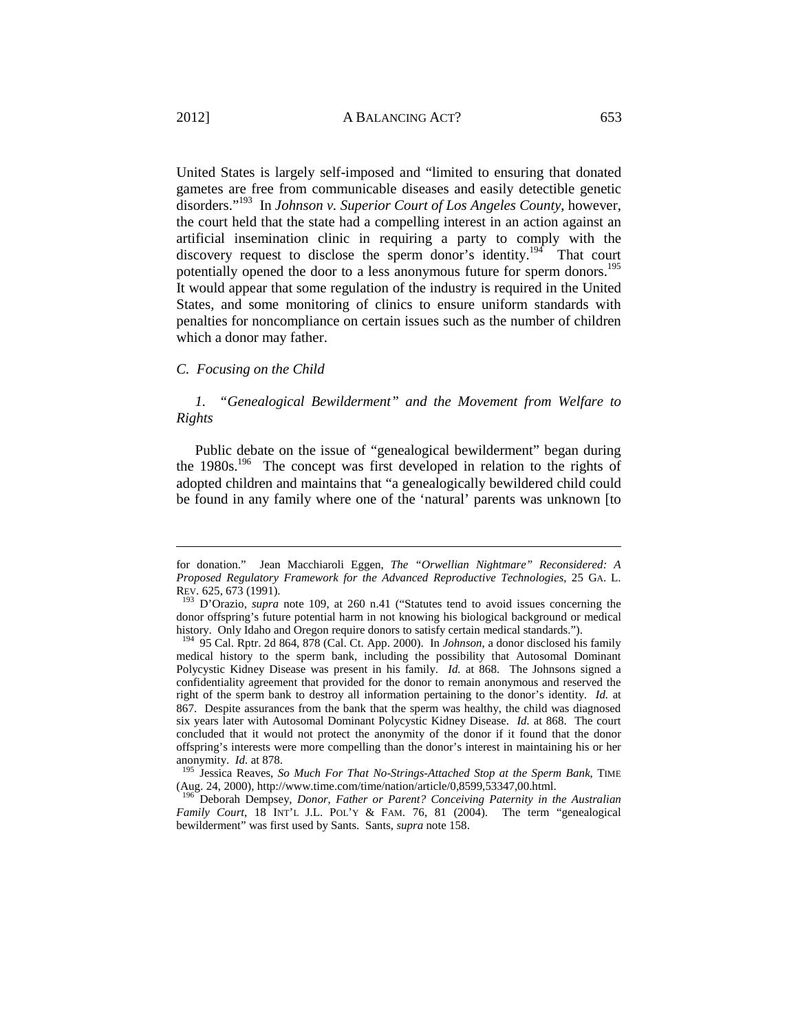United States is largely self-imposed and "limited to ensuring that donated gametes are free from communicable diseases and easily detectible genetic disorders."193 In *Johnson v. Superior Court of Los Angeles County*, however, the court held that the state had a compelling interest in an action against an artificial insemination clinic in requiring a party to comply with the discovery request to disclose the sperm donor's identity.<sup>194</sup> That court potentially opened the door to a less anonymous future for sperm donors.<sup>195</sup> It would appear that some regulation of the industry is required in the United States, and some monitoring of clinics to ensure uniform standards with penalties for noncompliance on certain issues such as the number of children which a donor may father.

#### *C. Focusing on the Child*

*1. "Genealogical Bewilderment" and the Movement from Welfare to Rights* 

Public debate on the issue of "genealogical bewilderment" began during the 1980s.<sup>196</sup> The concept was first developed in relation to the rights of adopted children and maintains that "a genealogically bewildered child could be found in any family where one of the 'natural' parents was unknown [to

for donation." Jean Macchiaroli Eggen, *The "Orwellian Nightmare" Reconsidered: A Proposed Regulatory Framework for the Advanced Reproductive Technologies*, 25 GA. L. REV. 625, 673 (1991).<br><sup>193</sup> D'Orazio, *supra* note 109, at 260 n.41 ("Statutes tend to avoid issues concerning the

donor offspring's future potential harm in not knowing his biological background or medical history. Only Idaho and Oregon require donors to satisfy certain medical standards.").

<sup>194 95</sup> Cal. Rptr. 2d 864, 878 (Cal. Ct. App. 2000). In *Johnson*, a donor disclosed his family medical history to the sperm bank, including the possibility that Autosomal Dominant Polycystic Kidney Disease was present in his family. *Id.* at 868. The Johnsons signed a confidentiality agreement that provided for the donor to remain anonymous and reserved the right of the sperm bank to destroy all information pertaining to the donor's identity. *Id.* at 867. Despite assurances from the bank that the sperm was healthy, the child was diagnosed six years later with Autosomal Dominant Polycystic Kidney Disease. *Id.* at 868. The court concluded that it would not protect the anonymity of the donor if it found that the donor offspring's interests were more compelling than the donor's interest in maintaining his or her anonymity. *Id.* at 878.

<sup>&</sup>lt;sup>195</sup> Jessica Reaves, *So Much For That No-Strings-Attached Stop at the Sperm Bank*, TIME (Aug. 24, 2000), http://www.time.com/time/nation/article/0,8599,53347,00.html.

<sup>196</sup> Deborah Dempsey, *Donor, Father or Parent? Conceiving Paternity in the Australian Family Court*, 18 INT'L J.L. POL'Y & FAM. 76, 81 (2004). The term "genealogical bewilderment" was first used by Sants. Sants, *supra* note 158.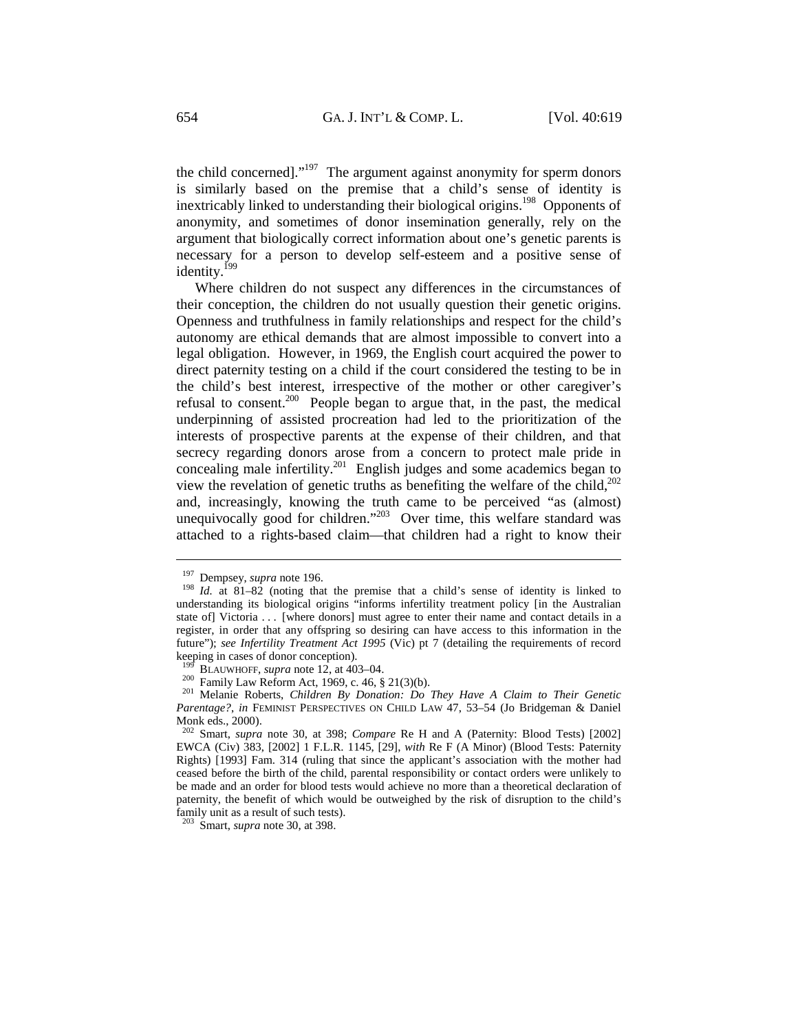the child concerned]."<sup>197</sup> The argument against anonymity for sperm donors is similarly based on the premise that a child's sense of identity is inextricably linked to understanding their biological origins.<sup>198</sup> Opponents of anonymity, and sometimes of donor insemination generally, rely on the argument that biologically correct information about one's genetic parents is necessary for a person to develop self-esteem and a positive sense of identity.<sup>199</sup>

Where children do not suspect any differences in the circumstances of their conception, the children do not usually question their genetic origins. Openness and truthfulness in family relationships and respect for the child's autonomy are ethical demands that are almost impossible to convert into a legal obligation. However, in 1969, the English court acquired the power to direct paternity testing on a child if the court considered the testing to be in the child's best interest, irrespective of the mother or other caregiver's refusal to consent.<sup>200</sup> People began to argue that, in the past, the medical underpinning of assisted procreation had led to the prioritization of the interests of prospective parents at the expense of their children, and that secrecy regarding donors arose from a concern to protect male pride in concealing male infertility.<sup>201</sup> English judges and some academics began to view the revelation of genetic truths as benefiting the welfare of the child, $^{202}$ and, increasingly, knowing the truth came to be perceived "as (almost) unequivocally good for children."<sup>203</sup> Over time, this welfare standard was attached to a rights-based claim—that children had a right to know their

 $\overline{a}$ 

203 Smart, *supra* note 30, at 398.

<sup>&</sup>lt;sup>197</sup> Dempsey, *supra* note 196.<br><sup>198</sup> *Id.* at 81–82 (noting that the premise that a child's sense of identity is linked to understanding its biological origins "informs infertility treatment policy [in the Australian state of] Victoria . . . [where donors] must agree to enter their name and contact details in a register, in order that any offspring so desiring can have access to this information in the future"); *see Infertility Treatment Act 1995* (Vic) pt 7 (detailing the requirements of record keeping in cases of donor conception).<br><sup>199</sup> BLAUWHOFF, *supra* note 12, at 403–04.

<sup>200</sup> Family Law Reform Act, 1969, c. 46, § 21(3)(b).<br><sup>201</sup> Melanie Roberts, *Children By Donation: Do They Have A Claim to Their Genetic Parentage?*, *in* FEMINIST PERSPECTIVES ON CHILD LAW 47, 53–54 (Jo Bridgeman & Daniel Monk eds., 2000).

<sup>202</sup> Smart, *supra* note 30, at 398; *Compare* Re H and A (Paternity: Blood Tests) [2002] EWCA (Civ) 383, [2002] 1 F.L.R. 1145, [29], *with* Re F (A Minor) (Blood Tests: Paternity Rights) [1993] Fam. 314 (ruling that since the applicant's association with the mother had ceased before the birth of the child, parental responsibility or contact orders were unlikely to be made and an order for blood tests would achieve no more than a theoretical declaration of paternity, the benefit of which would be outweighed by the risk of disruption to the child's family unit as a result of such tests).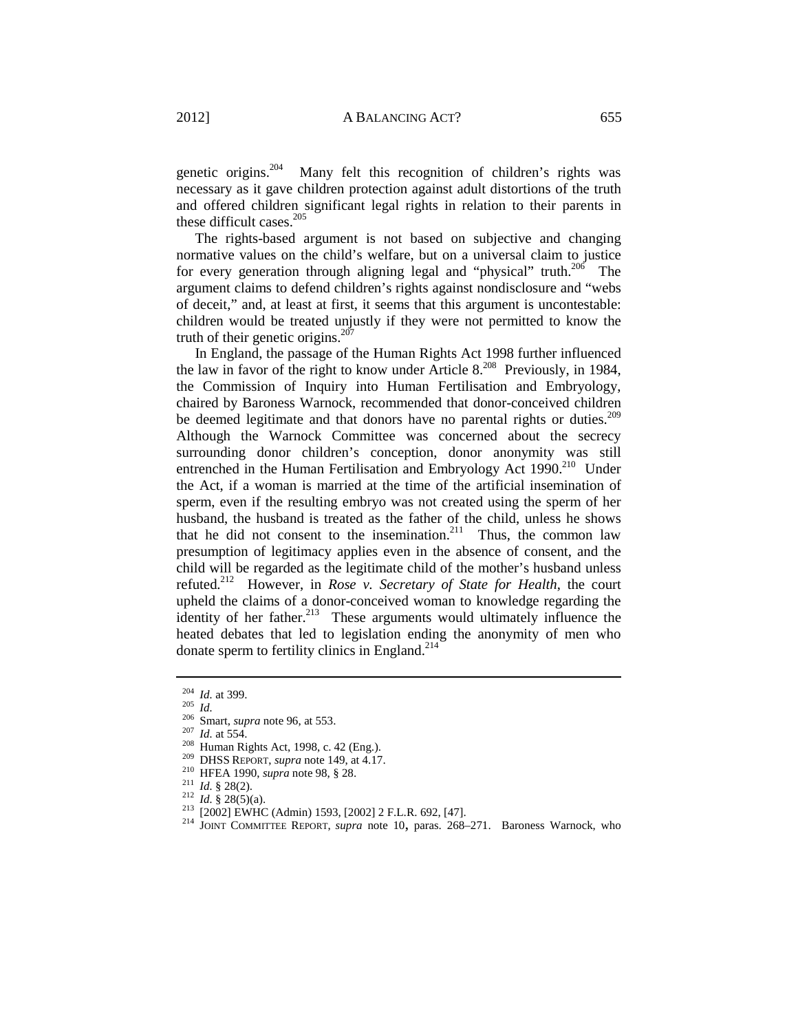genetic origins.<sup>204</sup> Many felt this recognition of children's rights was necessary as it gave children protection against adult distortions of the truth and offered children significant legal rights in relation to their parents in these difficult cases.<sup>205</sup>

The rights-based argument is not based on subjective and changing normative values on the child's welfare, but on a universal claim to justice for every generation through aligning legal and "physical" truth.<sup>206</sup> The argument claims to defend children's rights against nondisclosure and "webs of deceit," and, at least at first, it seems that this argument is uncontestable: children would be treated unjustly if they were not permitted to know the truth of their genetic origins. $207$ 

In England, the passage of the Human Rights Act 1998 further influenced the law in favor of the right to know under Article  $8^{208}$  Previously, in 1984, the Commission of Inquiry into Human Fertilisation and Embryology, chaired by Baroness Warnock, recommended that donor-conceived children be deemed legitimate and that donors have no parental rights or duties.<sup>209</sup> Although the Warnock Committee was concerned about the secrecy surrounding donor children's conception, donor anonymity was still entrenched in the Human Fertilisation and Embryology Act 1990.<sup>210</sup> Under the Act, if a woman is married at the time of the artificial insemination of sperm, even if the resulting embryo was not created using the sperm of her husband, the husband is treated as the father of the child, unless he shows that he did not consent to the insemination.<sup>211</sup> Thus, the common law presumption of legitimacy applies even in the absence of consent, and the child will be regarded as the legitimate child of the mother's husband unless refuted.212 However, in *Rose v. Secretary of State for Health*, the court upheld the claims of a donor-conceived woman to knowledge regarding the identity of her father. $213$  These arguments would ultimately influence the heated debates that led to legislation ending the anonymity of men who donate sperm to fertility clinics in England.<sup>214</sup>

- 
- 
- 

<sup>&</sup>lt;sup>204</sup> *Id.* at 399.<br>
<sup>206</sup> Smart, *supra* note 96, at 553.<br>
<sup>207</sup> *Id.* at 554.<br>
<sup>208</sup> Human Rights Act, 1998, c. 42 (Eng.).<br>
<sup>209</sup> DHSS REPORT, *supra* note 149, at 4.17.<br>
<sup>210</sup> HFEA 1990, *supra* note 98, § 28.<br>
<sup>211</sup>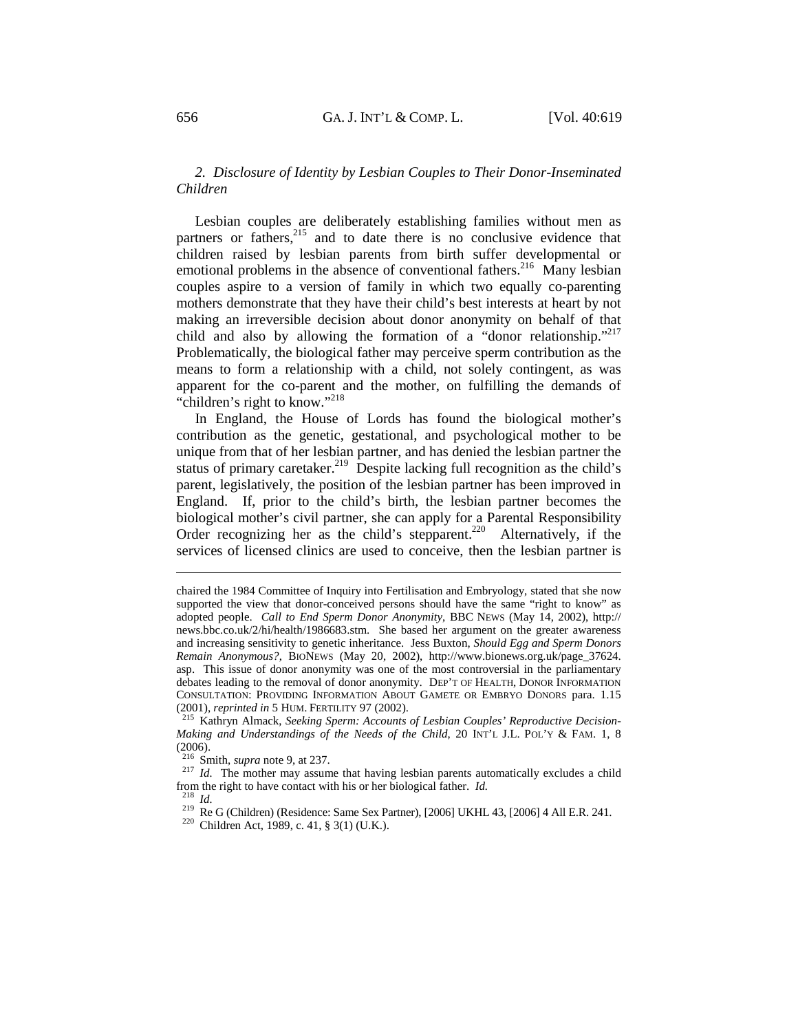# *2. Disclosure of Identity by Lesbian Couples to Their Donor-Inseminated Children*

Lesbian couples are deliberately establishing families without men as partners or fathers,<sup>215</sup> and to date there is no conclusive evidence that children raised by lesbian parents from birth suffer developmental or emotional problems in the absence of conventional fathers.<sup>216</sup> Many lesbian couples aspire to a version of family in which two equally co-parenting mothers demonstrate that they have their child's best interests at heart by not making an irreversible decision about donor anonymity on behalf of that child and also by allowing the formation of a "donor relationship."<sup>217</sup> Problematically, the biological father may perceive sperm contribution as the means to form a relationship with a child, not solely contingent, as was apparent for the co-parent and the mother, on fulfilling the demands of "children's right to know."<sup>218</sup>

In England, the House of Lords has found the biological mother's contribution as the genetic, gestational, and psychological mother to be unique from that of her lesbian partner, and has denied the lesbian partner the status of primary caretaker.<sup>219</sup> Despite lacking full recognition as the child's parent, legislatively, the position of the lesbian partner has been improved in England. If, prior to the child's birth, the lesbian partner becomes the biological mother's civil partner, she can apply for a Parental Responsibility Order recognizing her as the child's stepparent.<sup>220</sup> Alternatively, if the services of licensed clinics are used to conceive, then the lesbian partner is

chaired the 1984 Committee of Inquiry into Fertilisation and Embryology, stated that she now supported the view that donor-conceived persons should have the same "right to know" as adopted people. *Call to End Sperm Donor Anonymity*, BBC NEWS (May 14, 2002), http:// news.bbc.co.uk/2/hi/health/1986683.stm. She based her argument on the greater awareness and increasing sensitivity to genetic inheritance. Jess Buxton, *Should Egg and Sperm Donors Remain Anonymous?*, BIONEWS (May 20, 2002), http://www.bionews.org.uk/page\_37624. asp. This issue of donor anonymity was one of the most controversial in the parliamentary debates leading to the removal of donor anonymity. DEP'T OF HEALTH, DONOR INFORMATION CONSULTATION: PROVIDING INFORMATION ABOUT GAMETE OR EMBRYO DONORS para. 1.15 (2001), reprinted in 5 HUM. FERTILITY 97 (2002).

<sup>&</sup>lt;sup>215</sup> Kathryn Almack, Seeking Sperm: Accounts of Lesbian Couples' Reproductive Decision-*Making and Understandings of the Needs of the Child*, 20 INT'L J.L. POL'Y & FAM. 1, 8  $(2006)$ .<br><sup>216</sup> Smith, *supra* note 9, at 237.

 $2^{17}$  *Id.* The mother may assume that having lesbian parents automatically excludes a child from the right to have contact with his or her biological father. *Id.*<br><sup>218</sup> *Id.*<br><sup>219</sup> Re G (Children) (Residence: Same Sex Partner), [2006] UKHL 43, [2006] 4 All E.R. 241.<br><sup>220</sup> Children Act, 1989, c. 41, § 3(1) (U.K.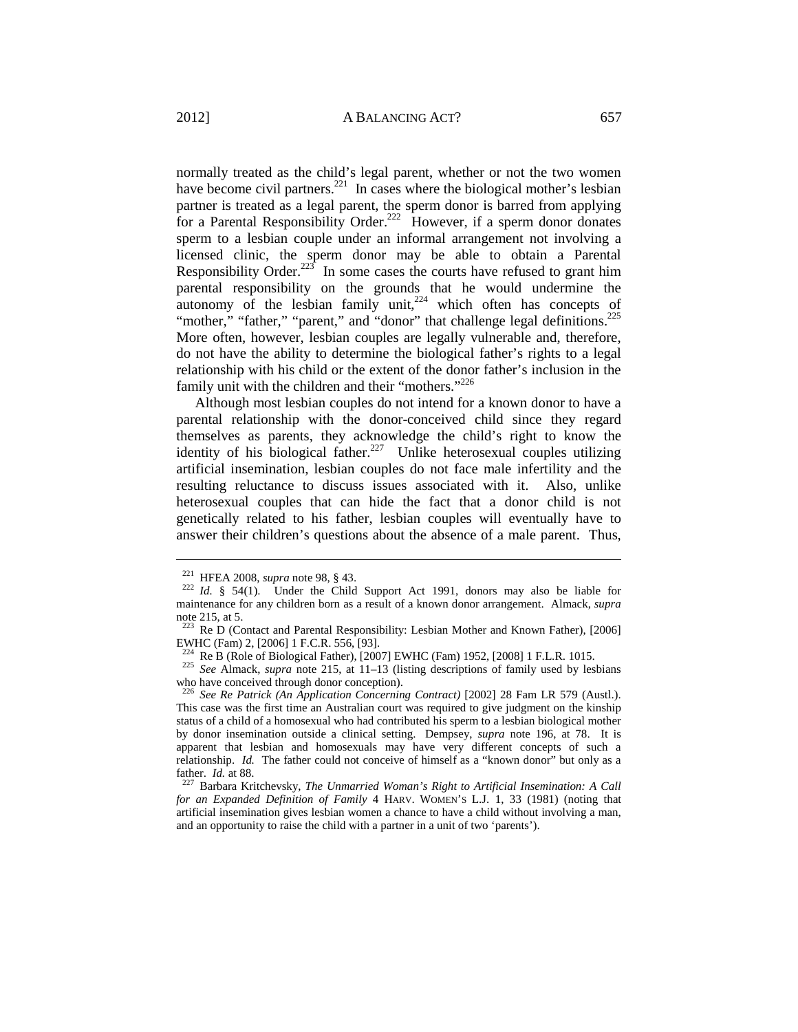normally treated as the child's legal parent, whether or not the two women have become civil partners.<sup>221</sup> In cases where the biological mother's lesbian partner is treated as a legal parent, the sperm donor is barred from applying for a Parental Responsibility Order.<sup>222</sup> However, if a sperm donor donates sperm to a lesbian couple under an informal arrangement not involving a licensed clinic, the sperm donor may be able to obtain a Parental Responsibility Order.<sup>223</sup> In some cases the courts have refused to grant him parental responsibility on the grounds that he would undermine the autonomy of the lesbian family unit,<sup>224</sup> which often has concepts of "mother," "father," "parent," and "donor" that challenge legal definitions.<sup>225</sup> More often, however, lesbian couples are legally vulnerable and, therefore, do not have the ability to determine the biological father's rights to a legal relationship with his child or the extent of the donor father's inclusion in the family unit with the children and their "mothers."<sup>226</sup>

Although most lesbian couples do not intend for a known donor to have a parental relationship with the donor-conceived child since they regard themselves as parents, they acknowledge the child's right to know the identity of his biological father.<sup>227</sup> Unlike heterosexual couples utilizing artificial insemination, lesbian couples do not face male infertility and the resulting reluctance to discuss issues associated with it. Also, unlike heterosexual couples that can hide the fact that a donor child is not genetically related to his father, lesbian couples will eventually have to answer their children's questions about the absence of a male parent. Thus,

<sup>&</sup>lt;sup>221</sup> HFEA 2008, *supra* note 98, § 43.<br><sup>222</sup> *Id.* § 54(1). Under the Child Support Act 1991, donors may also be liable for maintenance for any children born as a result of a known donor arrangement. Almack, *supra* note 215, at 5.

<sup>&</sup>lt;sup>223</sup> Re D (Contact and Parental Responsibility: Lesbian Mother and Known Father), [2006] EWHC (Fam) 2, [2006] 1 F.C.R. 556, [93].<br><sup>224</sup> Re B (Role of Biological Father), [2007] EWHC (Fam) 1952, [2008] 1 F.L.R. 1015.

<sup>225</sup> See Almack, *supra* note 215, at 11–13 (listing descriptions of family used by lesbians who have conceived through donor conception).

<sup>226</sup> *See Re Patrick (An Application Concerning Contract)* [2002] 28 Fam LR 579 (Austl.). This case was the first time an Australian court was required to give judgment on the kinship status of a child of a homosexual who had contributed his sperm to a lesbian biological mother by donor insemination outside a clinical setting. Dempsey, *supra* note 196, at 78. It is apparent that lesbian and homosexuals may have very different concepts of such a relationship. *Id.* The father could not conceive of himself as a "known donor" but only as a father. *Id.* at 88. 227 Barbara Kritchevsky, *The Unmarried Woman's Right to Artificial Insemination: A Call* 

*for an Expanded Definition of Family* 4 HARV. WOMEN'S L.J. 1, 33 (1981) (noting that artificial insemination gives lesbian women a chance to have a child without involving a man, and an opportunity to raise the child with a partner in a unit of two 'parents').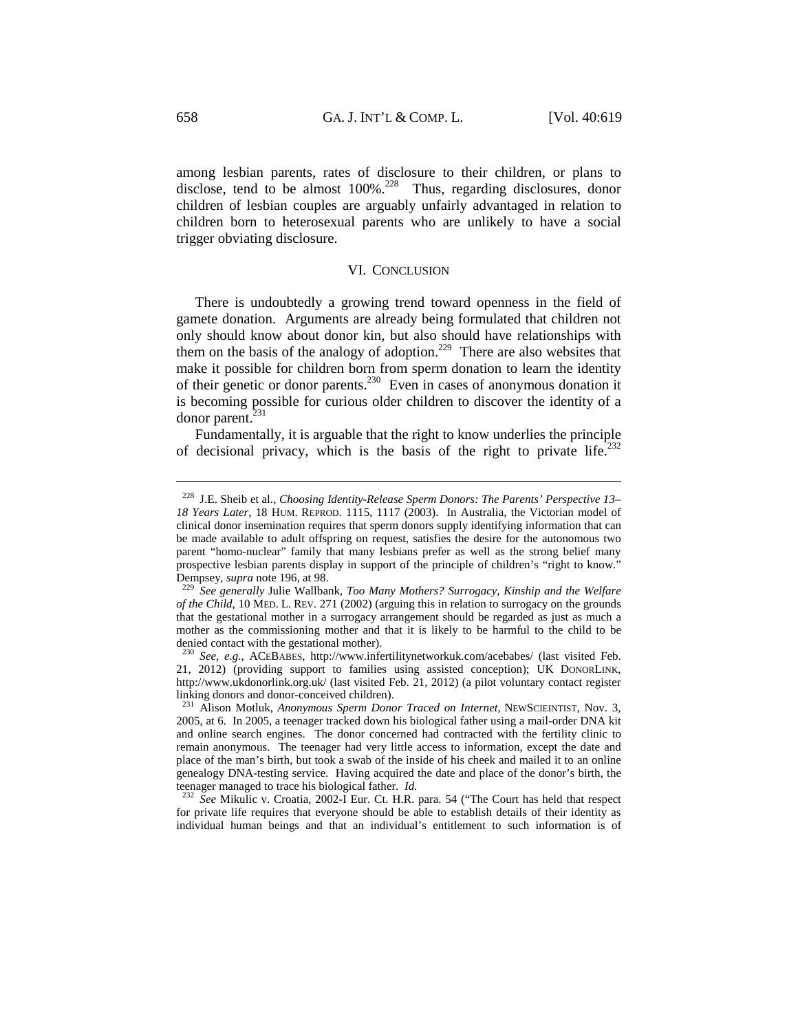among lesbian parents, rates of disclosure to their children, or plans to disclose, tend to be almost 100%<sup>228</sup> Thus, regarding disclosures, donor children of lesbian couples are arguably unfairly advantaged in relation to children born to heterosexual parents who are unlikely to have a social trigger obviating disclosure.

#### VI. CONCLUSION

There is undoubtedly a growing trend toward openness in the field of gamete donation. Arguments are already being formulated that children not only should know about donor kin, but also should have relationships with them on the basis of the analogy of adoption.<sup>229</sup> There are also websites that make it possible for children born from sperm donation to learn the identity of their genetic or donor parents.230 Even in cases of anonymous donation it is becoming possible for curious older children to discover the identity of a donor parent.<sup>231</sup>

Fundamentally, it is arguable that the right to know underlies the principle of decisional privacy, which is the basis of the right to private life.<sup>232</sup>

<sup>228</sup> J.E. Sheib et al., *Choosing Identity-Release Sperm Donors: The Parents' Perspective 13– 18 Years Later*, 18 HUM. REPROD. 1115, 1117 (2003). In Australia, the Victorian model of clinical donor insemination requires that sperm donors supply identifying information that can be made available to adult offspring on request, satisfies the desire for the autonomous two parent "homo-nuclear" family that many lesbians prefer as well as the strong belief many prospective lesbian parents display in support of the principle of children's "right to know."

Dempsey, *supra* note 196, at 98. 229 *See generally* Julie Wallbank, *Too Many Mothers? Surrogacy, Kinship and the Welfare of the Child*, 10 MED. L. REV. 271 (2002) (arguing this in relation to surrogacy on the grounds that the gestational mother in a surrogacy arrangement should be regarded as just as much a mother as the commissioning mother and that it is likely to be harmful to the child to be denied contact with the gestational mother).

<sup>230</sup> *See, e.g.*, ACEBABES, http://www.infertilitynetworkuk.com/acebabes/ (last visited Feb. 21, 2012) (providing support to families using assisted conception); UK DONORLINK, http://www.ukdonorlink.org.uk/ (last visited Feb. 21, 2012) (a pilot voluntary contact register linking donors and donor-conceived children).

<sup>231</sup> Alison Motluk, *Anonymous Sperm Donor Traced on Internet*, NEWSCIEINTIST, Nov. 3, 2005, at 6. In 2005, a teenager tracked down his biological father using a mail-order DNA kit and online search engines. The donor concerned had contracted with the fertility clinic to remain anonymous. The teenager had very little access to information, except the date and place of the man's birth, but took a swab of the inside of his cheek and mailed it to an online genealogy DNA-testing service. Having acquired the date and place of the donor's birth, the teenager managed to trace his biological father. *Id.* <sup>232</sup> *See* Mikulic v. Croatia, 2002-I Eur. Ct. H.R. para. 54 ("The Court has held that respect

for private life requires that everyone should be able to establish details of their identity as individual human beings and that an individual's entitlement to such information is of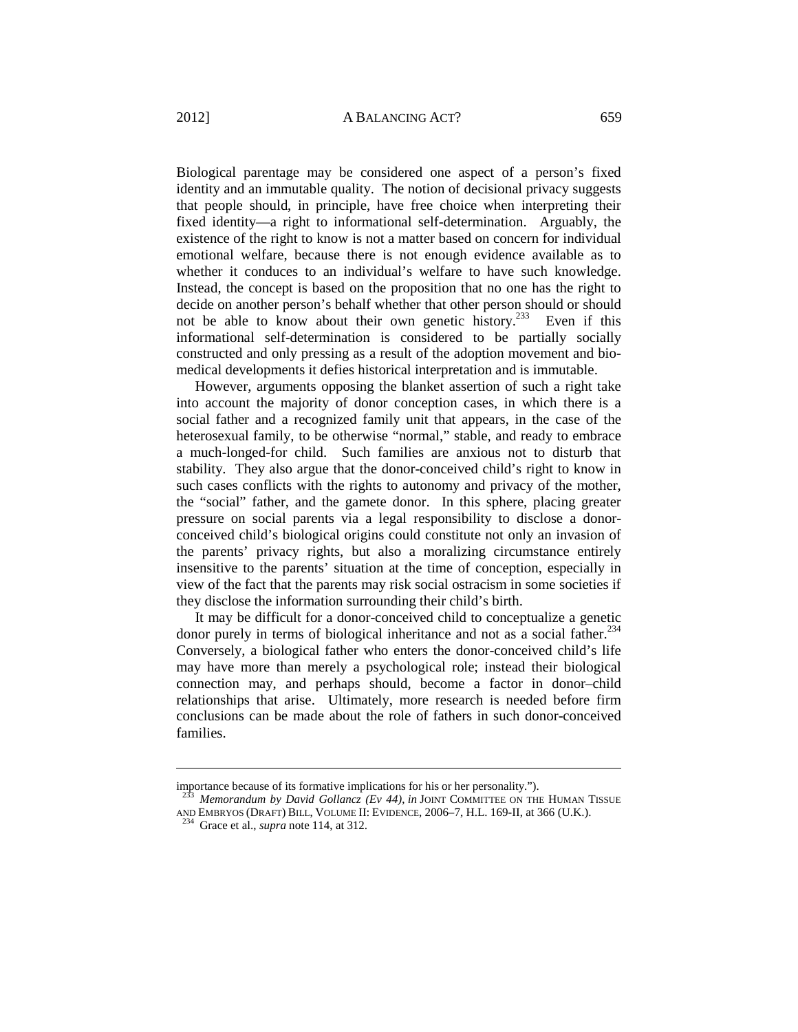Biological parentage may be considered one aspect of a person's fixed identity and an immutable quality. The notion of decisional privacy suggests that people should, in principle, have free choice when interpreting their fixed identity—a right to informational self-determination. Arguably, the existence of the right to know is not a matter based on concern for individual emotional welfare, because there is not enough evidence available as to whether it conduces to an individual's welfare to have such knowledge. Instead, the concept is based on the proposition that no one has the right to decide on another person's behalf whether that other person should or should not be able to know about their own genetic history.<sup>233</sup> Even if this informational self-determination is considered to be partially socially constructed and only pressing as a result of the adoption movement and biomedical developments it defies historical interpretation and is immutable.

However, arguments opposing the blanket assertion of such a right take into account the majority of donor conception cases, in which there is a social father and a recognized family unit that appears, in the case of the heterosexual family, to be otherwise "normal," stable, and ready to embrace a much-longed-for child. Such families are anxious not to disturb that stability. They also argue that the donor-conceived child's right to know in such cases conflicts with the rights to autonomy and privacy of the mother, the "social" father, and the gamete donor. In this sphere, placing greater pressure on social parents via a legal responsibility to disclose a donorconceived child's biological origins could constitute not only an invasion of the parents' privacy rights, but also a moralizing circumstance entirely insensitive to the parents' situation at the time of conception, especially in view of the fact that the parents may risk social ostracism in some societies if they disclose the information surrounding their child's birth.

It may be difficult for a donor-conceived child to conceptualize a genetic donor purely in terms of biological inheritance and not as a social father. $234$ Conversely, a biological father who enters the donor-conceived child's life may have more than merely a psychological role; instead their biological connection may, and perhaps should, become a factor in donor–child relationships that arise. Ultimately, more research is needed before firm conclusions can be made about the role of fathers in such donor-conceived families.

importance because of its formative implications for his or her personality.").

Memorandum by David Gollancz (Ev 44), in JOINT COMMITTEE ON THE HUMAN TISSUE AND EMBRYOS (DRAFT) BILL, VOLUME II: EVIDENCE, 2006–7, H.L. 169-II, at 366 (U.K.). 234 Grace et al., *supra* note 114, at 312.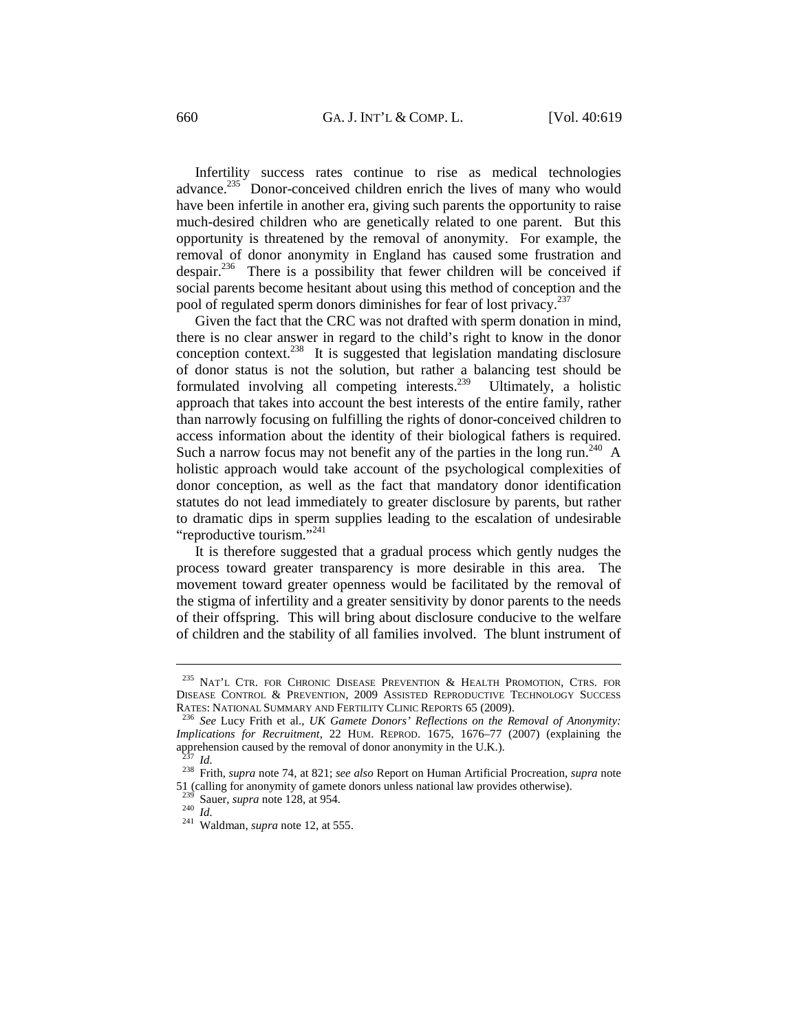Infertility success rates continue to rise as medical technologies advance.<sup>235</sup> Donor-conceived children enrich the lives of many who would have been infertile in another era, giving such parents the opportunity to raise much-desired children who are genetically related to one parent. But this opportunity is threatened by the removal of anonymity. For example, the removal of donor anonymity in England has caused some frustration and despair.<sup>236</sup> There is a possibility that fewer children will be conceived if social parents become hesitant about using this method of conception and the pool of regulated sperm donors diminishes for fear of lost privacy.<sup>237</sup>

Given the fact that the CRC was not drafted with sperm donation in mind, there is no clear answer in regard to the child's right to know in the donor conception context.238 It is suggested that legislation mandating disclosure of donor status is not the solution, but rather a balancing test should be formulated involving all competing interests.239 Ultimately, a holistic approach that takes into account the best interests of the entire family, rather than narrowly focusing on fulfilling the rights of donor-conceived children to access information about the identity of their biological fathers is required. Such a narrow focus may not benefit any of the parties in the long run.<sup>240</sup> A holistic approach would take account of the psychological complexities of donor conception, as well as the fact that mandatory donor identification statutes do not lead immediately to greater disclosure by parents, but rather to dramatic dips in sperm supplies leading to the escalation of undesirable "reproductive tourism."<sup>241</sup>

It is therefore suggested that a gradual process which gently nudges the process toward greater transparency is more desirable in this area. The movement toward greater openness would be facilitated by the removal of the stigma of infertility and a greater sensitivity by donor parents to the needs of their offspring. This will bring about disclosure conducive to the welfare of children and the stability of all families involved. The blunt instrument of

<sup>&</sup>lt;sup>235</sup> NAT'L CTR. FOR CHRONIC DISEASE PREVENTION  $\&$  HEALTH PROMOTION, CTRS. FOR DISEASE CONTROL & PREVENTION, 2009 ASSISTED REPRODUCTIVE TECHNOLOGY SUCCESS RATES: NATIONAL SUMMARY AND FERTILITY CLINIC REPORTS 65 (2009).

<sup>&</sup>lt;sup>236</sup> See Lucy Frith et al., *UK Gamete Donors' Reflections on the Removal of Anonymity: Implications for Recruitment*, 22 HUM. REPROD. 1675, 1676–77 (2007) (explaining the apprehension caused by the removal of donor anonymity in the U.K.).

<sup>237</sup> *Id.* 238 Frith, *supra* note 74, at 821; *see also* Report on Human Artificial Procreation, *supra* note 51 (calling for anonymity of gamete donors unless national law provides otherwise).

<sup>239</sup> Sauer, *supra* note 128, at 954. 240 *Id.* 241 Waldman, *supra* note 12, at 555.